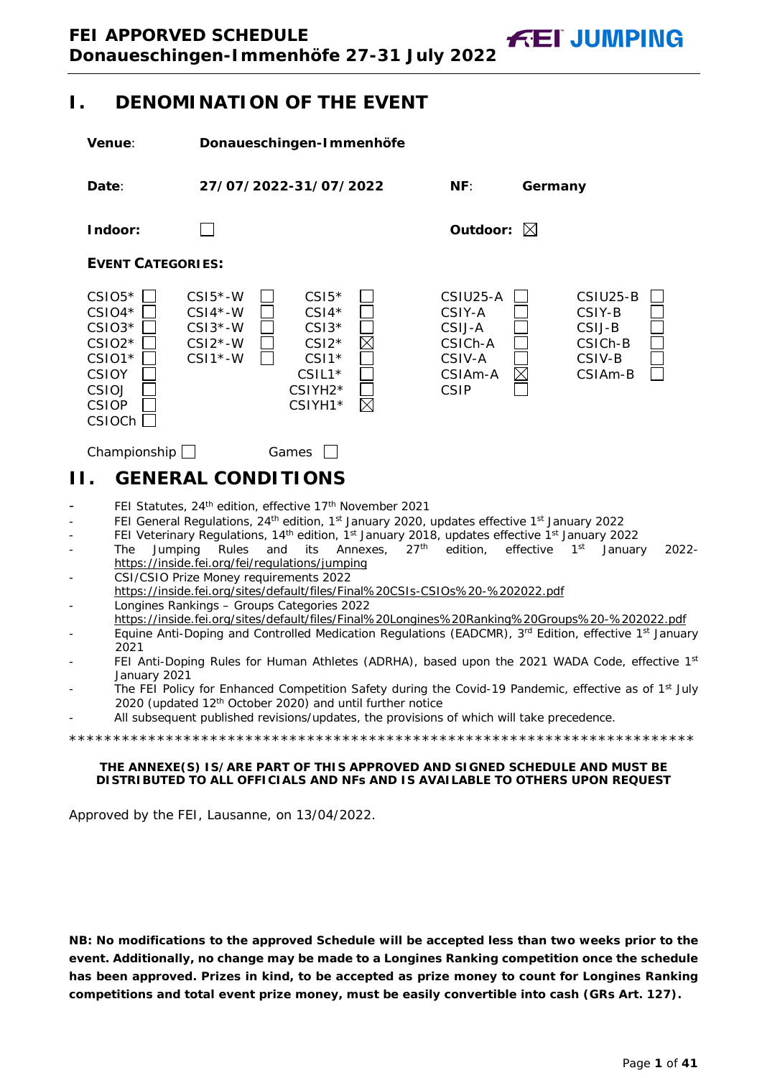<span id="page-0-0"></span>**I. DENOMINATION OF THE EVENT**

<span id="page-0-1"></span>

**NB: No modifications to the approved Schedule will be accepted less than two weeks prior to the event. Additionally, no change may be made to a Longines Ranking competition once the schedule has been approved. Prizes in kind, to be accepted as prize money to count for Longines Ranking competitions and total event prize money, must be easily convertible into cash (GRs Art. 127).**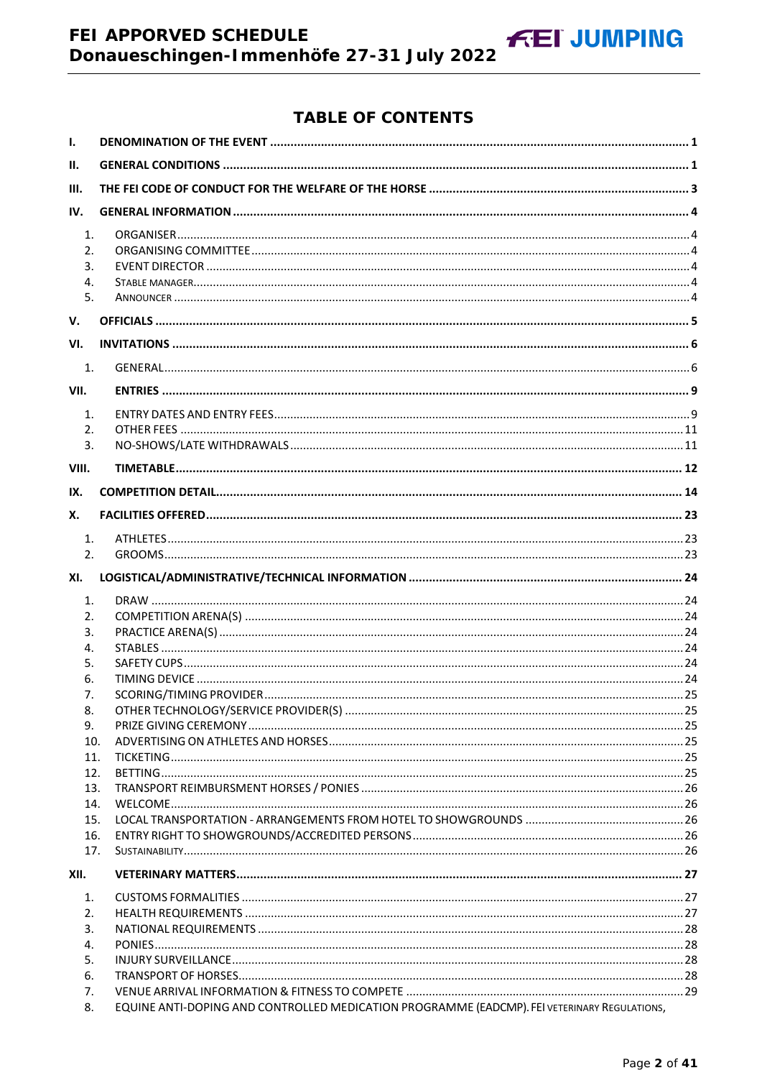# FEI APPORVED SCHEDULE Donaueschingen-Immenhöfe 27-31 July 2022

# **TABLE OF CONTENTS**

**FEI JUMPING** 

| Ш.<br>III.<br>IV.<br>1.<br>2.<br>3.<br>4.<br>5.<br>VI.<br>1.<br>VII.<br>1.<br>2.<br>3.<br>VIII.<br>IX.<br>Х.<br>1.<br>2.<br>XI.<br>1.<br>2.<br>3.<br>4.<br>5.<br>6.<br>7.<br>8.<br>9.<br>10.<br>11.<br>12.<br>13.<br>14.<br>15.<br>16.<br>17.<br>1.<br>2.<br>3.<br>4.<br>5.<br>6.<br>7.<br>EQUINE ANTI-DOPING AND CONTROLLED MEDICATION PROGRAMME (EADCMP). FEI VETERINARY REGULATIONS,<br>8. | $\mathbf{I}$ . |  |
|-----------------------------------------------------------------------------------------------------------------------------------------------------------------------------------------------------------------------------------------------------------------------------------------------------------------------------------------------------------------------------------------------|----------------|--|
|                                                                                                                                                                                                                                                                                                                                                                                               |                |  |
|                                                                                                                                                                                                                                                                                                                                                                                               |                |  |
|                                                                                                                                                                                                                                                                                                                                                                                               |                |  |
|                                                                                                                                                                                                                                                                                                                                                                                               |                |  |
|                                                                                                                                                                                                                                                                                                                                                                                               | V.             |  |
|                                                                                                                                                                                                                                                                                                                                                                                               |                |  |
|                                                                                                                                                                                                                                                                                                                                                                                               |                |  |
|                                                                                                                                                                                                                                                                                                                                                                                               |                |  |
|                                                                                                                                                                                                                                                                                                                                                                                               |                |  |
|                                                                                                                                                                                                                                                                                                                                                                                               |                |  |
|                                                                                                                                                                                                                                                                                                                                                                                               |                |  |
|                                                                                                                                                                                                                                                                                                                                                                                               |                |  |
|                                                                                                                                                                                                                                                                                                                                                                                               |                |  |
|                                                                                                                                                                                                                                                                                                                                                                                               |                |  |
|                                                                                                                                                                                                                                                                                                                                                                                               |                |  |
|                                                                                                                                                                                                                                                                                                                                                                                               |                |  |
|                                                                                                                                                                                                                                                                                                                                                                                               |                |  |
|                                                                                                                                                                                                                                                                                                                                                                                               |                |  |
|                                                                                                                                                                                                                                                                                                                                                                                               |                |  |
|                                                                                                                                                                                                                                                                                                                                                                                               |                |  |
|                                                                                                                                                                                                                                                                                                                                                                                               |                |  |
|                                                                                                                                                                                                                                                                                                                                                                                               |                |  |
|                                                                                                                                                                                                                                                                                                                                                                                               |                |  |
|                                                                                                                                                                                                                                                                                                                                                                                               |                |  |
|                                                                                                                                                                                                                                                                                                                                                                                               |                |  |
|                                                                                                                                                                                                                                                                                                                                                                                               |                |  |
|                                                                                                                                                                                                                                                                                                                                                                                               |                |  |
|                                                                                                                                                                                                                                                                                                                                                                                               |                |  |
|                                                                                                                                                                                                                                                                                                                                                                                               |                |  |
|                                                                                                                                                                                                                                                                                                                                                                                               |                |  |
|                                                                                                                                                                                                                                                                                                                                                                                               | XII.           |  |
|                                                                                                                                                                                                                                                                                                                                                                                               |                |  |
|                                                                                                                                                                                                                                                                                                                                                                                               |                |  |
|                                                                                                                                                                                                                                                                                                                                                                                               |                |  |
|                                                                                                                                                                                                                                                                                                                                                                                               |                |  |
|                                                                                                                                                                                                                                                                                                                                                                                               |                |  |
|                                                                                                                                                                                                                                                                                                                                                                                               |                |  |
|                                                                                                                                                                                                                                                                                                                                                                                               |                |  |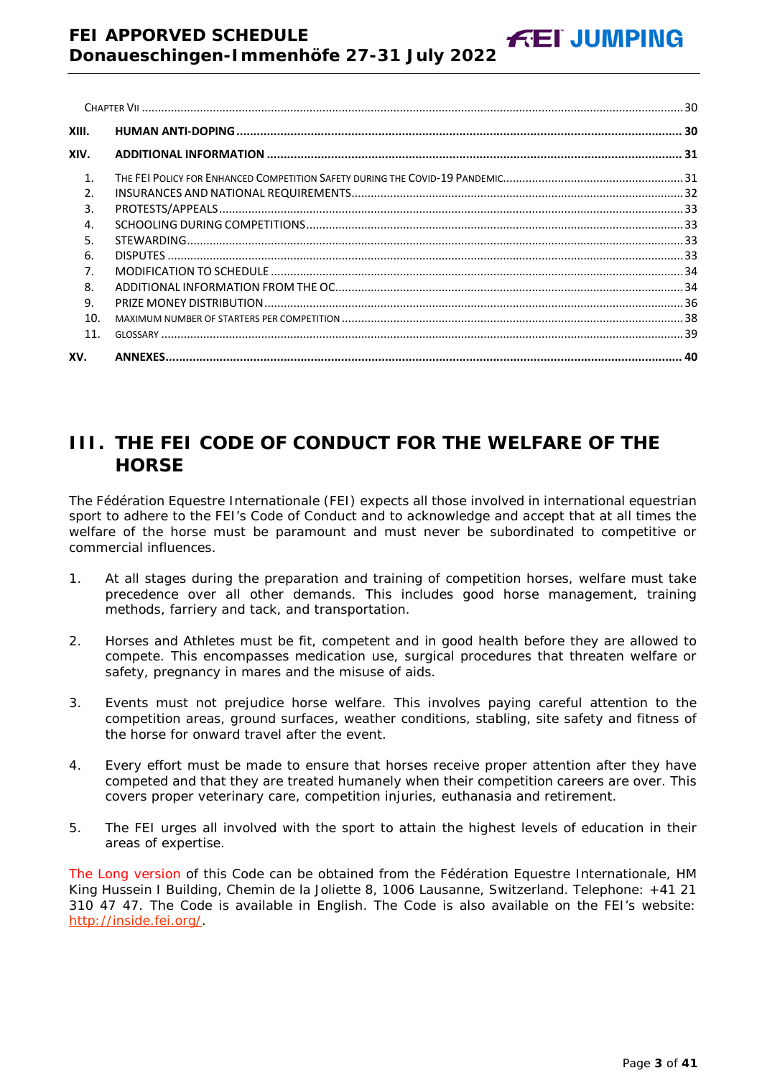| XIII.            |  |
|------------------|--|
| XIV.             |  |
| $\mathbf{1}$     |  |
| $\mathfrak{D}$   |  |
| $\overline{3}$ . |  |
| 4.               |  |
| 5.               |  |
| 6.               |  |
| 7 <sub>1</sub>   |  |
| 8.               |  |
| 9.               |  |
| 10.              |  |
| 11.              |  |
| XV.              |  |

**FEI JUMPING** 

# <span id="page-2-0"></span>**III. THE FEI CODE OF CONDUCT FOR THE WELFARE OF THE HORSE**

The Fédération Equestre Internationale (FEI) expects all those involved in international equestrian sport to adhere to the FEI's Code of Conduct and to acknowledge and accept that at all times the welfare of the horse must be paramount and must never be subordinated to competitive or commercial influences.

- 1. At all stages during the preparation and training of competition horses, welfare must take precedence over all other demands. This includes good horse management, training methods, farriery and tack, and transportation.
- 2. Horses and Athletes must be fit, competent and in good health before they are allowed to compete. This encompasses medication use, surgical procedures that threaten welfare or safety, pregnancy in mares and the misuse of aids.
- 3. Events must not prejudice horse welfare. This involves paying careful attention to the competition areas, ground surfaces, weather conditions, stabling, site safety and fitness of the horse for onward travel after the event.
- 4. Every effort must be made to ensure that horses receive proper attention after they have competed and that they are treated humanely when their competition careers are over. This covers proper veterinary care, competition injuries, euthanasia and retirement.
- 5. The FEI urges all involved with the sport to attain the highest levels of education in their areas of expertise.

The Long version of this Code can be obtained from the Fédération Equestre Internationale, HM King Hussein I Building, Chemin de la Joliette 8, 1006 Lausanne, Switzerland. Telephone: +41 21 310 47 47. The Code is available in English. The Code is also available on the FEI's website: [http://inside.fei.org/.](http://inside.fei.org/)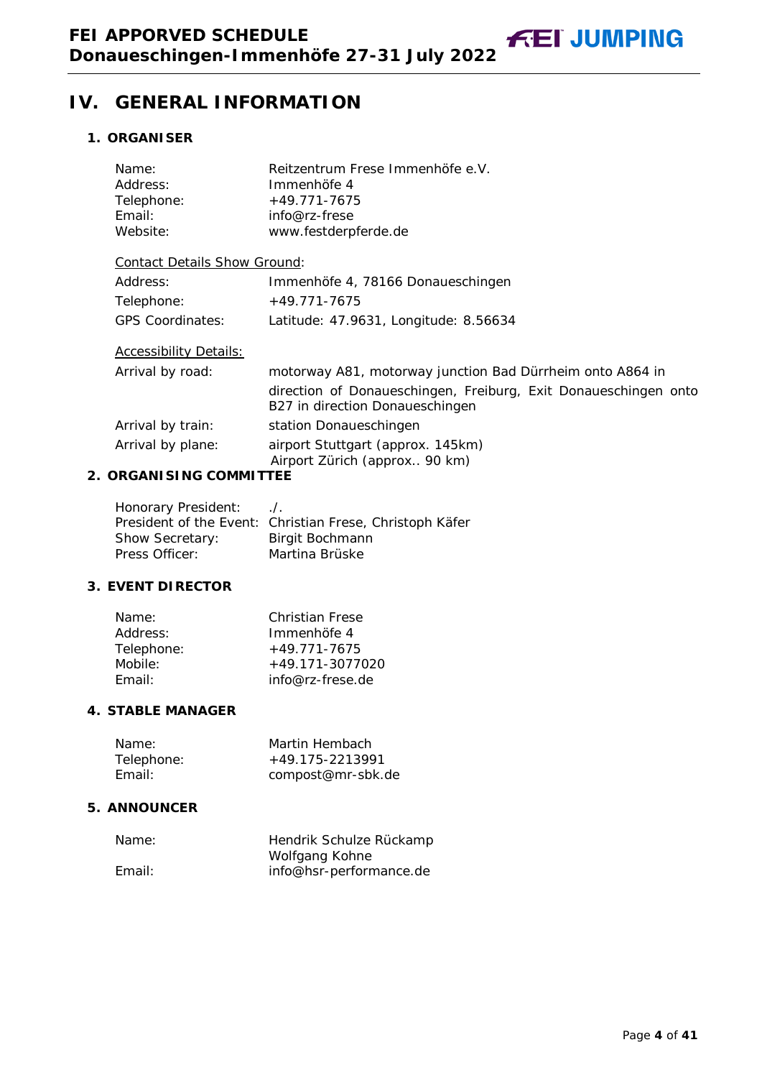# <span id="page-3-0"></span>**IV. GENERAL INFORMATION**

# <span id="page-3-1"></span>**1. ORGANISER**

| Name:<br>Address:<br>Telephone:<br>Email: | Reitzentrum Frese Immenhöfe e.V.<br>Immenhöfe 4<br>$+49.771 - 7675$<br>info@rz-frese               |  |
|-------------------------------------------|----------------------------------------------------------------------------------------------------|--|
| Website:<br>www.festderpferde.de          |                                                                                                    |  |
| <b>Contact Details Show Ground:</b>       |                                                                                                    |  |
| Address:                                  | Immenhöfe 4, 78166 Donaueschingen                                                                  |  |
| Telephone:                                | $+49.771 - 7675$                                                                                   |  |
| <b>GPS Coordinates:</b>                   | Latitude: 47.9631, Longitude: 8.56634                                                              |  |
| <b>Accessibility Details:</b>             |                                                                                                    |  |
| Arrival by road:                          | motorway A81, motorway junction Bad Dürrheim onto A864 in                                          |  |
|                                           | direction of Donaueschingen, Freiburg, Exit Donaueschingen onto<br>B27 in direction Donaueschingen |  |
| Arrival by train:                         | station Donaueschingen                                                                             |  |
| Arrival by plane:                         | airport Stuttgart (approx. 145km)<br>Airport Zürich (approx 90 km)                                 |  |
| <b>ORGANI SI NG COMMITTEE</b>             |                                                                                                    |  |

# <span id="page-3-2"></span>**2. C**

| Honorary President:    | $\Lambda$ .                                              |
|------------------------|----------------------------------------------------------|
|                        | President of the Event: Christian Frese, Christoph Käfer |
| <b>Show Secretary:</b> | Birgit Bochmann                                          |
| Press Officer:         | Martina Brüske                                           |

# <span id="page-3-3"></span>**3. EVENT DIRECTOR**

| Name:      | <b>Christian Frese</b> |
|------------|------------------------|
| Address:   | Immenhöfe 4            |
| Telephone: | $+49.771 - 7675$       |
| Mobile:    | $+49.171 - 3077020$    |
| Fmail:     | info@rz-frese.de       |

# <span id="page-3-4"></span>**4. STABLE MANAGER**

| Name:      | Martin Hembach    |
|------------|-------------------|
| Telephone: | +49.175-2213991   |
| Email:     | compost@mr-sbk.de |

# <span id="page-3-5"></span>**5. ANNOUNCER**

| Name:  | Hendrik Schulze Rückamp |
|--------|-------------------------|
|        | Wolfgang Kohne          |
| Email: | info@hsr-performance.de |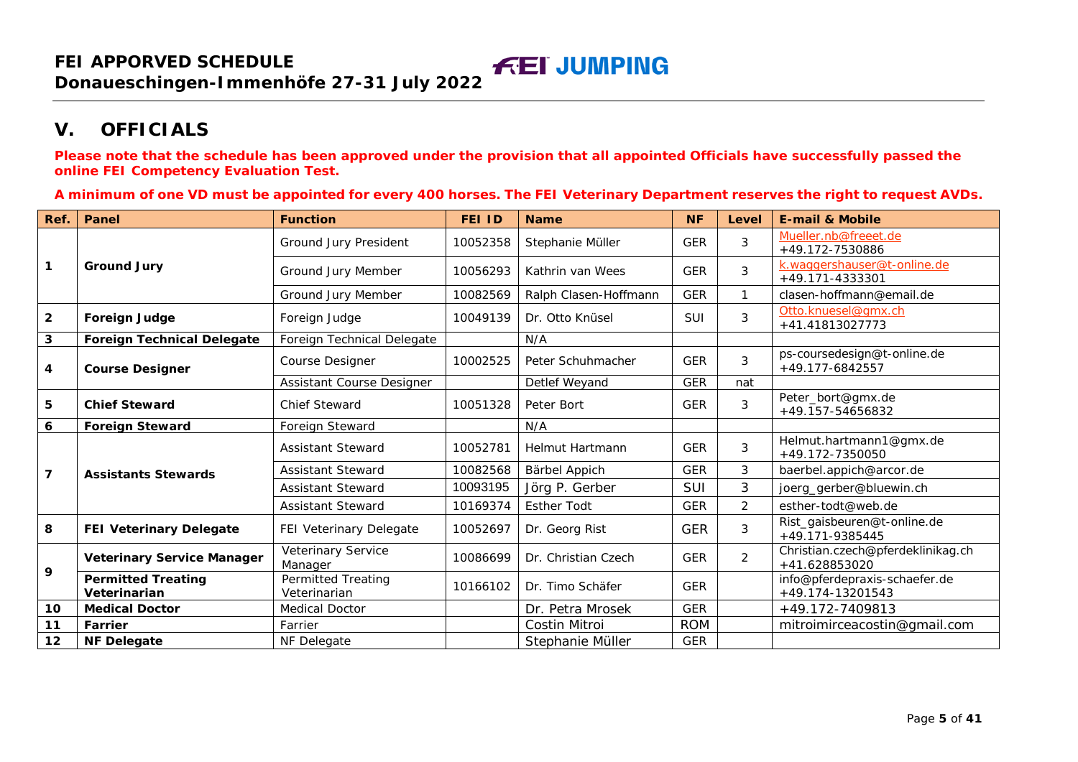# **V. OFFICIALS**

**Please note that the schedule has been approved under the provision that all appointed Officials have successfully passed the online FEI Competency Evaluation Test.**

**A minimum of one VD must be appointed for every 400 horses. The FEI Veterinary Department reserves the right to request AVDs.**

<span id="page-4-0"></span>

| Ref.           | Panel                                     | <b>Function</b>                           | <b>FEI ID</b> | <b>Name</b>           | <b>NF</b>  | Level          | <b>E-mail &amp; Mobile</b>                         |
|----------------|-------------------------------------------|-------------------------------------------|---------------|-----------------------|------------|----------------|----------------------------------------------------|
| 1              | <b>Ground Jury</b>                        | Ground Jury President                     | 10052358      | Stephanie Müller      | <b>GER</b> | 3              | Mueller.nb@freeet.de<br>+49.172-7530886            |
|                |                                           | Ground Jury Member                        | 10056293      | Kathrin van Wees      | <b>GER</b> | 3              | k.waggershauser@t-online.de<br>+49.171-4333301     |
|                |                                           | Ground Jury Member                        | 10082569      | Ralph Clasen-Hoffmann | <b>GER</b> | $\mathbf{1}$   | clasen-hoffmann@email.de                           |
| $\mathbf{2}$   | <b>Foreign Judge</b>                      | Foreign Judge                             | 10049139      | Dr. Otto Knüsel       | <b>SUI</b> | 3              | Otto.knuesel@gmx.ch<br>+41.41813027773             |
| 3              | <b>Foreign Technical Delegate</b>         | Foreign Technical Delegate                |               | N/A                   |            |                |                                                    |
| 4              | <b>Course Designer</b>                    | Course Designer                           | 10002525      | Peter Schuhmacher     | <b>GER</b> | 3              | ps-coursedesign@t-online.de<br>+49.177-6842557     |
|                |                                           | Assistant Course Designer                 |               | Detlef Weyand         | <b>GER</b> | nat            |                                                    |
| 5              | <b>Chief Steward</b>                      | <b>Chief Steward</b>                      | 10051328      | Peter Bort            | <b>GER</b> | 3              | Peter_bort@gmx.de<br>+49.157-54656832              |
| 6              | <b>Foreign Steward</b>                    | <b>Foreign Steward</b>                    |               | N/A                   |            |                |                                                    |
|                | <b>Assistants Stewards</b>                | <b>Assistant Steward</b>                  | 10052781      | Helmut Hartmann       | <b>GER</b> | 3              | Helmut.hartmann1@gmx.de<br>+49.172-7350050         |
| $\overline{7}$ |                                           | <b>Assistant Steward</b>                  | 10082568      | Bärbel Appich         | <b>GER</b> | 3              | baerbel.appich@arcor.de                            |
|                |                                           | <b>Assistant Steward</b>                  | 10093195      | Jörg P. Gerber        | <b>SUI</b> | 3              | joerg_gerber@bluewin.ch                            |
|                |                                           | <b>Assistant Steward</b>                  | 10169374      | <b>Esther Todt</b>    | <b>GER</b> | $\overline{2}$ | esther-todt@web.de                                 |
| 8              | <b>FEI Veterinary Delegate</b>            | FEI Veterinary Delegate                   | 10052697      | Dr. Georg Rist        | <b>GER</b> | 3              | Rist_gaisbeuren@t-online.de<br>+49.171-9385445     |
| 9              | <b>Veterinary Service Manager</b>         | Veterinary Service<br>Manager             | 10086699      | Dr. Christian Czech   | <b>GER</b> | $\overline{2}$ | Christian.czech@pferdeklinikag.ch<br>+41.628853020 |
|                | <b>Permitted Treating</b><br>Veterinarian | <b>Permitted Treating</b><br>Veterinarian | 10166102      | Dr. Timo Schäfer      | <b>GER</b> |                | info@pferdepraxis-schaefer.de<br>+49.174-13201543  |
| 10             | <b>Medical Doctor</b>                     | <b>Medical Doctor</b>                     |               | Dr. Petra Mrosek      | <b>GER</b> |                | +49.172-7409813                                    |
| 11             | Farrier                                   | Farrier                                   |               | <b>Costin Mitroi</b>  | <b>ROM</b> |                | mitroimirceacostin@gmail.com                       |
| 12             | <b>NF Delegate</b>                        | NF Delegate                               |               | Stephanie Müller      | <b>GER</b> |                |                                                    |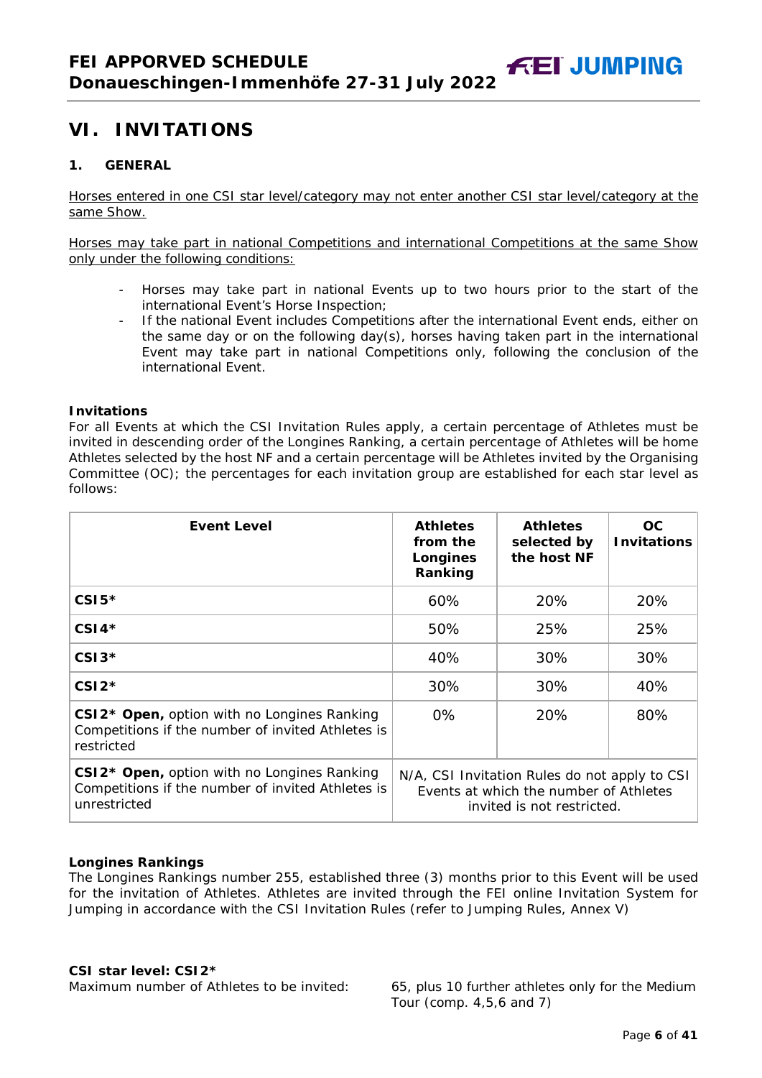# <span id="page-5-0"></span>**VI. INVITATIONS**

# <span id="page-5-1"></span>**1. GENERAL**

Horses entered in one CSI star level/category may not enter another CSI star level/category at the same Show.

Horses may take part in national Competitions and international Competitions at the same Show only under the following conditions:

- Horses may take part in national Events up to two hours prior to the start of the international Event's Horse Inspection;
- If the national Event includes Competitions after the international Event ends, either on the same day or on the following day(s), horses having taken part in the international Event may take part in national Competitions only, following the conclusion of the international Event.

#### **Invitations**

For all Events at which the CSI Invitation Rules apply, a certain percentage of Athletes must be invited in descending order of the Longines Ranking, a certain percentage of Athletes will be home Athletes selected by the host NF and a certain percentage will be Athletes invited by the Organising Committee (OC); the percentages for each invitation group are established for each star level as follows:

| <b>Event Level</b>                                                                                                           | <b>Athletes</b><br>from the<br>Longines<br>Ranking                                                                    | <b>Athletes</b><br>selected by<br>the host NF | OC.<br><b>Invitations</b> |
|------------------------------------------------------------------------------------------------------------------------------|-----------------------------------------------------------------------------------------------------------------------|-----------------------------------------------|---------------------------|
| $CSI5*$                                                                                                                      | 60%                                                                                                                   | 20%                                           | 20%                       |
| $CSI4*$                                                                                                                      | 50%                                                                                                                   | 25%                                           | 25%                       |
| $CSI3*$                                                                                                                      | 40%                                                                                                                   | 30%                                           | 30%                       |
| $CSI2*$                                                                                                                      | 30%                                                                                                                   | 30%                                           | 40%                       |
| CSI2 <sup>*</sup> Open, option with no Longines Ranking<br>Competitions if the number of invited Athletes is<br>restricted   | $0\%$                                                                                                                 | 20%                                           | 80%                       |
| CSI2 <sup>*</sup> Open, option with no Longines Ranking<br>Competitions if the number of invited Athletes is<br>unrestricted | N/A, CSI Invitation Rules do not apply to CSI<br>Events at which the number of Athletes<br>invited is not restricted. |                                               |                           |

#### **Longines Rankings**

The Longines Rankings number 255, established three (3) months prior to this Event will be used for the invitation of Athletes. Athletes are invited through the FEI online Invitation System for Jumping in accordance with the CSI Invitation Rules (refer to Jumping Rules, Annex V)

#### **CSI** *star leve***l: CSI2\***

Maximum number of Athletes to be invited: 65, plus 10 further athletes only for the Medium Tour (comp. 4,5,6 and 7)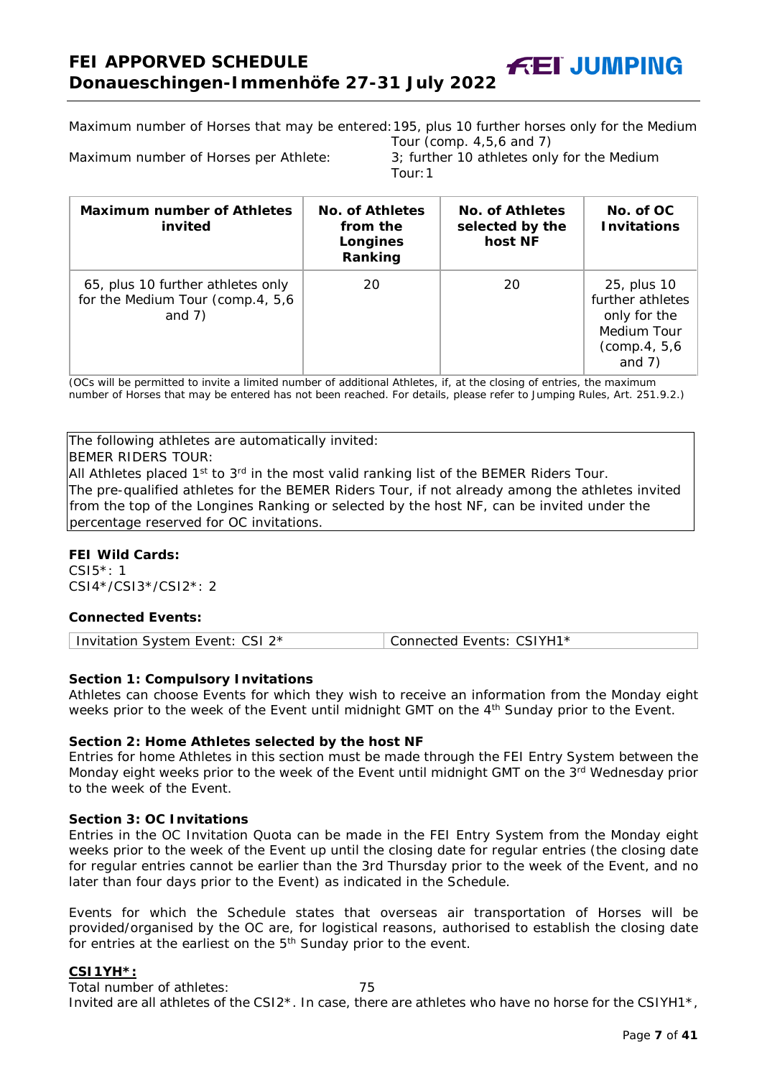Maximum number of Horses that may be entered:195, plus 10 further horses only for the Medium

Tour (comp. 4,5,6 and 7) Maximum number of Horses per Athlete: 3; further 10 athletes only for the Medium Tour:1

| <b>Maximum number of Athletes</b><br>invited                                       | No. of Athletes<br>from the<br>Longines<br>Ranking | No. of Athletes<br>selected by the<br>host NF | No. of OC<br><b>Invitations</b>                                                             |
|------------------------------------------------------------------------------------|----------------------------------------------------|-----------------------------------------------|---------------------------------------------------------------------------------------------|
| 65, plus 10 further athletes only<br>for the Medium Tour (comp.4, 5,6)<br>and $7)$ | 20                                                 | 20                                            | 25, plus 10<br>further athletes<br>only for the<br>Medium Tour<br>(comp.4, 5,6)<br>and $7)$ |

(OCs will be permitted to invite a limited number of additional Athletes, if, at the closing of entries, the maximum number of Horses that may be entered has not been reached. For details, please refer to Jumping Rules, Art. 251.9.2.)

The following athletes are automatically invited:

BEMER RIDERS TOUR:

All Athletes placed  $1<sup>st</sup>$  to  $3<sup>rd</sup>$  in the most valid ranking list of the BEMER Riders Tour. The pre-qualified athletes for the BEMER Riders Tour, if not already among the athletes invited from the top of the Longines Ranking or selected by the host NF, can be invited under the percentage reserved for OC invitations.

#### **FEI Wild Cards:**

CSI5\*: 1 CSI4\*/CSI3\*/CSI2\*: 2

#### **Connected Events:**

# **Section 1: Compulsory Invitations**

Athletes can choose Events for which they wish to receive an information from the Monday eight weeks prior to the week of the Event until midnight GMT on the 4<sup>th</sup> Sunday prior to the Event.

#### **Section 2: Home Athletes selected by the host NF**

Entries for home Athletes in this section must be made through the FEI Entry System between the Monday eight weeks prior to the week of the Event until midnight GMT on the 3<sup>rd</sup> Wednesday prior to the week of the Event.

#### **Section 3: OC Invitations**

Entries in the OC Invitation Quota can be made in the FEI Entry System from the Monday eight weeks prior to the week of the Event up until the closing date for regular entries (the closing date for regular entries cannot be earlier than the 3rd Thursday prior to the week of the Event, and no later than four days prior to the Event) as indicated in the Schedule.

Events for which the Schedule states that overseas air transportation of Horses will be provided/organised by the OC are, for logistical reasons, authorised to establish the closing date for entries at the earliest on the  $5<sup>th</sup>$  Sunday prior to the event.

#### **CSI1YH\*:**

Total number of athletes:  $75$ Invited are all athletes of the CSI2\*. In case, there are athletes who have no horse for the CSIYH1\*,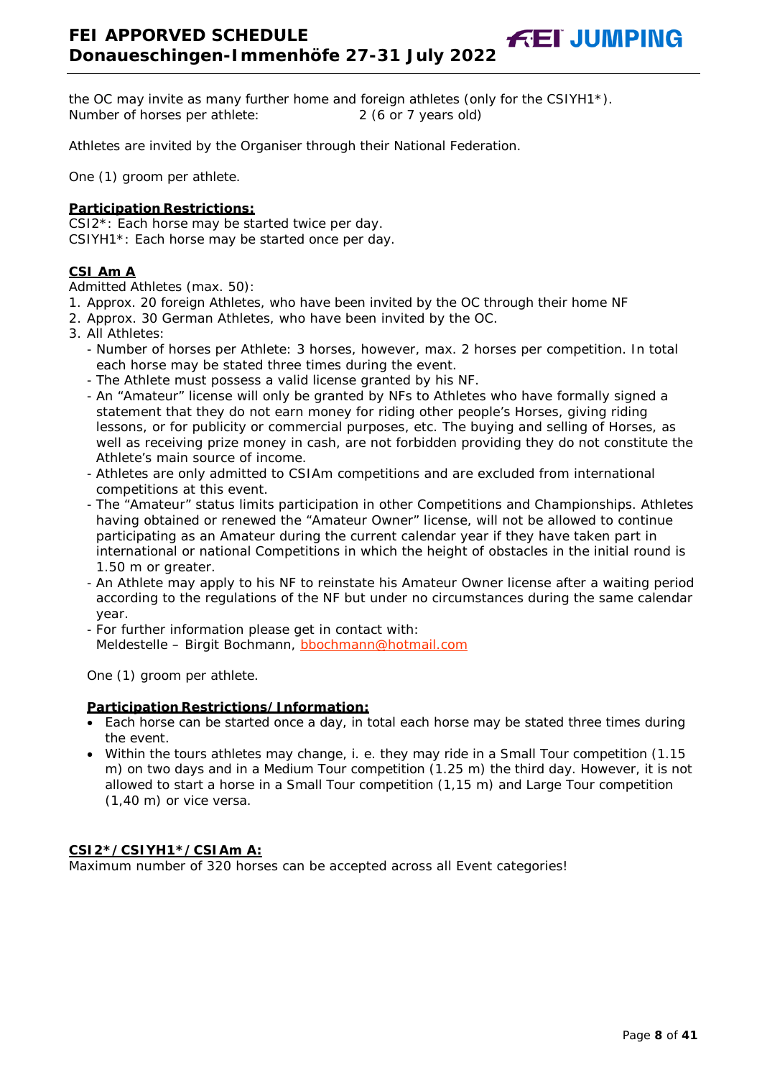the OC may invite as many further home and foreign athletes (only for the CSIYH1\*). Number of horses per athlete: 2 (6 or 7 years old)

Athletes are invited by the Organiser through their National Federation.

One (1) groom per athlete.

#### **Participation Restrictions:**

CSI2\*: Each horse may be started twice per day. CSIYH1\*: Each horse may be started once per day.

#### **CSI Am A**

Admitted Athletes (max. 50):

- 1. Approx. 20 foreign Athletes, who have been invited by the OC through their home NF
- 2. Approx. 30 German Athletes, who have been invited by the OC.
- 3. All Athletes:
	- Number of horses per Athlete: 3 horses, however, max. 2 horses per competition. In total each horse may be stated three times during the event.
	- The Athlete must possess a valid license granted by his NF.
	- An "Amateur" license will only be granted by NFs to Athletes who have formally signed a statement that they do not earn money for riding other people's Horses, giving riding lessons, or for publicity or commercial purposes, etc. The buying and selling of Horses, as well as receiving prize money in cash, are not forbidden providing they do not constitute the Athlete's main source of income.
	- Athletes are only admitted to CSIAm competitions and are excluded from international competitions at this event.
	- The "Amateur" status limits participation in other Competitions and Championships. Athletes having obtained or renewed the "Amateur Owner" license, will not be allowed to continue participating as an Amateur during the current calendar year if they have taken part in international or national Competitions in which the height of obstacles in the initial round is 1.50 m or greater.
	- An Athlete may apply to his NF to reinstate his Amateur Owner license after a waiting period according to the regulations of the NF but under no circumstances during the same calendar year.
	- For further information please get in contact with: Meldestelle - Birgit Bochmann, [bbochmann@hotmail.com](mailto:bbochmann@hotmail.com)

One (1) groom per athlete.

#### **Participation Restrictions/Information:**

- Each horse can be started once a day, in total each horse may be stated three times during the event.
- Within the tours athletes may change, i. e. they may ride in a Small Tour competition (1.15 m) on two days and in a Medium Tour competition (1.25 m) the third day. However, it is not allowed to start a horse in a Small Tour competition (1,15 m) and Large Tour competition (1,40 m) or vice versa.

#### **CSI2\*/CSIYH1\*/CSIAm A:**

Maximum number of 320 horses can be accepted across all Event categories!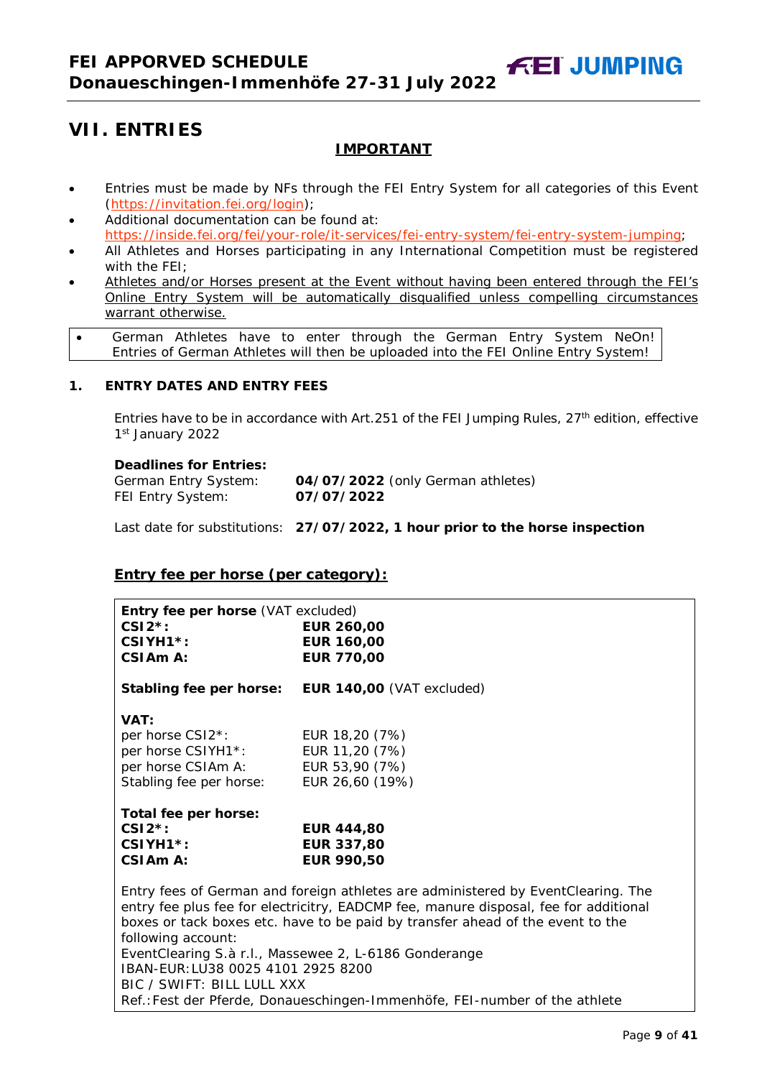# **IMPORTANT**

**FEI JUMPING** 

- <span id="page-8-0"></span>• Entries must be made by NFs through the FEI Entry System for all categories of this Event [\(https://invitation.fei.org/login\)](https://invitation.fei.org/login);
- Additional documentation can be found at: [https://inside.fei.org/fei/your-role/it-services/fei-entry-system/fei-entry-system-jumping;](https://inside.fei.org/fei/your-role/it-services/fei-entry-system/fei-entry-system-jumping)
- All Athletes and Horses participating in any International Competition must be registered with the FEI;
- Athletes and/or Horses present at the Event without having been entered through the FEI's Online Entry System will be automatically disqualified unless compelling circumstances warrant otherwise.
- German Athletes have to enter through the German Entry System NeOn! Entries of German Athletes will then be uploaded into the FEI Online Entry System!

# <span id="page-8-1"></span>**1. ENTRY DATES AND ENTRY FEES**

Entries have to be in accordance with Art.251 of the FEI Jumping Rules, 27<sup>th</sup> edition, effective 1st January 2022

#### **Deadlines for Entries:**

| German Entry System: | 04/07/2022 (only German athletes) |
|----------------------|-----------------------------------|
| FEI Entry System:    | 07/07/2022                        |

Last date for substitutions: **27/07/2022, 1 hour prior to the horse inspection**

# **Entry fee per horse** *(per category):*

| Entry fee per horse (VAT excluded)                                                                                                                                                                                                                         |                           |  |  |  |
|------------------------------------------------------------------------------------------------------------------------------------------------------------------------------------------------------------------------------------------------------------|---------------------------|--|--|--|
| $CSI2^*$ :                                                                                                                                                                                                                                                 | <b>EUR 260,00</b>         |  |  |  |
| CSIYH1*:                                                                                                                                                                                                                                                   | <b>EUR 160,00</b>         |  |  |  |
| CSIA <sub>m</sub> A:                                                                                                                                                                                                                                       | <b>EUR 770,00</b>         |  |  |  |
| Stabling fee per horse:                                                                                                                                                                                                                                    | EUR 140,00 (VAT excluded) |  |  |  |
| VAT:                                                                                                                                                                                                                                                       |                           |  |  |  |
| per horse CSI2 <sup>*</sup> :                                                                                                                                                                                                                              | EUR 18,20 (7%)            |  |  |  |
| per horse CSIYH1*:                                                                                                                                                                                                                                         | EUR 11,20 (7%)            |  |  |  |
| per horse CSIAm A:                                                                                                                                                                                                                                         | EUR 53,90 (7%)            |  |  |  |
| Stabling fee per horse:                                                                                                                                                                                                                                    | EUR 26,60 (19%)           |  |  |  |
| Total fee per horse:                                                                                                                                                                                                                                       |                           |  |  |  |
| $CSI2^*$ :                                                                                                                                                                                                                                                 | <b>EUR 444,80</b>         |  |  |  |
| CSIYH1 <sup>*</sup> :                                                                                                                                                                                                                                      | <b>EUR 337,80</b>         |  |  |  |
| $CSIAmA$ :                                                                                                                                                                                                                                                 | <b>EUR 990.50</b>         |  |  |  |
| Entry fees of German and foreign athletes are administered by EventClearing. The<br>entry fee plus fee for electricitry, EADCMP fee, manure disposal, fee for additional<br>boxes or tack boxes etc. have to be paid by transfer ahead of the event to the |                           |  |  |  |
| following account:                                                                                                                                                                                                                                         |                           |  |  |  |
| EventClearing S.à r.l., Massewee 2, L-6186 Gonderange<br>IBAN-EUR: LU38 0025 4101 2925 8200                                                                                                                                                                |                           |  |  |  |
| BIC / SWIFT: BILL LULL XXX                                                                                                                                                                                                                                 |                           |  |  |  |
| Ref.: Fest der Pferde, Donaueschingen-Immenhöfe, FEI-number of the athlete                                                                                                                                                                                 |                           |  |  |  |
|                                                                                                                                                                                                                                                            |                           |  |  |  |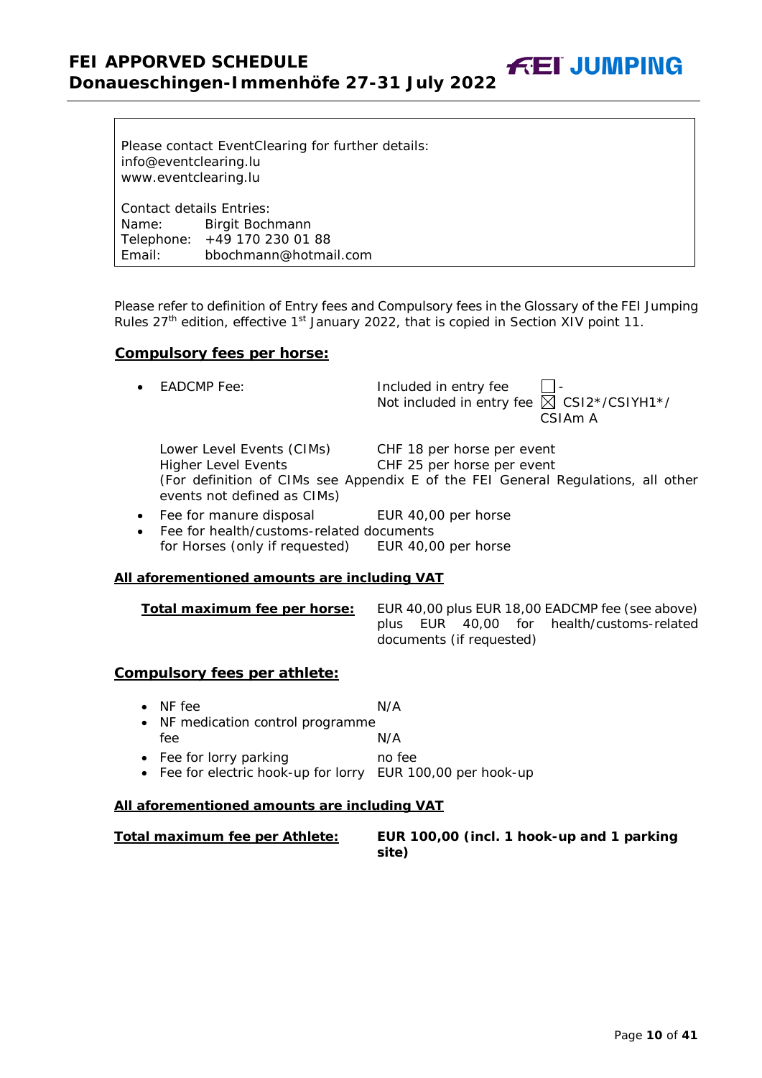Please contact EventClearing for further details: info@eventclearing.lu www.eventclearing.lu

Contact details Entries: Name: Birgit Bochmann Telephone: +49 170 230 01 88 Email: bbochmann@hotmail.com

Please refer to definition of Entry fees and Compulsory fees in the Glossary of the FEI Jumping Rules  $27<sup>th</sup>$  edition, effective 1<sup>st</sup> January 2022, that is copied in Section XIV point 11.

**FEI JUMPING** 

# **Compulsory fees per horse:**

| $\bullet$ EADCMP Fee:                                                                  | Included in entry fee<br>Not included in entry fee $\boxtimes$ CSI2*/CSIYH1*/<br>CSIA <sub>m</sub> A                                         |
|----------------------------------------------------------------------------------------|----------------------------------------------------------------------------------------------------------------------------------------------|
| Lower Level Events (CIMs)<br><b>Higher Level Events</b><br>events not defined as CIMs) | CHF 18 per horse per event<br>CHF 25 per horse per event<br>(For definition of CIMs see Appendix E of the FEI General Regulations, all other |
| • Fee for manure disposal                                                              | EUR 40,00 per horse                                                                                                                          |

• Fee for health/customs-related documents for Horses (only if requested) EUR 40,00 per horse

#### **All aforementioned amounts are including VAT**

| Total maximum fee per horse: |  |                          | EUR 40,00 plus EUR 18,00 EADCMP fee (see above) |
|------------------------------|--|--------------------------|-------------------------------------------------|
|                              |  |                          | plus EUR 40,00 for health/customs-related       |
|                              |  | documents (if requested) |                                                 |

#### **Compulsory fees per athlete:**

• NF fee N/A • NF medication control programme<br>fee N/A fee N/A • Fee for lorry parking no fee • Fee for electric hook-up for lorry EUR 100,00 per hook-up

# **All aforementioned amounts are including VAT**

<span id="page-9-0"></span>

| Total maximum fee per Athlete: \ | EUR 100,00 (incl. 1 hook-up and 1 parking |
|----------------------------------|-------------------------------------------|
|                                  | site)                                     |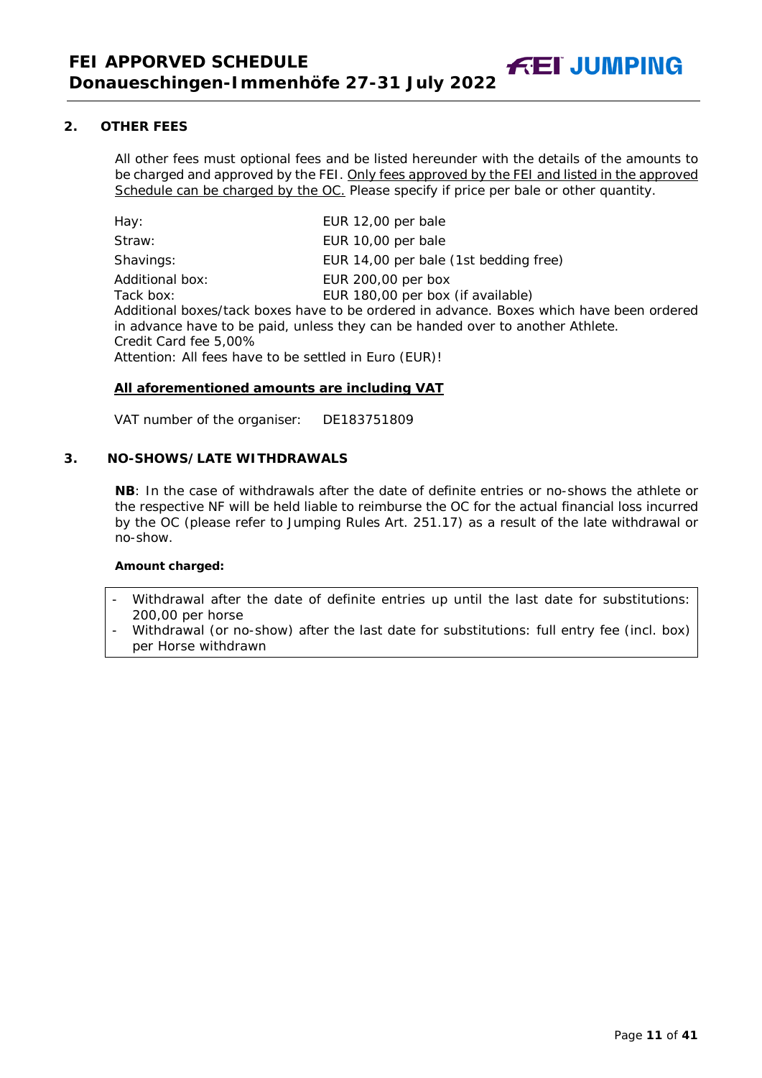**2. OTHER FEES**

All other fees must optional fees and be listed hereunder with the details of the amounts to be charged and approved by the FEI. Only fees approved by the FEI and listed in the approved Schedule can be charged by the OC. *Please specify if price per bale or other quantity.*

**FEI JUMPING** 

| Hay:                                                                                                           | EUR 12,00 per bale                                                                                                                                                                                                                    |
|----------------------------------------------------------------------------------------------------------------|---------------------------------------------------------------------------------------------------------------------------------------------------------------------------------------------------------------------------------------|
| Straw:                                                                                                         | EUR 10,00 per bale                                                                                                                                                                                                                    |
| Shavings:                                                                                                      | EUR 14,00 per bale (1st bedding free)                                                                                                                                                                                                 |
| Additional box:<br>Tack box:<br>Credit Card fee 5,00%<br>Attention: All fees have to be settled in Euro (EUR)! | EUR 200,00 per box<br>EUR 180,00 per box (if available)<br>Additional boxes/tack boxes have to be ordered in advance. Boxes which have been ordered<br>in advance have to be paid, unless they can be handed over to another Athlete. |

# **All aforementioned amounts are including VAT**

VAT number of the organiser: DE183751809

#### <span id="page-10-0"></span>**3. NO-SHOWS/LATE WITHDRAWALS**

**NB**: In the case of withdrawals after the date of definite entries or no-shows the athlete or the respective NF will be held liable to reimburse the OC for the actual financial loss incurred by the OC (please refer to Jumping Rules Art. 251.17) as a result of the late withdrawal or no-show.

#### **Amount charged:**

- Withdrawal after the date of definite entries up until the last date for substitutions: 200,00 per horse
- Withdrawal (or no-show) after the last date for substitutions: full entry fee (incl. box) per Horse withdrawn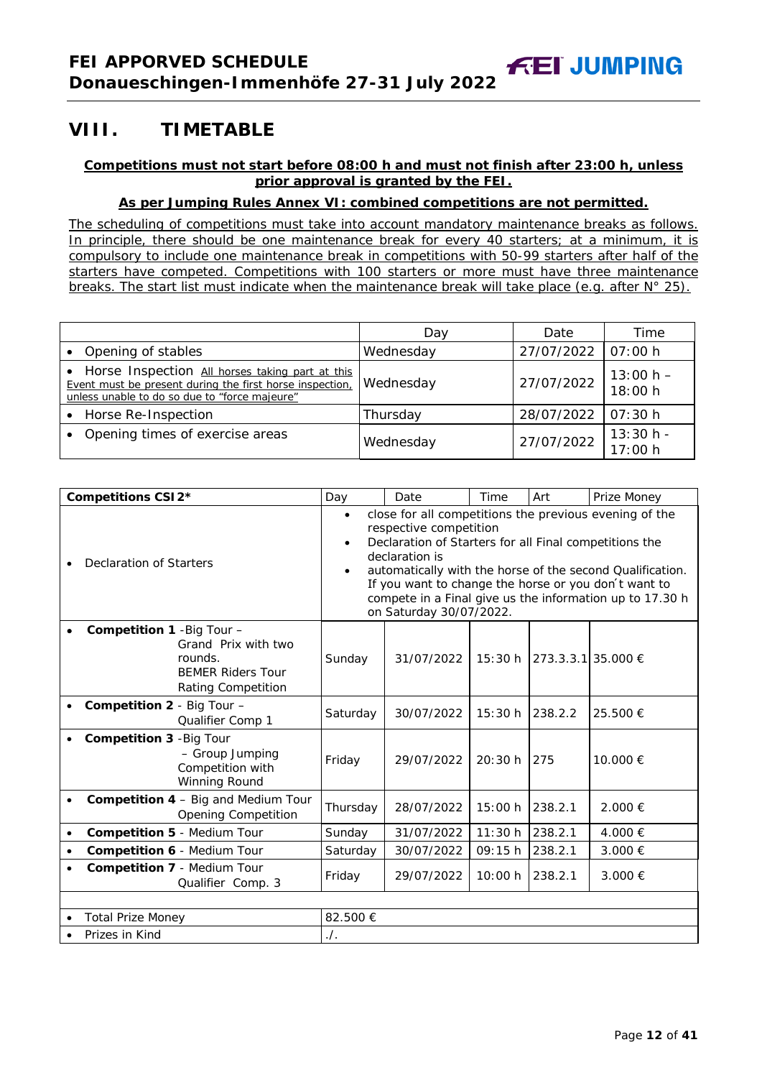# <span id="page-11-0"></span>**VIII. TIMETABLE**

# **Competitions must not start before 08:00 h and must not finish after 23:00 h, unless prior approval is granted by the FEI.**

# **As per Jumping Rules Annex VI: combined competitions are not permitted.**

*The scheduling of competitions must take into account mandatory maintenance breaks as follows. In principle, there should be one maintenance break for every 40 starters; at a minimum, it is compulsory to include one maintenance break in competitions with 50-99 starters after half of the starters have competed. Competitions with 100 starters or more must have three maintenance breaks. The start list must indicate when the maintenance break will take place (e.g. after N° 25).*

|                                                                                                                                                              | Day       | Date       | Time                   |
|--------------------------------------------------------------------------------------------------------------------------------------------------------------|-----------|------------|------------------------|
| Opening of stables                                                                                                                                           | Wednesday | 27/07/2022 | 07:00 h                |
| Horse Inspection All horses taking part at this<br>Event must be present during the first horse inspection,<br>unless unable to do so due to "force majeure" | Wednesday | 27/07/2022 | $13:00 h -$<br>18:00 h |
| Horse Re-Inspection                                                                                                                                          | Thursday  | 28/07/2022 | 07:30 h                |
| Opening times of exercise areas                                                                                                                              | Wednesday | 27/07/2022 | $13:30 h -$<br>17:00 h |

|           | Competitions CSI2*                                                                                                           | Day                                 | Date                                                                                                                          | Time    | Art                     | Prize Money                                                                                                                                                                                                                             |
|-----------|------------------------------------------------------------------------------------------------------------------------------|-------------------------------------|-------------------------------------------------------------------------------------------------------------------------------|---------|-------------------------|-----------------------------------------------------------------------------------------------------------------------------------------------------------------------------------------------------------------------------------------|
|           | Declaration of Starters                                                                                                      | $\bullet$<br>$\bullet$<br>$\bullet$ | respective competition<br>Declaration of Starters for all Final competitions the<br>declaration is<br>on Saturday 30/07/2022. |         |                         | close for all competitions the previous evening of the<br>automatically with the horse of the second Qualification.<br>If you want to change the horse or you don't want to<br>compete in a Final give us the information up to 17.30 h |
|           | <b>Competition 1 - Big Tour -</b><br>Grand Prix with two<br>rounds.<br><b>BEMER Riders Tour</b><br><b>Rating Competition</b> | Sunday                              | 31/07/2022                                                                                                                    | 15:30 h | $ 273.3.3.1 35.000 \in$ |                                                                                                                                                                                                                                         |
|           | <b>Competition 2 - Big Tour -</b><br>Qualifier Comp 1                                                                        | Saturday                            | 30/07/2022                                                                                                                    | 15:30 h | 238.2.2                 | 25.500 €                                                                                                                                                                                                                                |
|           | Competition 3 - Big Tour<br>- Group Jumping<br>Competition with<br>Winning Round                                             | Friday                              | 29/07/2022                                                                                                                    | 20:30h  | 275                     | 10.000 €                                                                                                                                                                                                                                |
|           | <b>Competition 4 - Big and Medium Tour</b><br><b>Opening Competition</b>                                                     | Thursday                            | 28/07/2022                                                                                                                    | 15:00 h | 238.2.1                 | 2.000 €                                                                                                                                                                                                                                 |
| $\bullet$ | Competition 5 - Medium Tour                                                                                                  | Sunday                              | 31/07/2022                                                                                                                    | 11:30 h | 238.2.1                 | 4.000 €                                                                                                                                                                                                                                 |
| $\bullet$ | Competition 6 - Medium Tour                                                                                                  | Saturday                            | 30/07/2022                                                                                                                    | 09:15h  | 238.2.1                 | 3.000 €                                                                                                                                                                                                                                 |
| $\bullet$ | Competition 7 - Medium Tour<br>Qualifier Comp. 3                                                                             | Friday                              | 29/07/2022                                                                                                                    | 10:00 h | 238.2.1                 | 3.000 €                                                                                                                                                                                                                                 |
|           |                                                                                                                              |                                     |                                                                                                                               |         |                         |                                                                                                                                                                                                                                         |
|           | <b>Total Prize Money</b>                                                                                                     | 82.500€                             |                                                                                                                               |         |                         |                                                                                                                                                                                                                                         |
|           | Prizes in Kind                                                                                                               | $.$ /.                              |                                                                                                                               |         |                         |                                                                                                                                                                                                                                         |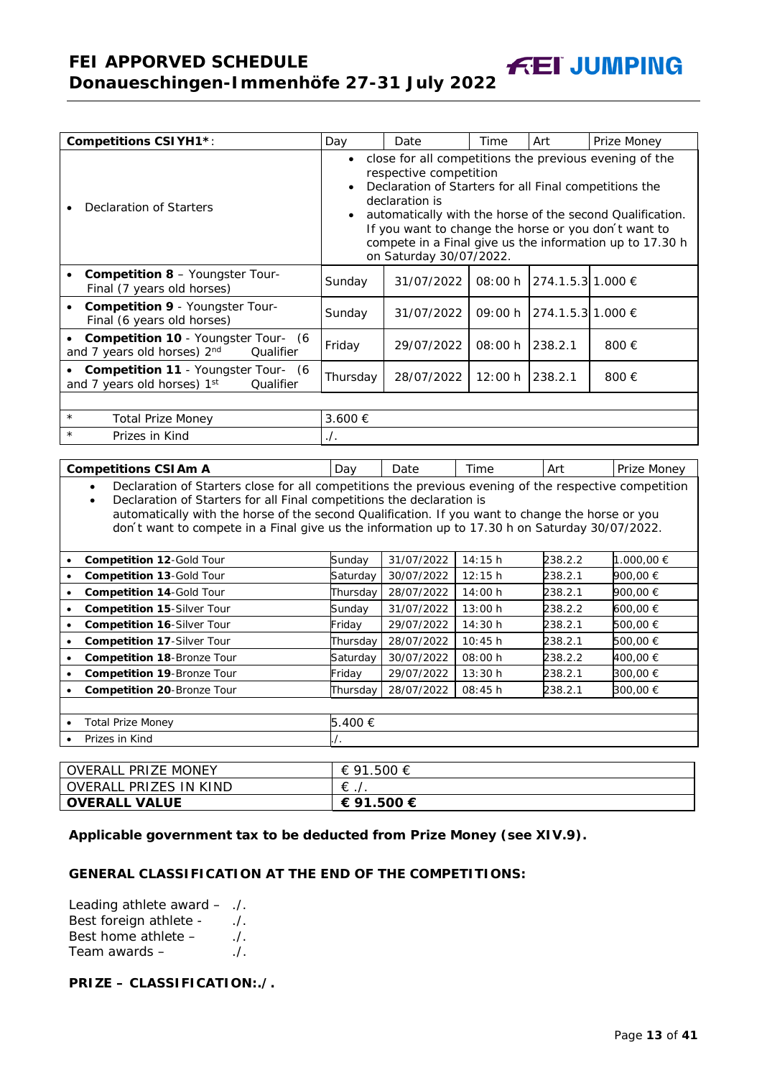**FEI APPORVED SCHEDULE Donaueschingen-Immenhöfe 27-31 July 2022**

| <b>Competitions CSI YH1*:</b>                                                                                                                                                                                                                                                                                                                                                                                  | Day              | Date                                                                                                                          | Time    | Art               | Prize Money                                                                                                                                                                                                                             |
|----------------------------------------------------------------------------------------------------------------------------------------------------------------------------------------------------------------------------------------------------------------------------------------------------------------------------------------------------------------------------------------------------------------|------------------|-------------------------------------------------------------------------------------------------------------------------------|---------|-------------------|-----------------------------------------------------------------------------------------------------------------------------------------------------------------------------------------------------------------------------------------|
| Declaration of Starters                                                                                                                                                                                                                                                                                                                                                                                        |                  | respective competition<br>Declaration of Starters for all Final competitions the<br>declaration is<br>on Saturday 30/07/2022. |         |                   | close for all competitions the previous evening of the<br>automatically with the horse of the second Qualification.<br>If you want to change the horse or you don't want to<br>compete in a Final give us the information up to 17.30 h |
| <b>Competition 8 - Youngster Tour-</b><br>$\bullet$<br>Final (7 years old horses)                                                                                                                                                                                                                                                                                                                              | Sunday           | 31/07/2022                                                                                                                    | 08:00 h | 274.1.5.3 1.000 € |                                                                                                                                                                                                                                         |
| Competition 9 - Youngster Tour-<br>Final (6 years old horses)                                                                                                                                                                                                                                                                                                                                                  | Sunday           | 31/07/2022                                                                                                                    | 09:00 h | 274.1.5.3 1.000 € |                                                                                                                                                                                                                                         |
| Competition 10 - Youngster Tour- (6<br>and 7 years old horses) 2nd<br>Qualifier                                                                                                                                                                                                                                                                                                                                | Friday           | 29/07/2022                                                                                                                    | 08:00 h | 238.2.1           | 800€                                                                                                                                                                                                                                    |
| Competition 11 - Youngster Tour- (6<br>and 7 years old horses) 1st<br>Qualifier                                                                                                                                                                                                                                                                                                                                | Thursday         | 28/07/2022                                                                                                                    | 12:00 h | 238.2.1           | 800€                                                                                                                                                                                                                                    |
|                                                                                                                                                                                                                                                                                                                                                                                                                |                  |                                                                                                                               |         |                   |                                                                                                                                                                                                                                         |
| $\star$<br><b>Total Prize Money</b>                                                                                                                                                                                                                                                                                                                                                                            | 3.600 €          |                                                                                                                               |         |                   |                                                                                                                                                                                                                                         |
| $\star$<br>Prizes in Kind                                                                                                                                                                                                                                                                                                                                                                                      | $\Lambda$ .      |                                                                                                                               |         |                   |                                                                                                                                                                                                                                         |
|                                                                                                                                                                                                                                                                                                                                                                                                                |                  |                                                                                                                               |         |                   |                                                                                                                                                                                                                                         |
| <b>Competitions CSI Am A</b>                                                                                                                                                                                                                                                                                                                                                                                   | Day              | Date                                                                                                                          | Time    | Art               | Prize Money                                                                                                                                                                                                                             |
| Declaration of Starters close for all competitions the previous evening of the respective competition<br>$\bullet$<br>Declaration of Starters for all Final competitions the declaration is<br>$\bullet$<br>automatically with the horse of the second Qualification. If you want to change the horse or you<br>don't want to compete in a Final give us the information up to 17.30 h on Saturday 30/07/2022. |                  |                                                                                                                               |         |                   |                                                                                                                                                                                                                                         |
| Competition 12-Gold Tour                                                                                                                                                                                                                                                                                                                                                                                       | Sunday           | 31/07/2022                                                                                                                    | 14:15h  | 238.2.2           | 1.000,00 €                                                                                                                                                                                                                              |
| Competition 13-Gold Tour<br>٠                                                                                                                                                                                                                                                                                                                                                                                  | Saturday         | 30/07/2022                                                                                                                    | 12:15h  | 238.2.1           | 900,00 €                                                                                                                                                                                                                                |
| <b>Competition 14-Gold Tour</b><br>$\bullet$                                                                                                                                                                                                                                                                                                                                                                   | Thursday         | 28/07/2022                                                                                                                    | 14:00 h | 238.2.1           | 900,00 €                                                                                                                                                                                                                                |
| Competition 15-Silver Tour                                                                                                                                                                                                                                                                                                                                                                                     | Sunday           | 31/07/2022                                                                                                                    | 13:00 h | 238.2.2           | 600,00 €                                                                                                                                                                                                                                |
| Competition 16-Silver Tour                                                                                                                                                                                                                                                                                                                                                                                     | Friday           | 29/07/2022                                                                                                                    | 14:30 h | 238.2.1           | 500,00 €                                                                                                                                                                                                                                |
| Competition 17-Silver Tour<br>$\bullet$                                                                                                                                                                                                                                                                                                                                                                        | Thursday         | 28/07/2022                                                                                                                    | 10:45 h | 238.2.1           | 500,00 €                                                                                                                                                                                                                                |
| Competition 18-Bronze Tour<br>$\bullet$                                                                                                                                                                                                                                                                                                                                                                        | Saturday         | 30/07/2022                                                                                                                    | 08:00 h | 238.2.2           | 400,00 €                                                                                                                                                                                                                                |
| Competition 19-Bronze Tour<br>$\bullet$                                                                                                                                                                                                                                                                                                                                                                        | Friday           | 29/07/2022                                                                                                                    | 13:30 h | 238.2.1           | 300,00 €                                                                                                                                                                                                                                |
| Competition 20-Bronze Tour<br>$\bullet$                                                                                                                                                                                                                                                                                                                                                                        | Thursday         | 28/07/2022                                                                                                                    | 08:45 h | 238.2.1           | 300,00 €                                                                                                                                                                                                                                |
|                                                                                                                                                                                                                                                                                                                                                                                                                |                  |                                                                                                                               |         |                   |                                                                                                                                                                                                                                         |
| <b>Total Prize Money</b>                                                                                                                                                                                                                                                                                                                                                                                       | 5.400 €          |                                                                                                                               |         |                   |                                                                                                                                                                                                                                         |
| Prizes in Kind                                                                                                                                                                                                                                                                                                                                                                                                 | $\overline{I}$ . |                                                                                                                               |         |                   |                                                                                                                                                                                                                                         |
|                                                                                                                                                                                                                                                                                                                                                                                                                |                  |                                                                                                                               |         |                   |                                                                                                                                                                                                                                         |
| <b>OVERALL PRIZE MONEY</b>                                                                                                                                                                                                                                                                                                                                                                                     | € 91.500 €       |                                                                                                                               |         |                   |                                                                                                                                                                                                                                         |
| <b>OVERALL PRIZES IN KIND</b>                                                                                                                                                                                                                                                                                                                                                                                  | $\in$ ./.        |                                                                                                                               |         |                   |                                                                                                                                                                                                                                         |

**Applicable government tax to be deducted from Prize Money (see XIV.9).**

#### **GENERAL CLASSIFICATION AT THE END OF THE COMPETITIONS:**

**OVERALL VALUE € 91.500 €**

Leading athlete award – ./. Best foreign athlete - ./. Best home athlete  $-$ Team awards – ...

**PRIZE – CLASSIFICATION:./.**

**FEI JUMPING**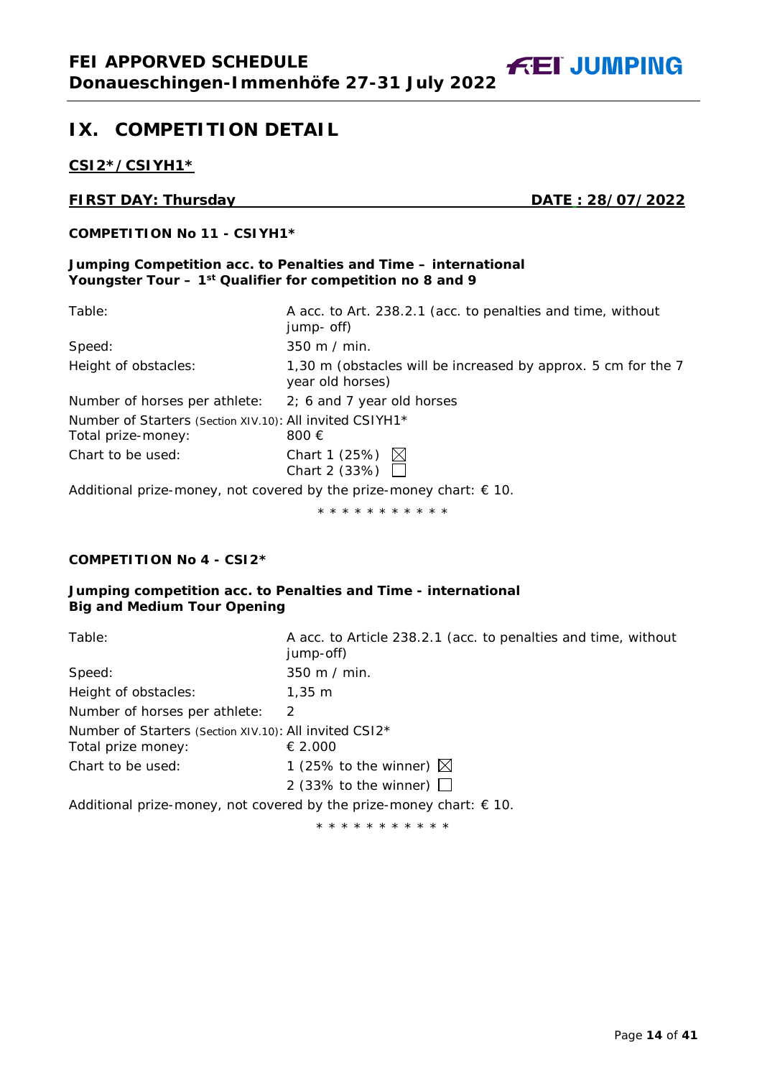**FEI JUMPING** 

# <span id="page-13-0"></span>**IX. COMPETITION DETAIL**

**CSI2\*/CSIYH1\***

# **FIRST DAY: Thursday DATE : 28/07/2022**

# **COMPETITION No 11 - CSIYH1\***

#### **Jumping Competition acc. to Penalties and Time – international Youngster Tour – 1st Qualifier for competition no 8 and 9**

| Table:                                                                         | A acc. to Art. 238.2.1 (acc. to penalties and time, without<br>jump- off)         |
|--------------------------------------------------------------------------------|-----------------------------------------------------------------------------------|
| Speed:                                                                         | $350 \text{ m}$ / min.                                                            |
| Height of obstacles:                                                           | 1,30 m (obstacles will be increased by approx. 5 cm for the 7<br>year old horses) |
| Number of horses per athlete:                                                  | 2; 6 and 7 year old horses                                                        |
| Number of Starters (Section XIV.10): All invited CSIYH1*<br>Total prize-money: | 800 €                                                                             |
| Chart to be used:                                                              | Chart 1 (25%) $\boxtimes$<br>Chart 2 (33%) $\Box$                                 |
|                                                                                | Additional prize-money, not covered by the prize-money chart: $\epsilon$ 10.      |

\* \* \* \* \* \* \* \* \* \* \*

# **COMPETITION No 4 - CSI2\***

# **Jumping competition acc. to Penalties and Time - international Big and Medium Tour Opening**

| Table:                                                                       | A acc. to Article 238.2.1 (acc. to penalties and time, without<br>jump-off) |
|------------------------------------------------------------------------------|-----------------------------------------------------------------------------|
| Speed:                                                                       | 350 m / min.                                                                |
| Height of obstacles:                                                         | $1,35 \; \text{m}$                                                          |
| Number of horses per athlete:                                                | $\mathcal{P}$                                                               |
| Number of Starters (Section XIV.10): All invited CSI2*<br>Total prize money: | € 2.000                                                                     |
| Chart to be used:                                                            | 1 (25% to the winner) $\boxtimes$                                           |
|                                                                              | 2 (33% to the winner) $\Box$                                                |
|                                                                              | Additional prize-money, not covered by the prize-money chart: $\in$ 10.     |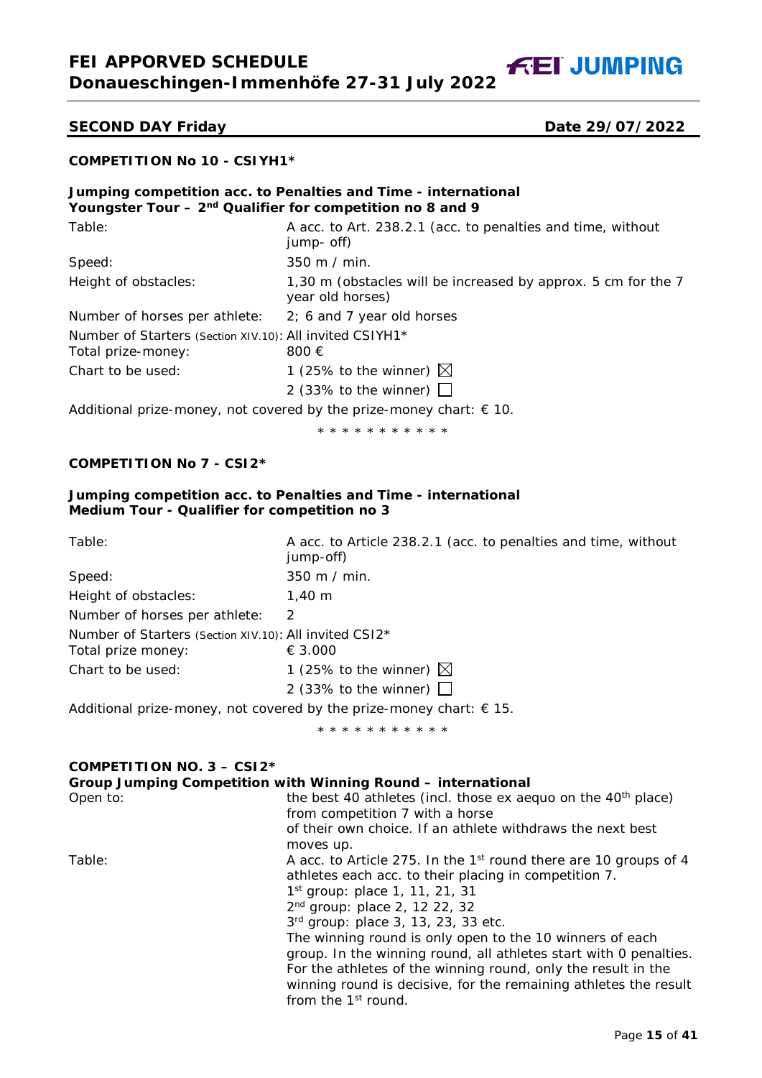**FEI APPORVED SCHEDULE Donaueschingen-Immenhöfe 27-31 July 2022**

**FEI JUMPING** 

#### **SECOND DAY Friday Date 29/07/2022**

# **COMPETITION No 10 - CSIYH1\***

# **Jumping competition acc. to Penalties and Time - international Youngster Tour – 2nd Qualifier for competition no 8 and 9**

| Table:                                                   | A acc. to Art. 238.2.1 (acc. to penalties and time, without<br>jump- off)         |
|----------------------------------------------------------|-----------------------------------------------------------------------------------|
| Speed:                                                   | 350 m / min.                                                                      |
| Height of obstacles:                                     | 1,30 m (obstacles will be increased by approx. 5 cm for the 7<br>year old horses) |
| Number of horses per athlete:                            | $2; 6$ and 7 year old horses                                                      |
| Number of Starters (Section XIV.10): All invited CSIYH1* |                                                                                   |
| Total prize-money:                                       | 800 €                                                                             |
| Chart to be used:                                        | 1 (25% to the winner) $\boxtimes$                                                 |
|                                                          | 2 (33% to the winner) $\Box$                                                      |
|                                                          |                                                                                   |

Additional prize-money, not covered by the prize-money chart:  $\epsilon$  10.

\* \* \* \* \* \* \* \* \* \* \*

# **COMPETITION No 7 - CSI2\***

#### **Jumping competition acc. to Penalties and Time - international Medium Tour - Qualifier for competition no 3**

| Table:                                                                       | A acc. to Article 238.2.1 (acc. to penalties and time, without<br>jump-off) |  |  |  |
|------------------------------------------------------------------------------|-----------------------------------------------------------------------------|--|--|--|
| Speed:                                                                       | $350 \text{ m}$ / min.                                                      |  |  |  |
| Height of obstacles:                                                         | $1.40 \;{\rm m}$                                                            |  |  |  |
| Number of horses per athlete:                                                | $\mathcal{P}$                                                               |  |  |  |
| Number of Starters (Section XIV.10): All invited CSI2*                       |                                                                             |  |  |  |
| Total prize money:                                                           | € 3.000                                                                     |  |  |  |
| Chart to be used:                                                            | 1 (25% to the winner) $\boxtimes$                                           |  |  |  |
|                                                                              | 2 (33% to the winner) $\Box$                                                |  |  |  |
| Additional prize-money, not covered by the prize-money chart: $\epsilon$ 15. |                                                                             |  |  |  |
|                                                                              | * * * * * * * * * * *                                                       |  |  |  |

| COMPETITION NO. $3 - CSI2*$ |                                                                                                                                                                                                                 |
|-----------------------------|-----------------------------------------------------------------------------------------------------------------------------------------------------------------------------------------------------------------|
|                             | Group Jumping Competition with Winning Round – international                                                                                                                                                    |
| Open to:                    | the best 40 athletes (incl. those ex aequo on the 40 <sup>th</sup> place)<br>from competition 7 with a horse                                                                                                    |
|                             | of their own choice. If an athlete withdraws the next best<br>moves up.                                                                                                                                         |
| Table:                      | A acc. to Article 275. In the 1 <sup>st</sup> round there are 10 groups of 4<br>athletes each acc. to their placing in competition 7.<br>$1st$ group: place 1, 11, 21, 31<br>$2^{nd}$ group: place 2, 12 22, 32 |
|                             | 3rd group: place 3, 13, 23, 33 etc.<br>The winning round is only open to the 10 winners of each                                                                                                                 |
|                             | group. In the winning round, all athletes start with 0 penalties.                                                                                                                                               |
|                             | For the athletes of the winning round, only the result in the<br>winning round is decisive, for the remaining athletes the result                                                                               |
|                             | from the 1 <sup>st</sup> round.                                                                                                                                                                                 |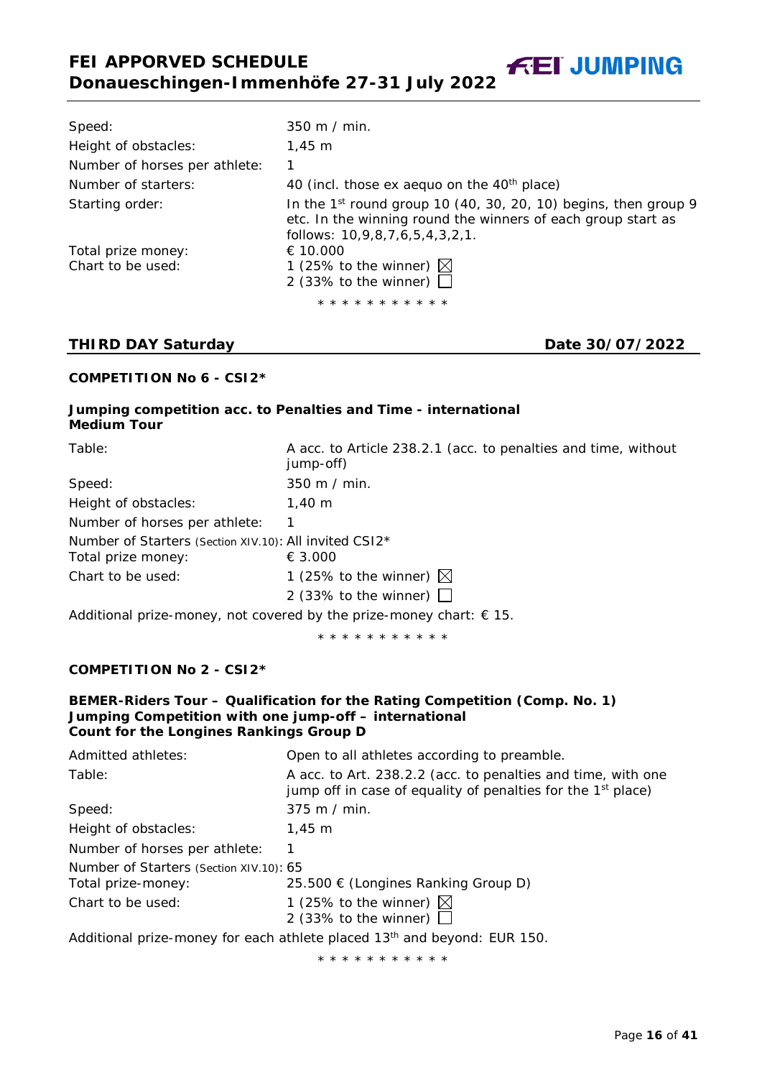Speed: 350 m / min. Height of obstacles: 1,45 m Number of horses per athlete: 1 Number of starters: 40 (incl. those ex aequo on the 40<sup>th</sup> place) Starting order:  $\frac{1}{2}$  In the 1st round group 10 (40, 30, 20, 10) begins, then group 9 etc. In the winning round the winners of each group start as follows: 10,9,8,7,6,5,4,3,2,1. Total prize money:  $\epsilon$  10.000 Chart to be used:  $1$  (25% to the winner)  $\boxtimes$ 2 (33% to the winner)  $\square$ \* \* \* \* \* \* \* \* \* \* \*

# **THIRD DAY Saturday Date 30/07/2022**

#### **COMPETITION No 6 - CSI2\***

|                    | Jumping competition acc. to Penalties and Time - international |
|--------------------|----------------------------------------------------------------|
| <b>Medium Tour</b> |                                                                |

| Table:                                                                       | A acc. to Article 238.2.1 (acc. to penalties and time, without<br>jump-off)                        |
|------------------------------------------------------------------------------|----------------------------------------------------------------------------------------------------|
| Speed:                                                                       | 350 m / min.                                                                                       |
| Height of obstacles:                                                         | $1.40 \;{\rm m}$                                                                                   |
| Number of horses per athlete:                                                |                                                                                                    |
| Number of Starters (Section XIV.10): All invited CSI2*<br>Total prize money: | € 3.000                                                                                            |
| Chart to be used:                                                            | 1 (25% to the winner) $\boxtimes$                                                                  |
|                                                                              | 2 (33% to the winner) $\Box$                                                                       |
|                                                                              | . A shall be seen as a second constant of the subset of the second second second $\alpha$ at $\pi$ |

Additional prize-money, not covered by the prize-money chart:  $\epsilon$  15.

\* \* \* \* \* \* \* \* \* \* \*

#### **COMPETITION No 2 - CSI2\***

#### **BEMER-Riders Tour – Qualification for the Rating Competition (Comp. No. 1) Jumping Competition with one jump-off – international Count for the Longines Rankings Group D**

| Admitted athletes:                                            | Open to all athletes according to preamble.                                                                                              |
|---------------------------------------------------------------|------------------------------------------------------------------------------------------------------------------------------------------|
| Table:                                                        | A acc. to Art. 238.2.2 (acc. to penalties and time, with one<br>jump off in case of equality of penalties for the 1 <sup>st</sup> place) |
| Speed:                                                        | $375$ m / min.                                                                                                                           |
| Height of obstacles:                                          | $1.45 \; m$                                                                                                                              |
| Number of horses per athlete:                                 |                                                                                                                                          |
| Number of Starters (Section XIV.10): 65<br>Total prize-money: | 25.500 € (Longines Ranking Group D)                                                                                                      |
| Chart to be used:                                             | 1 (25% to the winner) $\boxtimes$<br>2 (33% to the winner) $\Box$                                                                        |
|                                                               | Additional prize-money for each athlete placed 13 <sup>th</sup> and beyond: EUR 150.                                                     |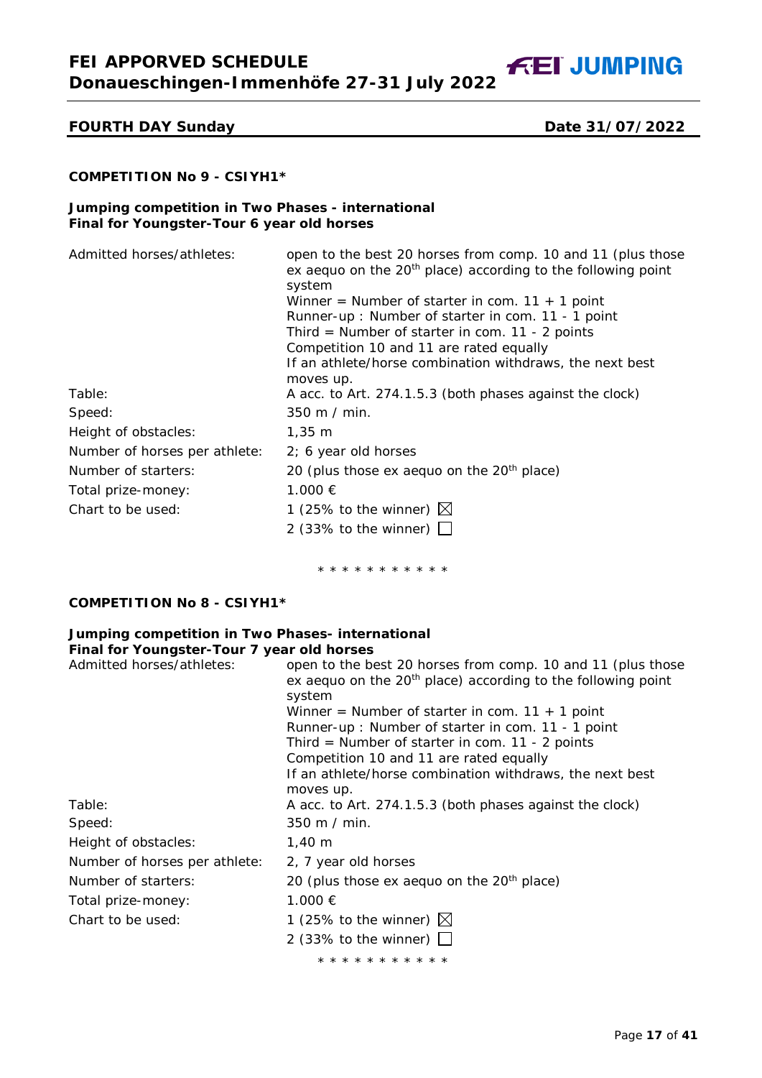**FEI APPORVED SCHEDULE Donaueschingen-Immenhöfe 27-31 July 2022**

**FEI JUMPING** 

# **FOURTH DAY Sunday Date 31/07/2022**

# **COMPETITION No 9 - CSIYH1\***

#### **Jumping competition in Two Phases - international Final for Youngster-Tour 6 year old horses**

| Admitted horses/athletes:     | open to the best 20 horses from comp. 10 and 11 (plus those    |
|-------------------------------|----------------------------------------------------------------|
|                               | ex aequo on the $20th$ place) according to the following point |
|                               | system                                                         |
|                               | Winner = Number of starter in com. $11 + 1$ point              |
|                               | Runner-up: Number of starter in com. 11 - 1 point              |
|                               | Third = Number of starter in com. $11 - 2$ points              |
|                               | Competition 10 and 11 are rated equally                        |
|                               | If an athlete/horse combination withdraws, the next best       |
|                               | moves up.                                                      |
| Table:                        | A acc. to Art. 274.1.5.3 (both phases against the clock)       |
| Speed:                        | 350 m / min.                                                   |
| Height of obstacles:          | $1,35 \; m$                                                    |
| Number of horses per athlete: | 2; 6 year old horses                                           |
| Number of starters:           | 20 (plus those ex aequo on the $20th$ place)                   |
| Total prize-money:            | 1.000 €                                                        |
| Chart to be used:             | 1 (25% to the winner) $\boxtimes$                              |
|                               | 2 (33% to the winner) $\Box$                                   |

\* \* \* \* \* \* \* \* \* \* \*

# **COMPETITION No 8 - CSIYH1\***

#### **Jumping competition in Two Phases- international Final for Youngster-Tour 7 year old horses**

| Admitted horses/athletes:     | open to the best 20 horses from comp. 10 and 11 (plus those<br>ex aequo on the $20th$ place) according to the following point |
|-------------------------------|-------------------------------------------------------------------------------------------------------------------------------|
|                               | system<br>Winner = Number of starter in com. $11 + 1$ point                                                                   |
|                               | Runner-up: Number of starter in com. 11 - 1 point                                                                             |
|                               | Third = Number of starter in com. 11 - 2 points                                                                               |
|                               | Competition 10 and 11 are rated equally                                                                                       |
|                               | If an athlete/horse combination withdraws, the next best<br>moves up.                                                         |
| Table:                        | A acc. to Art. 274.1.5.3 (both phases against the clock)                                                                      |
| Speed:                        | $350 \text{ m}$ / min.                                                                                                        |
| Height of obstacles:          | $1,40 \; m$                                                                                                                   |
| Number of horses per athlete: | 2, 7 year old horses                                                                                                          |
| Number of starters:           | 20 (plus those ex aequo on the $20th$ place)                                                                                  |
| Total prize-money:            | 1.000 €                                                                                                                       |
| Chart to be used:             | 1 (25% to the winner) $\boxtimes$                                                                                             |
|                               | 2 (33% to the winner) $\Box$                                                                                                  |
|                               | * * * * * * * * * * *                                                                                                         |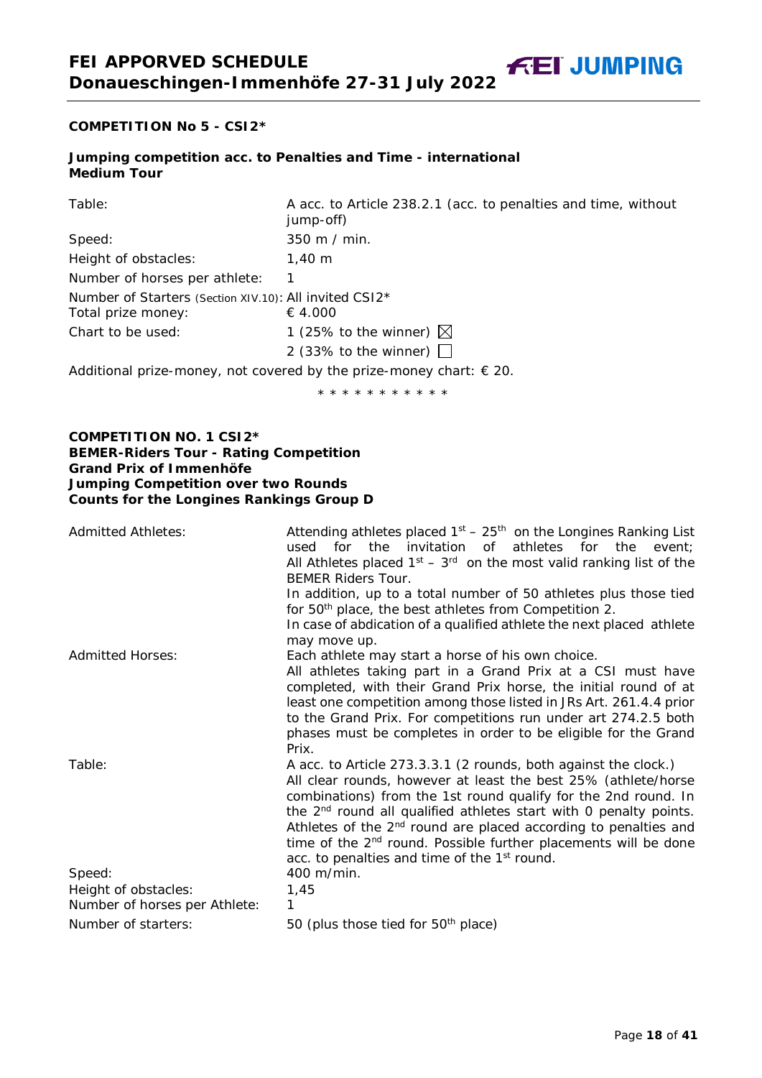**COMPETITION No 5 - CSI2\*** 

#### **Jumping competition acc. to Penalties and Time - international Medium Tour**

| Table:                                                 | A acc. to Article 238.2.1 (acc. to penalties and time, without<br>jump-off) |
|--------------------------------------------------------|-----------------------------------------------------------------------------|
| Speed:                                                 | $350 \text{ m}$ / min.                                                      |
| Height of obstacles:                                   | $1.40 \;{\rm m}$                                                            |
| Number of horses per athlete:                          |                                                                             |
| Number of Starters (Section XIV.10): All invited CSI2* |                                                                             |
| Total prize money:                                     | € 4.000                                                                     |
| Chart to be used:                                      | 1 (25% to the winner) $\boxtimes$                                           |
|                                                        | 2 (33% to the winner) $\Box$                                                |
|                                                        |                                                                             |

Additional prize-money, not covered by the prize-money chart:  $\epsilon$  20.

\* \* \* \* \* \* \* \* \* \* \*

#### **COMPETITION NO. 1 CSI2\* BEMER-Riders Tour - Rating Competition Grand Prix of Immenhöfe Jumping Competition over two Rounds Counts for the Longines Rankings Group D**

| <b>Admitted Athletes:</b>                             | Attending athletes placed $1st - 25th$ on the Longines Ranking List<br>the invitation of athletes for the<br>for<br>used<br>event:<br>All Athletes placed $1st - 3rd$ on the most valid ranking list of the<br><b>BEMER Riders Tour.</b><br>In addition, up to a total number of 50 athletes plus those tied<br>for 50 <sup>th</sup> place, the best athletes from Competition 2.<br>In case of abdication of a qualified athlete the next placed athlete<br>may move up.                                                    |
|-------------------------------------------------------|------------------------------------------------------------------------------------------------------------------------------------------------------------------------------------------------------------------------------------------------------------------------------------------------------------------------------------------------------------------------------------------------------------------------------------------------------------------------------------------------------------------------------|
| <b>Admitted Horses:</b>                               | Each athlete may start a horse of his own choice.<br>All athletes taking part in a Grand Prix at a CSI must have<br>completed, with their Grand Prix horse, the initial round of at<br>least one competition among those listed in JRs Art. 261.4.4 prior<br>to the Grand Prix. For competitions run under art 274.2.5 both<br>phases must be completes in order to be eligible for the Grand<br>Prix.                                                                                                                       |
| Table:<br>Speed:                                      | A acc. to Article 273.3.3.1 (2 rounds, both against the clock.)<br>All clear rounds, however at least the best 25% (athlete/horse<br>combinations) from the 1st round qualify for the 2nd round. In<br>the 2 <sup>nd</sup> round all qualified athletes start with 0 penalty points.<br>Athletes of the 2 <sup>nd</sup> round are placed according to penalties and<br>time of the 2 <sup>nd</sup> round. Possible further placements will be done<br>acc. to penalties and time of the 1 <sup>st</sup> round.<br>400 m/min. |
| Height of obstacles:<br>Number of horses per Athlete: | 1,45<br>1                                                                                                                                                                                                                                                                                                                                                                                                                                                                                                                    |
| Number of starters:                                   | 50 (plus those tied for 50 <sup>th</sup> place)                                                                                                                                                                                                                                                                                                                                                                                                                                                                              |

**FEI JUMPING**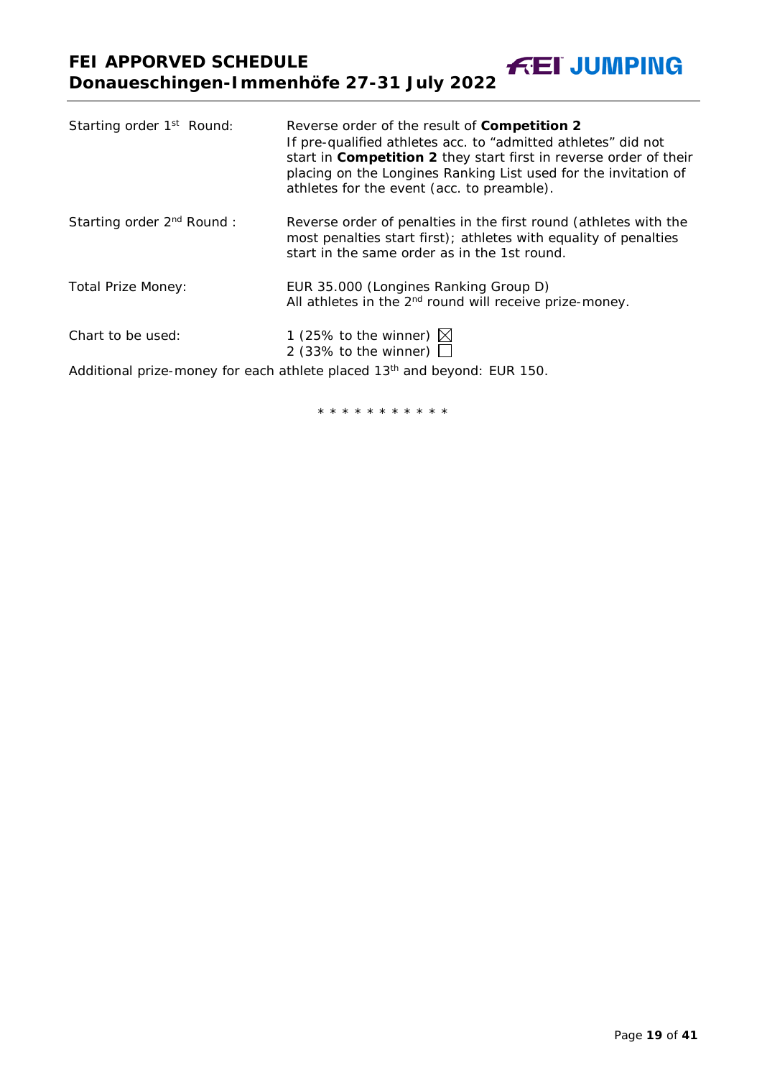| Starting order 1 <sup>st</sup> Round: | Reverse order of the result of Competition 2<br>If pre-qualified athletes acc. to "admitted athletes" did not<br>start in Competition 2 they start first in reverse order of their<br>placing on the Longines Ranking List used for the invitation of<br>athletes for the event (acc. to preamble). |
|---------------------------------------|-----------------------------------------------------------------------------------------------------------------------------------------------------------------------------------------------------------------------------------------------------------------------------------------------------|
| Starting order 2 <sup>nd</sup> Round: | Reverse order of penalties in the first round (athletes with the<br>most penalties start first); athletes with equality of penalties<br>start in the same order as in the 1st round.                                                                                                                |
| <b>Total Prize Money:</b>             | EUR 35.000 (Longines Ranking Group D)<br>All athletes in the 2 <sup>nd</sup> round will receive prize-money.                                                                                                                                                                                        |
| Chart to be used:                     | 1 (25% to the winner) $\boxtimes$<br>2 (33% to the winner) $\Box$                                                                                                                                                                                                                                   |
|                                       | Additional prize-money for each athlete placed 13 <sup>th</sup> and beyond: EUR 150.                                                                                                                                                                                                                |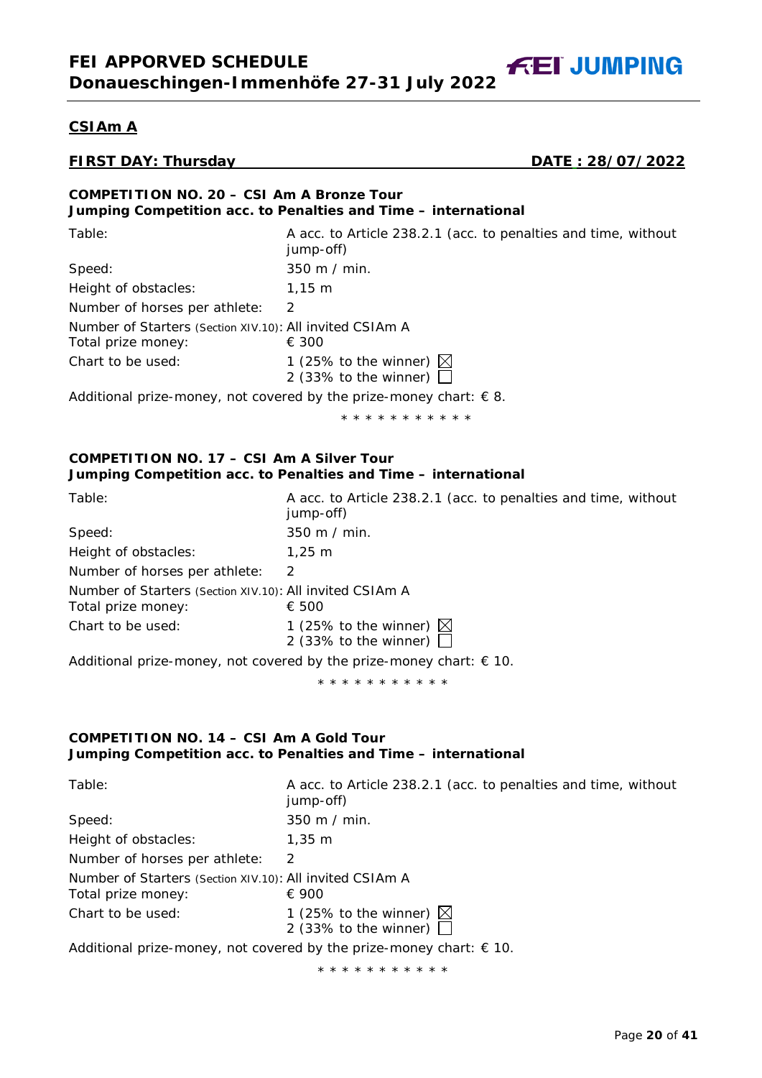**CSIAm A**

**FIRST DAY: Thursday DATE : 28/07/2022**

**FEI JUMPING** 

| COMPETITION NO. 20 - CSI Am A Bronze Tour                      |
|----------------------------------------------------------------|
| Jumping Competition acc. to Penalties and Time - international |

| Table:                                                                         | A acc. to Article 238.2.1 (acc. to penalties and time, without<br>jump-off)                           |
|--------------------------------------------------------------------------------|-------------------------------------------------------------------------------------------------------|
| Speed:                                                                         | 350 m / min.                                                                                          |
| Height of obstacles:                                                           | $1.15 \; m$                                                                                           |
| Number of horses per athlete:                                                  | $\mathcal{P}$                                                                                         |
| Number of Starters (Section XIV.10): All invited CSIAm A<br>Total prize money: | € 300                                                                                                 |
| Chart to be used:                                                              | 1 (25% to the winner) $\boxtimes$<br>2 (33% to the winner) $\Box$                                     |
|                                                                                | A shall be seen as the second of the second control of the second second control of $\alpha$ $\alpha$ |

Additional prize-money, not covered by the prize-money chart:  $\epsilon$  8.

\* \* \* \* \* \* \* \* \* \* \*

#### **COMPETITION NO. 17 – CSI Am A Silver Tour Jumping Competition acc. to Penalties and Time – international**

| Table:                                                                         | A acc. to Article 238.2.1 (acc. to penalties and time, without<br>jump-off) |
|--------------------------------------------------------------------------------|-----------------------------------------------------------------------------|
| Speed:                                                                         | $350 \text{ m}$ / min.                                                      |
| Height of obstacles:                                                           | $1.25 \; m$                                                                 |
| Number of horses per athlete:                                                  | 2                                                                           |
| Number of Starters (Section XIV.10): All invited CSIAm A<br>Total prize money: | € 500                                                                       |
| Chart to be used:                                                              | 1 (25% to the winner) $\boxtimes$<br>2 (33% to the winner) $\Box$           |
|                                                                                |                                                                             |

Additional prize-money, not covered by the prize-money chart:  $\epsilon$  10.

\* \* \* \* \* \* \* \* \* \* \*

#### **COMPETITION NO. 14 – CSI Am A Gold Tour Jumping Competition acc. to Penalties and Time – international**

| Table:                                                                                  | A acc. to Article 238.2.1 (acc. to penalties and time, without<br>jump-off) |  |
|-----------------------------------------------------------------------------------------|-----------------------------------------------------------------------------|--|
| Speed:                                                                                  | $350 \text{ m}$ / min.                                                      |  |
| Height of obstacles:                                                                    | $1.35 \; m$                                                                 |  |
| Number of horses per athlete:                                                           | $\mathcal{P}$                                                               |  |
| Number of Starters (Section XIV.10): All invited CSIAm A<br>Total prize money:<br>€ 900 |                                                                             |  |
| Chart to be used:                                                                       | 1 (25% to the winner) $\boxtimes$<br>2 (33% to the winner) $\Box$           |  |
| Additional prize-money, not covered by the prize-money chart: $\in$ 10.                 |                                                                             |  |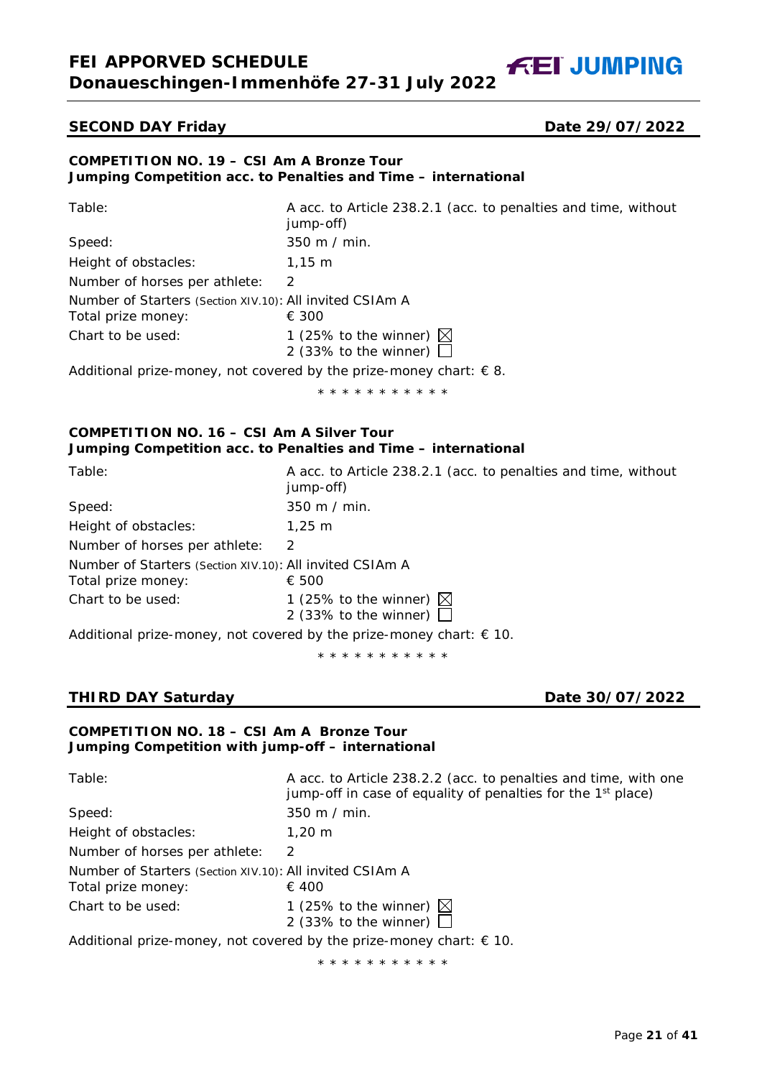# **FEI APPORVED SCHEDULE Donaueschingen-Immenhöfe 27-31 July 2022**

**FEI JUMPING** 

## **SECOND DAY Friday Date 29/07/2022**

#### **COMPETITION NO. 19 – CSI Am A Bronze Tour Jumping Competition acc. to Penalties and Time – international**

| Table:                                                   | A acc. to Article 238.2.1 (acc. to penalties and time, without<br>jump-off)                                     |
|----------------------------------------------------------|-----------------------------------------------------------------------------------------------------------------|
| Speed:                                                   | 350 m / min.                                                                                                    |
| Height of obstacles:                                     | $1,15 \; \text{m}$                                                                                              |
| Number of horses per athlete:                            | 2                                                                                                               |
| Number of Starters (Section XIV.10): All invited CSIAm A |                                                                                                                 |
| Total prize money:                                       | € 300                                                                                                           |
| Chart to be used:                                        | 1 (25% to the winner) $\boxtimes$<br>2 (33% to the winner) $\Box$                                               |
|                                                          | . A والمستقلق والمستقلة المستقلة المستقلة المستقلة المستقلة المستقلة المستقلة المستقلة المستقلة المستقلة المستق |

Additional prize-money, not covered by the prize-money chart:  $\epsilon$  8.

\* \* \* \* \* \* \* \* \* \* \*

# **COMPETITION NO. 16 – CSI Am A Silver Tour Jumping Competition acc. to Penalties and Time – international**

| Table:                                                                         | A acc. to Article 238.2.1 (acc. to penalties and time, without<br>jump-off) |
|--------------------------------------------------------------------------------|-----------------------------------------------------------------------------|
| Speed:                                                                         | 350 m / min.                                                                |
| Height of obstacles:                                                           | $1.25 \; m$                                                                 |
| Number of horses per athlete:                                                  | $\mathcal{P}$                                                               |
| Number of Starters (Section XIV.10): All invited CSIAm A<br>Total prize money: | € 500                                                                       |
| Chart to be used:                                                              | 1 (25% to the winner) $\boxtimes$<br>2 (33% to the winner) $\Box$           |
|                                                                                | Additional prize-money, not covered by the prize-money chart: $\in$ 10.     |

\* \* \* \* \* \* \* \* \* \* \*

# **THIRD DAY Saturday Date 30/07/2022**

# **COMPETITION NO. 18 – CSI Am A Bronze Tour Jumping Competition with jump-off – international**

| Table:                                                                                  | A acc. to Article 238.2.2 (acc. to penalties and time, with one<br>jump-off in case of equality of penalties for the 1 <sup>st</sup> place) |  |
|-----------------------------------------------------------------------------------------|---------------------------------------------------------------------------------------------------------------------------------------------|--|
| Speed:                                                                                  | 350 m / min.                                                                                                                                |  |
| Height of obstacles:                                                                    | $1.20 \;{\rm m}$                                                                                                                            |  |
| Number of horses per athlete:                                                           | $\mathcal{L}$                                                                                                                               |  |
| Number of Starters (Section XIV.10): All invited CSIAm A<br>Total prize money:<br>€ 400 |                                                                                                                                             |  |
| Chart to be used:                                                                       | 1 (25% to the winner) $\boxtimes$<br>2 (33% to the winner) $\Box$                                                                           |  |
| Additional prize-money, not covered by the prize-money chart: $\in$ 10.                 |                                                                                                                                             |  |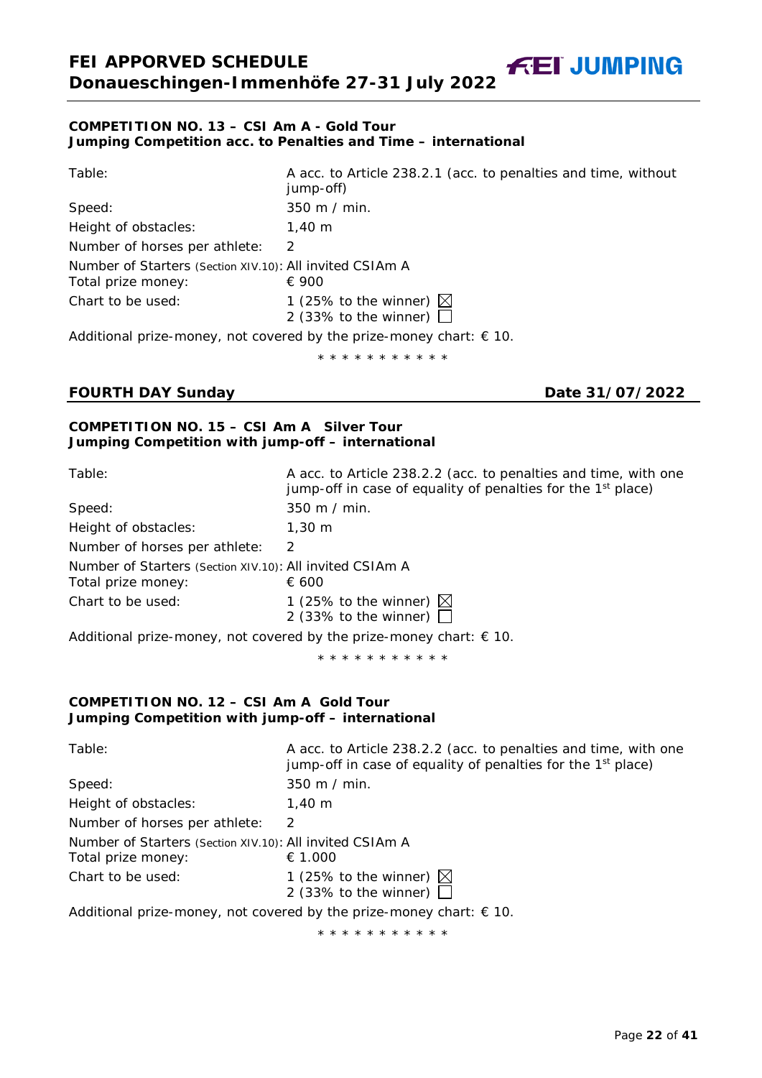#### **COMPETITION NO. 13 – CSI Am A - Gold Tour Jumping Competition acc. to Penalties and Time – international**

| Table:                                                   | A acc. to Article 238.2.1 (acc. to penalties and time, without<br>jump-off)  |  |
|----------------------------------------------------------|------------------------------------------------------------------------------|--|
| Speed:                                                   | 350 m / min.                                                                 |  |
| Height of obstacles:                                     | $1.40 \;{\rm m}$                                                             |  |
| Number of horses per athlete:                            | $\mathcal{P}$                                                                |  |
| Number of Starters (Section XIV.10): All invited CSIAm A |                                                                              |  |
| Total prize money:                                       | € 900                                                                        |  |
| Chart to be used:                                        | 1 (25% to the winner) $\boxtimes$<br>2 (33% to the winner) $\Box$            |  |
|                                                          | Additional prize-money, not covered by the prize-money chart: $\epsilon$ 10. |  |
|                                                          | * * * * * * * * * * *                                                        |  |

# **FOURTH DAY Sunday Date 31/07/2022**

**FEI JUMPING** 

### **COMPETITION NO. 15 – CSI Am A Silver Tour Jumping Competition with jump-off – international**

| Table:                                                                         | A acc. to Article 238.2.2 (acc. to penalties and time, with one<br>jump-off in case of equality of penalties for the 1 <sup>st</sup> place) |  |
|--------------------------------------------------------------------------------|---------------------------------------------------------------------------------------------------------------------------------------------|--|
| Speed:                                                                         | $350 \text{ m}$ / min.                                                                                                                      |  |
| Height of obstacles:                                                           | $1.30 \; \mathrm{m}$                                                                                                                        |  |
| Number of horses per athlete:                                                  | $\mathcal{P}$                                                                                                                               |  |
| Number of Starters (Section XIV.10): All invited CSIAm A<br>Total prize money: | € 600                                                                                                                                       |  |
| Chart to be used:                                                              | 1 (25% to the winner) $\boxtimes$<br>2 (33% to the winner) $\Box$                                                                           |  |
|                                                                                | Additional prize-money, not covered by the prize-money chart: $\epsilon$ 10.                                                                |  |
| * * * * * * * * * * *                                                          |                                                                                                                                             |  |
|                                                                                |                                                                                                                                             |  |

# **COMPETITION NO. 12 – CSI Am A Gold Tour Jumping Competition with jump-off – international**

<span id="page-21-0"></span>

| Table:                                                                         | A acc. to Article 238.2.2 (acc. to penalties and time, with one<br>jump-off in case of equality of penalties for the 1 <sup>st</sup> place) |
|--------------------------------------------------------------------------------|---------------------------------------------------------------------------------------------------------------------------------------------|
| Speed:                                                                         | $350 \text{ m}$ / min.                                                                                                                      |
| Height of obstacles:                                                           | $1.40 \;{\rm m}$                                                                                                                            |
| Number of horses per athlete:                                                  | $\mathcal{L}$                                                                                                                               |
| Number of Starters (Section XIV.10): All invited CSIAm A<br>Total prize money: | € 1.000                                                                                                                                     |
| Chart to be used:                                                              | 1 (25% to the winner) $\boxtimes$<br>2 (33% to the winner) $\Box$                                                                           |
|                                                                                | Additional prize-money, not covered by the prize-money chart: $\in$ 10.                                                                     |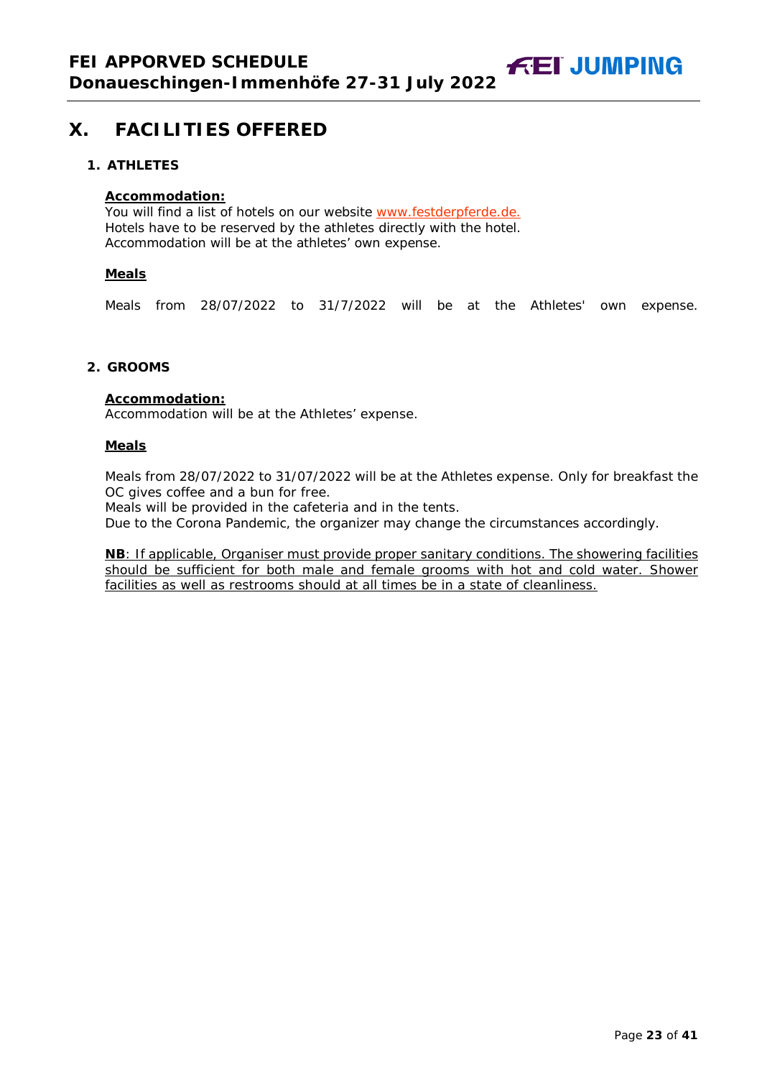**FEI JUMPING** 

# **X. FACILITIES OFFERED**

#### <span id="page-22-0"></span>**1. ATHLETES**

#### **Accommodation:**

You will find a list of hotels on our website [www.festderpferde.de.](http://www.festderpferde.de/) Hotels have to be reserved by the athletes directly with the hotel. Accommodation will be at the athletes' own expense.

#### **Meals**

Meals from 28/07/2022 to 31/7/2022 will be at the Athletes' own expense.

#### <span id="page-22-1"></span>**2. GROOMS**

#### **Accommodation:**

Accommodation will be at the Athletes' expense.

#### **Meals**

Meals from 28/07/2022 to 31/07/2022 will be at the Athletes expense. Only for breakfast the OC gives coffee and a bun for free.

Meals will be provided in the cafeteria and in the tents.

Due to the Corona Pandemic, the organizer may change the circumstances accordingly.

<span id="page-22-2"></span>**NB**: If applicable, Organiser must provide proper sanitary conditions. The showering facilities should be sufficient for both male and female grooms with hot and cold water. Shower facilities as well as restrooms should at all times be in a state of cleanliness.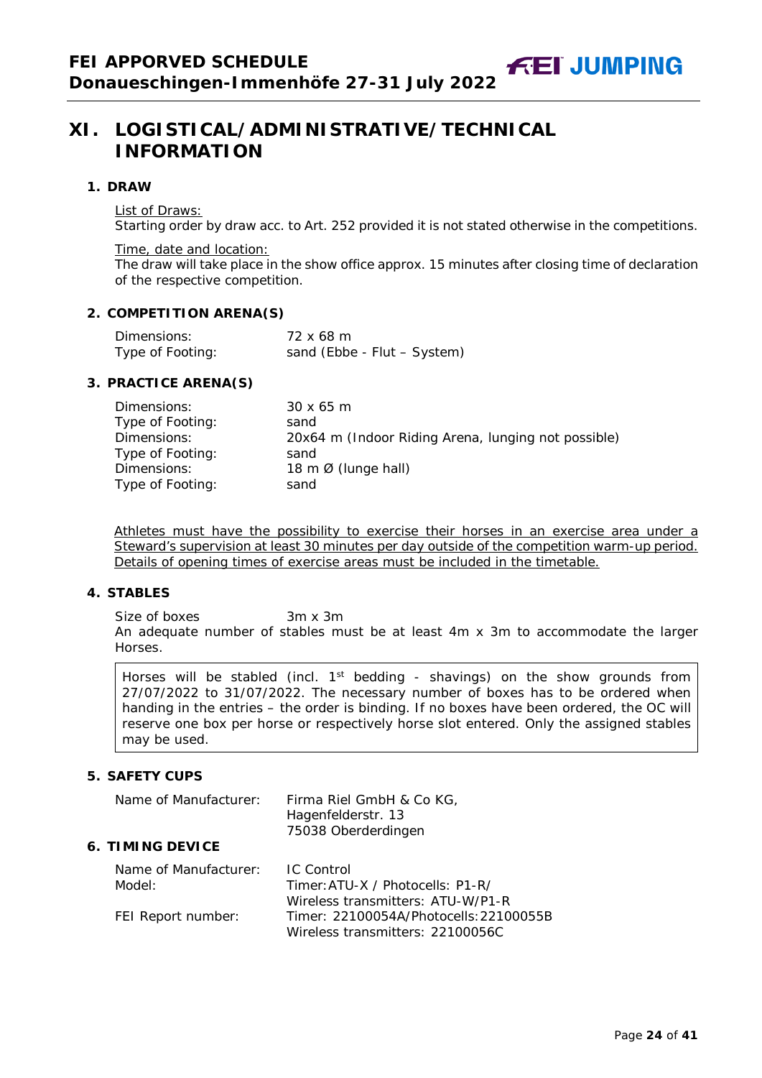# **XI. LOGISTICAL/ADMINISTRATIVE/TECHNICAL INFORMATION**

#### <span id="page-23-0"></span>**1. DRAW**

List of Draws:

Starting order by draw acc. to Art. 252 provided it is not stated otherwise in the competitions.

Time, date and location:

The draw will take place in the show office approx. 15 minutes after closing time of declaration of the respective competition.

#### <span id="page-23-1"></span>**2. COMPETITION ARENA(S)**

| Dimensions:      | 72 x 68 m                   |
|------------------|-----------------------------|
| Type of Footing: | sand (Ebbe - Flut - System) |

# <span id="page-23-2"></span>**3. PRACTICE ARENA(S)**

| Dimensions:      | $30 \times 65$ m                                    |
|------------------|-----------------------------------------------------|
| Type of Footing: | sand                                                |
| Dimensions:      | 20x64 m (Indoor Riding Arena, lunging not possible) |
| Type of Footing: | sand                                                |
| Dimensions:      | 18 m $\emptyset$ (lunge hall)                       |
| Type of Footing: | sand                                                |

Athletes must have the possibility to exercise their horses in an exercise area under a Steward's supervision at least 30 minutes per day outside of the competition warm-up period. Details of opening times of exercise areas must be included in the timetable.

#### <span id="page-23-3"></span>**4. STABLES**

Size of boxes 3m x 3m An adequate number of stables must be at least 4m x 3m to accommodate the larger Horses.

Horses will be stabled (incl. 1<sup>st</sup> bedding - shavings) on the show grounds from 27/07/2022 to 31/07/2022. The necessary number of boxes has to be ordered when handing in the entries – the order is binding. If no boxes have been ordered, the OC will reserve one box per horse or respectively horse slot entered. Only the assigned stables may be used.

# <span id="page-23-4"></span>**5. SAFETY CUPS**

<span id="page-23-6"></span><span id="page-23-5"></span>

| Name of Manufacturer:           | Firma Riel GmbH & Co KG,<br>Hagenfelderstr. 13<br>75038 Oberderdingen                      |
|---------------------------------|--------------------------------------------------------------------------------------------|
| <b>6. TIMING DEVICE</b>         |                                                                                            |
| Name of Manufacturer:<br>Model: | <b>IC</b> Control<br>Timer: ATU-X / Photocells: P1-R/<br>Wireless transmitters: ATU-W/P1-R |
| FEI Report number:              | Timer: 22100054A/Photocells: 22100055B<br>Wireless transmitters: 22100056C                 |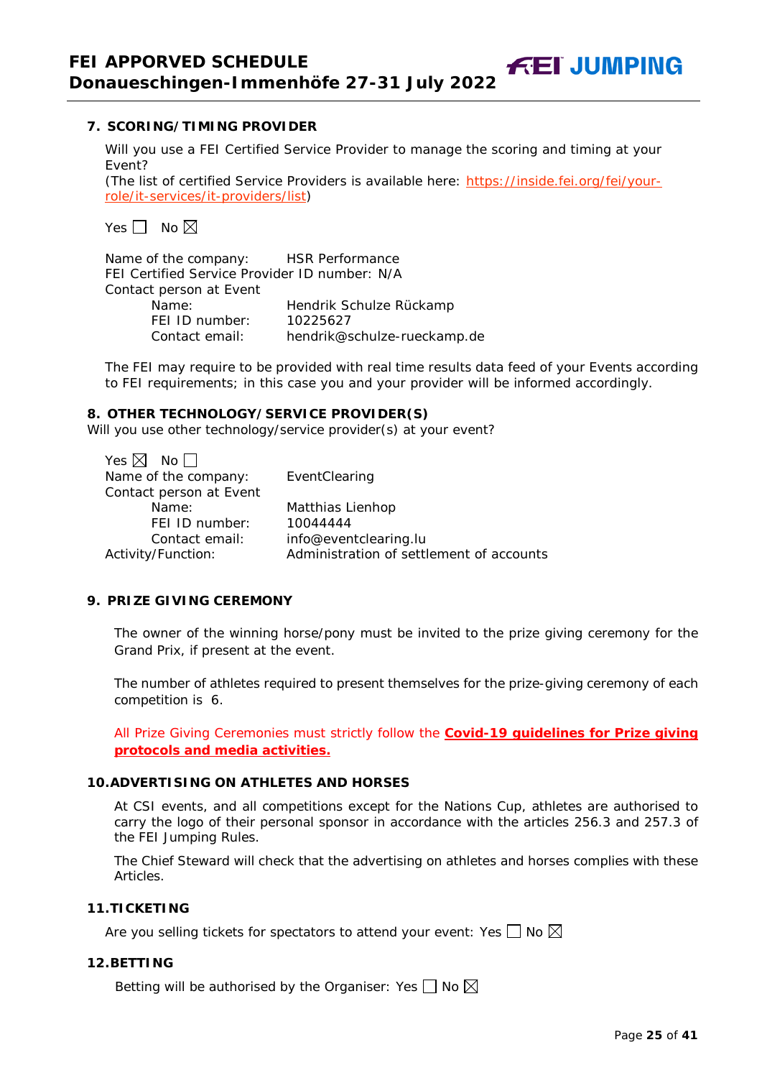**7. SCORING/TIMING PROVIDER** 

Will you use a FEI Certified Service Provider to manage the scoring and timing at your Event?

*(The list of certified Service Providers is available here:* [https://inside.fei.org/fei/your](https://inside.fei.org/fei/your-role/it-services/it-providers/list)[role/it-services/it-providers/list](https://inside.fei.org/fei/your-role/it-services/it-providers/list)*)*

Yes  $\Box$  No  $\boxtimes$ 

Name of the company: HSR Performance FEI Certified Service Provider ID number: N/A Contact person at Event Name: Hendrik Schulze Rückamp FEI ID number: 10225627<br>Contact email: hendrik@s hendrik@schulze-rueckamp.de

The FEI may require to be provided with real time results data feed of your Events according to FEI requirements; in this case you and your provider will be informed accordingly.

#### <span id="page-24-0"></span>**8. OTHER TECHNOLOGY/SERVICE PROVIDER(S)**

Will you use other technology/service provider(s) at your event?

| EventClearing                            |
|------------------------------------------|
|                                          |
| Matthias Lienhop                         |
| 10044444                                 |
| info@eventclearing.lu                    |
| Administration of settlement of accounts |
|                                          |

#### <span id="page-24-1"></span>**9. PRIZE GIVING CEREMONY**

The owner of the winning horse/pony must be invited to the prize giving ceremony for the Grand Prix, if present at the event.

The number of athletes required to present themselves for the prize-giving ceremony of each competition is 6.

All Prize Giving Ceremonies must strictly follow the **Covid-19 guidelines for Prize giving protocols and media activities.**

# <span id="page-24-2"></span>**10.ADVERTISING ON ATHLETES AND HORSES**

At CSI events, and all competitions except for the Nations Cup, athletes are authorised to carry the logo of their personal sponsor in accordance with the articles 256.3 and 257.3 of the FEI Jumping Rules.

The Chief Steward will check that the advertising on athletes and horses complies with these Articles.

#### <span id="page-24-3"></span>**11.TICKETING**

Are you selling tickets for spectators to attend your event: Yes  $\Box$  No  $\boxtimes$ 

#### <span id="page-24-4"></span>**12.BETTING**

Betting will be authorised by the Organiser: Yes  $\Box$  No  $\boxtimes$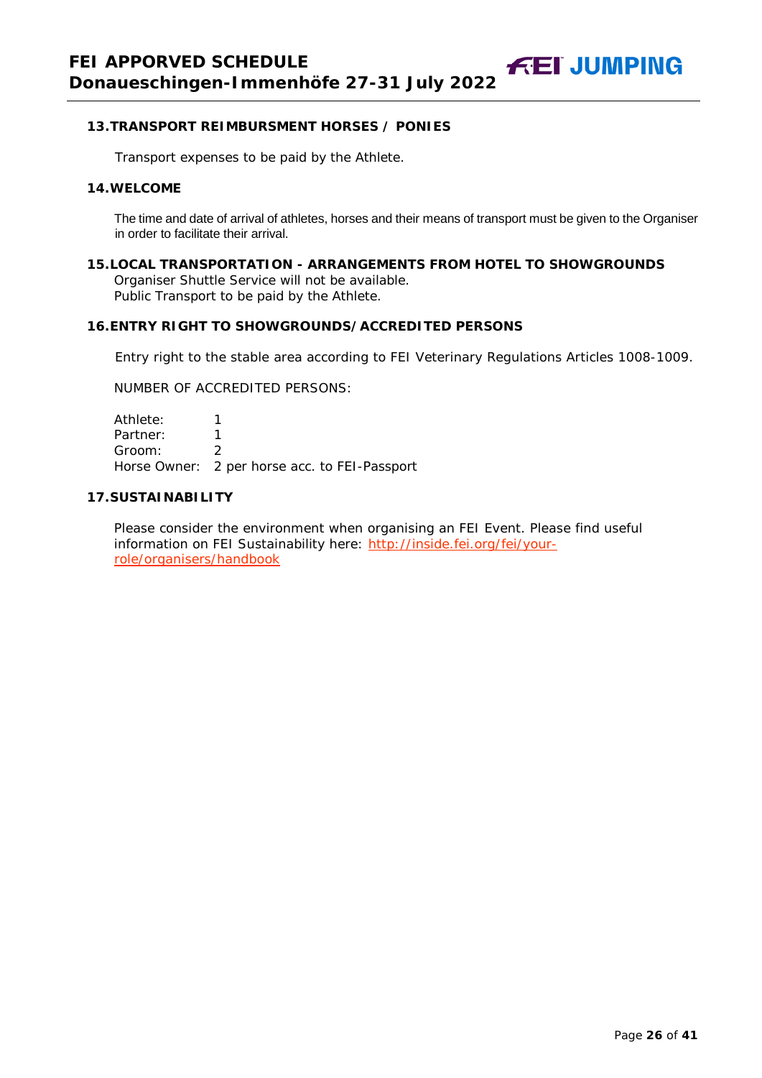#### <span id="page-25-0"></span>**13.TRANSPORT REIMBURSMENT HORSES / PONIES**

Transport expenses to be paid by the Athlete.

#### <span id="page-25-1"></span>**14.WELCOME**

The time and date of arrival of athletes, horses and their means of transport must be given to the Organiser in order to facilitate their arrival.

<span id="page-25-2"></span>**15.LOCAL TRANSPORTATION - ARRANGEMENTS FROM HOTEL TO SHOWGROUNDS** Organiser Shuttle Service will not be available. Public Transport to be paid by the Athlete.

#### <span id="page-25-3"></span>**16.ENTRY RIGHT TO SHOWGROUNDS/ACCREDITED PERSONS**

Entry right to the stable area according to FEI Veterinary Regulations Articles 1008-1009.

NUMBER OF ACCREDITED PERSONS:

Athlete: 1 Partner: 1 Groom: 2 Horse Owner: 2 per horse acc. to FEI-Passport

# <span id="page-25-4"></span>**17.SUSTAINABILITY**

Please consider the environment when organising an FEI Event. Please find useful information on FEI Sustainability here: [http://inside.fei.org/fei/your](http://inside.fei.org/fei/your-role/organisers/handbook)[role/organisers/handbook](http://inside.fei.org/fei/your-role/organisers/handbook)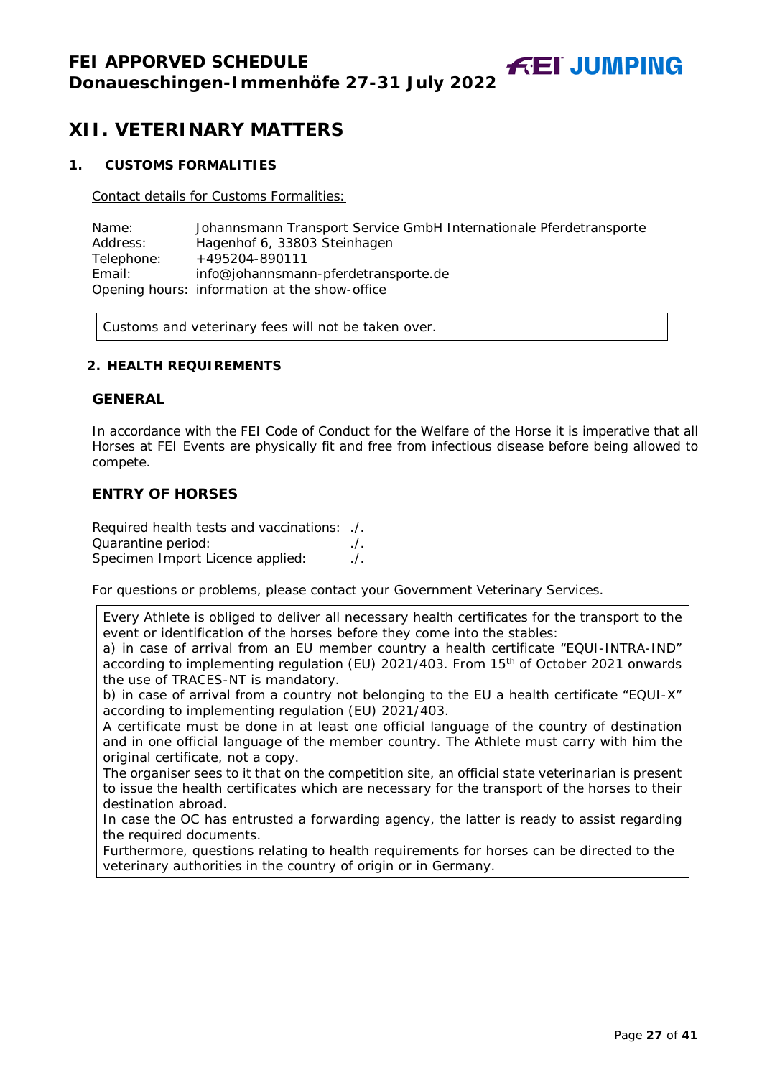**FEI JUMPING** 

# <span id="page-26-0"></span>**XII. VETERINARY MATTERS**

#### <span id="page-26-1"></span>**1. CUSTOMS FORMALITIES**

Contact details for Customs Formalities:

Name: Johannsmann Transport Service GmbH Internationale Pferdetransporte Address: Hagenhof 6, 33803 Steinhagen Telephone: +495204-890111<br>Email: info@iohannsman info@johannsmann-pferdetransporte.de Opening hours: information at the show-office

Customs and veterinary fees will not be taken over.

#### <span id="page-26-2"></span>**2. HEALTH REQUIREMENTS**

#### **GENERAL**

In accordance with the FEI Code of Conduct for the Welfare of the Horse it is imperative that all Horses at FEI Events are physically fit and free from infectious disease before being allowed to compete.

## **ENTRY OF HORSES**

Required health tests and vaccinations: ./. Quarantine period: ./. Specimen Import Licence applied:

For questions or problems, please contact your Government Veterinary Services.

Every Athlete is obliged to deliver all necessary health certificates for the transport to the event or identification of the horses before they come into the stables:

a) in case of arrival from an EU member country a health certificate "EQUI-INTRA-IND" according to implementing regulation (EU) 2021/403. From 15<sup>th</sup> of October 2021 onwards the use of TRACES-NT is mandatory.

b) in case of arrival from a country not belonging to the EU a health certificate "EQUI-X" according to implementing regulation (EU) 2021/403.

A certificate must be done in at least one official language of the country of destination and in one official language of the member country. The Athlete must carry with him the original certificate, not a copy.

The organiser sees to it that on the competition site, an official state veterinarian is present to issue the health certificates which are necessary for the transport of the horses to their destination abroad.

In case the OC has entrusted a forwarding agency, the latter is ready to assist regarding the required documents.

Furthermore, questions relating to health requirements for horses can be directed to the veterinary authorities in the country of origin or in Germany.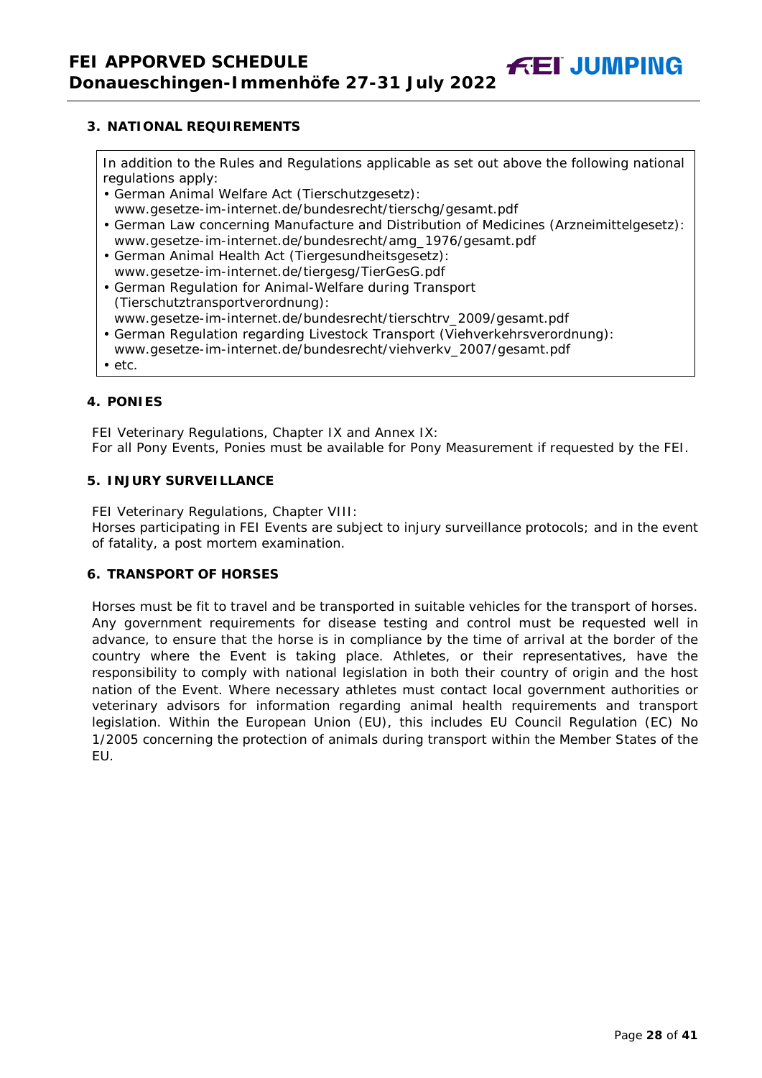<span id="page-27-0"></span>In addition to the Rules and Regulations applicable as set out above the following national regulations apply:

**FEI JUMPING** 

- German Animal Welfare Act (Tierschutzgesetz):
- www.gesetze-im-internet.de/bundesrecht/tierschg/gesamt.pdf
- German Law concerning Manufacture and Distribution of Medicines (Arzneimittelgesetz): www.gesetze-im-internet.de/bundesrecht/amg\_1976/gesamt.pdf
- German Animal Health Act (Tiergesundheitsgesetz): www.gesetze-im-internet.de/tiergesg/TierGesG.pdf
- German Regulation for Animal-Welfare during Transport (Tierschutztransportverordnung):
- www.gesetze-im-internet.de/bundesrecht/tierschtrv\_2009/gesamt.pdf
- German Regulation regarding Livestock Transport (Viehverkehrsverordnung): www.gesetze-im-internet.de/bundesrecht/viehverkv\_2007/gesamt.pdf
- etc.

# <span id="page-27-1"></span>**4. PONIES**

FEI Veterinary Regulations, Chapter IX and Annex IX: For all Pony Events, Ponies must be available for Pony Measurement if requested by the FEI.

#### <span id="page-27-2"></span>**5. INJURY SURVEILLANCE**

FEI Veterinary Regulations, Chapter VIII:

Horses participating in FEI Events are subject to injury surveillance protocols; and in the event of fatality, a post mortem examination.

#### <span id="page-27-3"></span>**6. TRANSPORT OF HORSES**

<span id="page-27-4"></span>Horses must be fit to travel and be transported in suitable vehicles for the transport of horses. Any government requirements for disease testing and control must be requested well in advance, to ensure that the horse is in compliance by the time of arrival at the border of the country where the Event is taking place. Athletes, or their representatives, have the responsibility to comply with national legislation in both their country of origin and the host nation of the Event. Where necessary athletes must contact local government authorities or veterinary advisors for information regarding animal health requirements and transport legislation. Within the European Union (EU), this includes EU Council Regulation (EC) No 1/2005 concerning the protection of animals during transport within the Member States of the EU.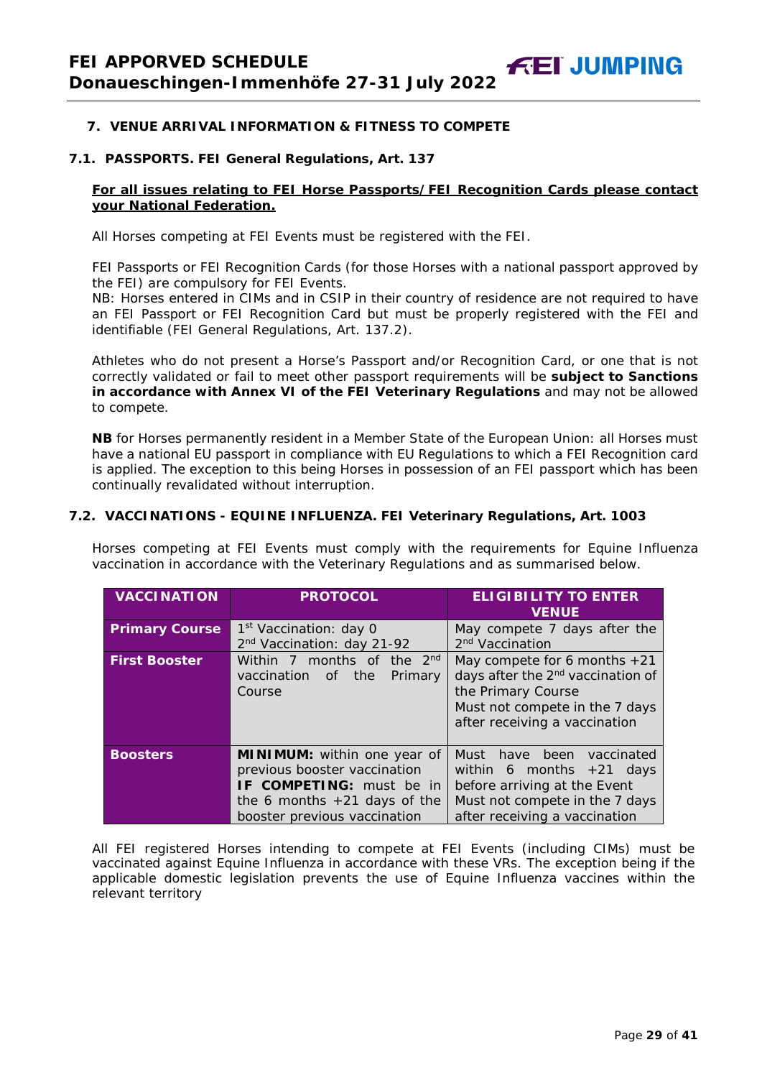#### **7. VENUE ARRIVAL INFORMATION & FITNESS TO COMPETE**

#### **7.1. PASSPORTS. FEI General Regulations, Art. 137**

#### **For all issues relating to FEI Horse Passports/FEI Recognition Cards please contact your National Federation.**

All Horses competing at FEI Events must be registered with the FEI.

FEI Passports or FEI Recognition Cards (for those Horses with a national passport approved by the FEI) are compulsory for FEI Events.

NB: Horses entered in CIMs and in CSIP in their country of residence are not required to have an FEI Passport or FEI Recognition Card but must be properly registered with the FEI and identifiable (FEI General Regulations, Art. 137.2).

Athletes who do not present a Horse's Passport and/or Recognition Card, or one that is not correctly validated or fail to meet other passport requirements will be **subject to Sanctions in accordance with Annex VI of the FEI Veterinary Regulations** and may not be allowed to compete.

**NB** for Horses permanently resident in a Member State of the European Union: all Horses must have a national EU passport in compliance with EU Regulations to which a FEI Recognition card is applied. The exception to this being Horses in possession of an FEI passport which has been continually revalidated without interruption.

#### **7.2. VACCINATIONS - EQUINE INFLUENZA. FEI Veterinary Regulations, Art. 1003**

Horses competing at FEI Events must comply with the requirements for Equine Influenza vaccination in accordance with the Veterinary Regulations and as summarised below.

| <b>VACCINATION</b>    | <b>PROTOCOL</b>                                 | <b>ELIGIBILITY TO ENTER</b><br><b>VENUE</b>   |
|-----------------------|-------------------------------------------------|-----------------------------------------------|
| <b>Primary Course</b> | 1 <sup>st</sup> Vaccination: day 0              | May compete 7 days after the                  |
|                       | 2 <sup>nd</sup> Vaccination: day 21-92          | 2 <sup>nd</sup> Vaccination                   |
| <b>First Booster</b>  | 2 <sub>nd</sub><br>months of<br>Within 7<br>the | May compete for 6 months $+21$                |
|                       | vaccination of<br>Primary<br>the                | days after the 2 <sup>nd</sup> vaccination of |
|                       | Course                                          | the Primary Course                            |
|                       |                                                 | Must not compete in the 7 days                |
|                       |                                                 | after receiving a vaccination                 |
|                       |                                                 |                                               |
| <b>Boosters</b>       | MINIMUM: within one year of                     | Must have been<br>vaccinated                  |
|                       | previous booster vaccination                    | within 6 months $+21$ days                    |
|                       | IF COMPETING: must be in                        | before arriving at the Event                  |
|                       | the 6 months $+21$ days of the                  | Must not compete in the 7 days                |
|                       | booster previous vaccination                    | after receiving a vaccination                 |

All FEI registered Horses intending to compete at FEI Events (including CIMs) must be vaccinated against Equine Influenza in accordance with these VRs. The exception being if the applicable domestic legislation prevents the use of Equine Influenza vaccines within the relevant territory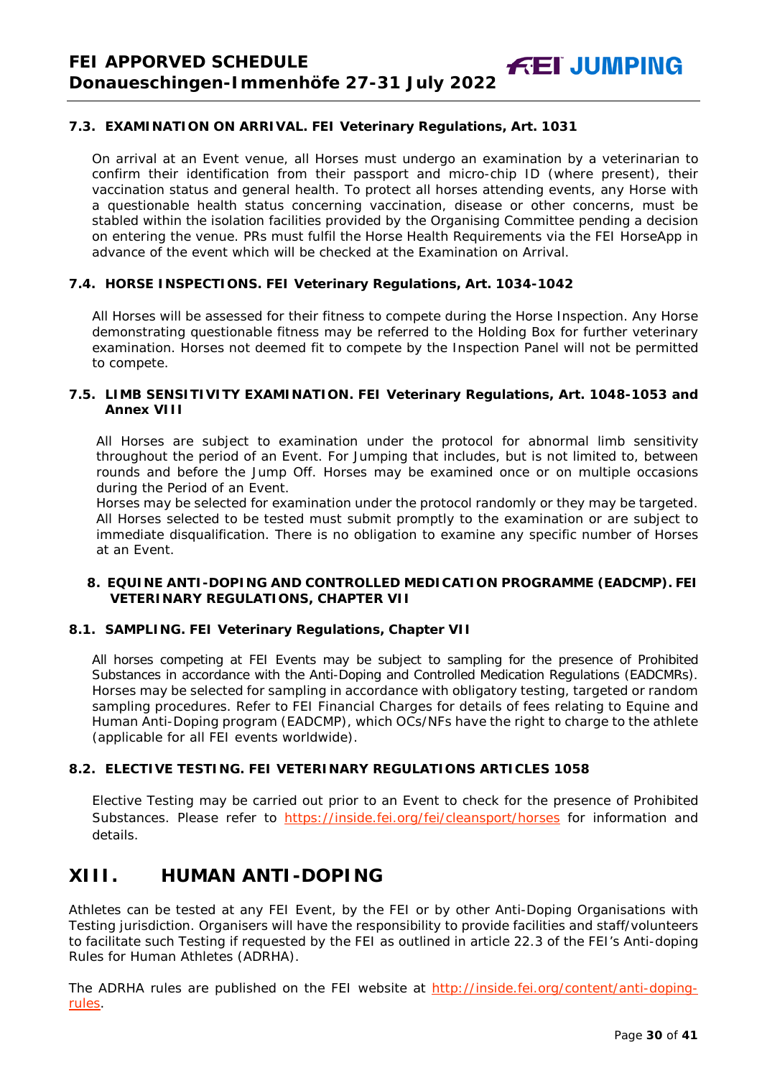# **7.3. EXAMINATION ON ARRIVAL. FEI Veterinary Regulations, Art. 1031**

On arrival at an Event venue, all Horses must undergo an examination by a veterinarian to confirm their identification from their passport and micro-chip ID (where present), their vaccination status and general health. To protect all horses attending events, any Horse with a questionable health status concerning vaccination, disease or other concerns, must be stabled within the isolation facilities provided by the Organising Committee pending a decision on entering the venue. PRs must fulfil the Horse Health Requirements via the FEI HorseApp in advance of the event which will be checked at the Examination on Arrival.

#### **7.4. HORSE INSPECTIONS. FEI Veterinary Regulations, Art. 1034-1042**

All Horses will be assessed for their fitness to compete during the Horse Inspection. Any Horse demonstrating questionable fitness may be referred to the Holding Box for further veterinary examination. Horses not deemed fit to compete by the Inspection Panel will not be permitted to compete.

#### **7.5. LIMB SENSITIVITY EXAMINATION. FEI Veterinary Regulations, Art. 1048-1053 and Annex VIII**

All Horses are subject to examination under the protocol for abnormal limb sensitivity throughout the period of an Event. For Jumping that includes, but is not limited to, between rounds and before the Jump Off. Horses may be examined once or on multiple occasions during the Period of an Event.

Horses may be selected for examination under the protocol randomly or they may be targeted. All Horses selected to be tested must submit promptly to the examination or are subject to immediate disqualification. There is no obligation to examine any specific number of Horses at an Event.

#### <span id="page-29-0"></span>**8. EQUINE ANTI-DOPING AND CONTROLLED MEDICATION PROGRAMME (EADCMP). FEI VETERINARY REGULATIONS, CHAPTER VII**

#### **8.1. SAMPLING. FEI Veterinary Regulations, Chapter VII**

All horses competing at FEI Events may be subject to sampling for the presence of Prohibited Substances in accordance with the Anti-Doping and Controlled Medication Regulations (EADCMRs). Horses may be selected for sampling in accordance with obligatory testing, targeted or random sampling procedures. Refer to FEI Financial Charges for details of fees relating to Equine and Human Anti-Doping program (EADCMP), which OCs/NFs have the right to charge to the athlete (applicable for all FEI events worldwide).

## **8.2. ELECTIVE TESTING. FEI VETERINARY REGULATIONS ARTICLES 1058**

Elective Testing may be carried out prior to an Event to check for the presence of Prohibited Substances. Please refer to <https://inside.fei.org/fei/cleansport/horses> for information and details.

# <span id="page-29-1"></span>**XIII. HUMAN ANTI-DOPING**

Athletes can be tested at any FEI Event, by the FEI or by other Anti-Doping Organisations with Testing jurisdiction. Organisers will have the responsibility to provide facilities and staff/volunteers to facilitate such Testing if requested by the FEI as outlined in article 22.3 of the FEI's Anti-doping Rules for Human Athletes (ADRHA).

The ADRHA rules are published on the FEI website at [http://inside.fei.org/content/anti-doping](http://inside.fei.org/content/anti-doping-rules)[rules.](http://inside.fei.org/content/anti-doping-rules)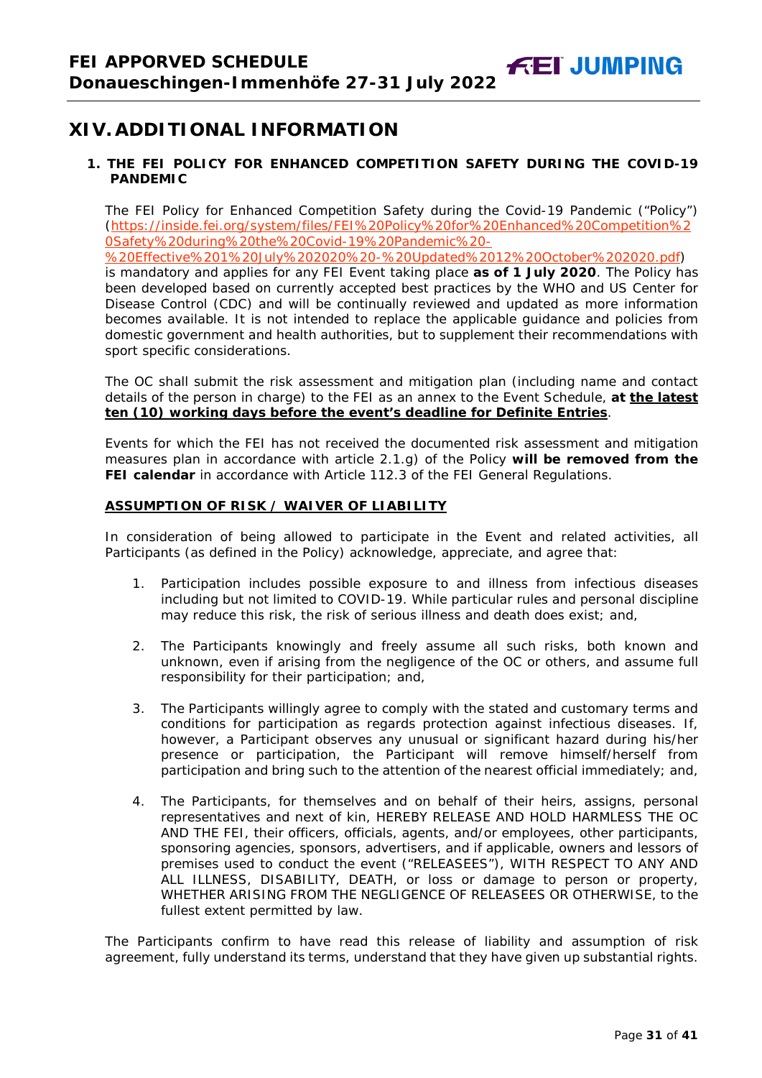# <span id="page-30-0"></span>**XIV. ADDITIONAL INFORMATION**

## <span id="page-30-1"></span>**1. THE FEI POLICY FOR ENHANCED COMPETITION SAFETY DURING THE COVID-19 PANDEMIC**

The FEI Policy for Enhanced Competition Safety during the Covid-19 Pandemic ("Policy") (https://inside.fei.org/system/files/FEI%20Policy%20for%20Enhanced%20Competition%2 0Safety%20during%20the%20Covid-19%20Pandemic%20-

%20Effective%201%20July%202020%20-%20Updated%2012%20October%202020.pdf)

is mandatory and applies for any FEI Event taking place **as of 1 July 2020**. The Policy has been developed based on currently accepted best practices by the WHO and US Center for Disease Control (CDC) and will be continually reviewed and updated as more information becomes available. It is not intended to replace the applicable guidance and policies from domestic government and health authorities, but to supplement their recommendations with sport specific considerations.

The OC shall submit the risk assessment and mitigation plan (including name and contact details of the person in charge) to the FEI as an annex to the Event Schedule, **at the latest ten (10) working days before the event's deadline for Definite Entries**.

Events for which the FEI has not received the documented risk assessment and mitigation measures plan in accordance with article 2.1.g) of the Policy **will be removed from the FEI calendar** in accordance with Article 112.3 of the FEI General Regulations.

#### **ASSUMPTION OF RISK / WAIVER OF LIABILITY**

In consideration of being allowed to participate in the Event and related activities, all Participants (as defined in the Policy) acknowledge, appreciate, and agree that:

- 1. Participation includes possible exposure to and illness from infectious diseases including but not limited to COVID-19. While particular rules and personal discipline may reduce this risk, the risk of serious illness and death does exist; and,
- 2. The Participants knowingly and freely assume all such risks, both known and unknown, even if arising from the negligence of the OC or others, and assume full responsibility for their participation; and,
- 3. The Participants willingly agree to comply with the stated and customary terms and conditions for participation as regards protection against infectious diseases. If, however, a Participant observes any unusual or significant hazard during his/her presence or participation, the Participant will remove himself/herself from participation and bring such to the attention of the nearest official immediately; and,
- 4. The Participants, for themselves and on behalf of their heirs, assigns, personal representatives and next of kin, HEREBY RELEASE AND HOLD HARMLESS THE OC AND THE FEI, their officers, officials, agents, and/or employees, other participants, sponsoring agencies, sponsors, advertisers, and if applicable, owners and lessors of premises used to conduct the event ("RELEASEES"), WITH RESPECT TO ANY AND ALL ILLNESS, DISABILITY, DEATH, or loss or damage to person or property, WHETHER ARISING FROM THE NEGLIGENCE OF RELEASEES OR OTHERWISE, to the fullest extent permitted by law.

<span id="page-30-2"></span>The Participants confirm to have read this release of liability and assumption of risk agreement, fully understand its terms, understand that they have given up substantial rights.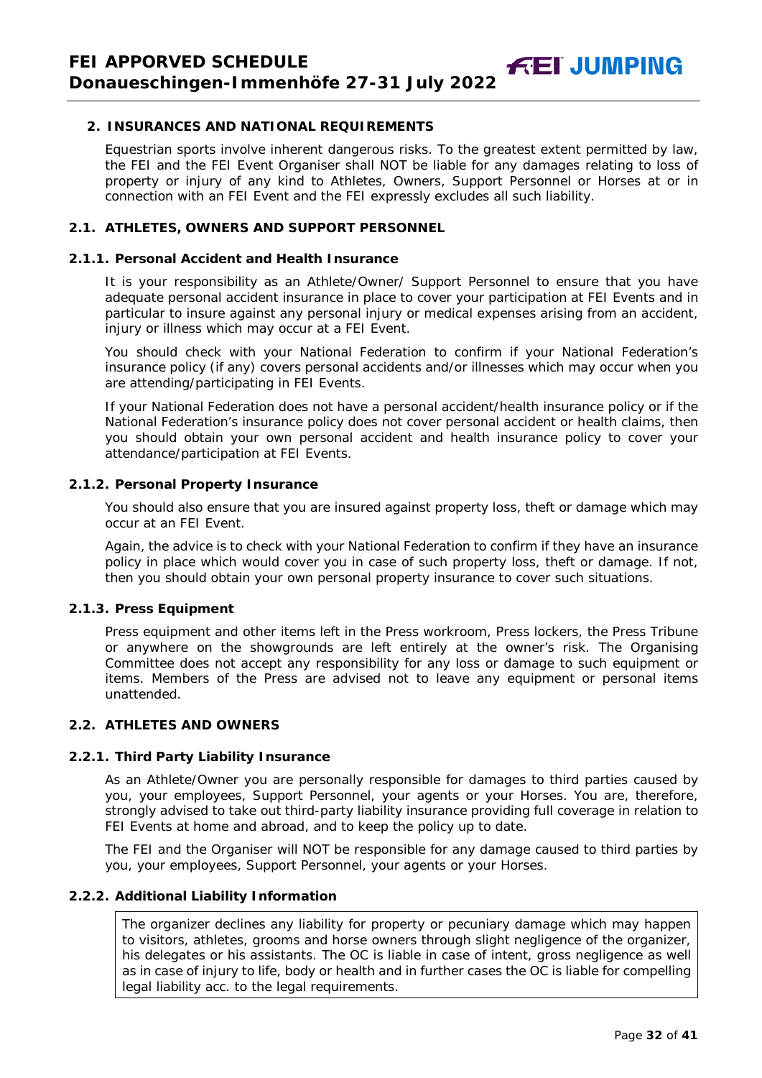#### **2. INSURANCES AND NATIONAL REQUIREMENTS**

Equestrian sports involve inherent dangerous risks. To the greatest extent permitted by law, the FEI and the FEI Event Organiser shall NOT be liable for any damages relating to loss of property or injury of any kind to Athletes, Owners, Support Personnel or Horses at or in connection with an FEI Event and the FEI expressly excludes all such liability.

#### **2.1. ATHLETES, OWNERS AND SUPPORT PERSONNEL**

#### **2.1.1. Personal Accident and Health Insurance**

It is your responsibility as an Athlete/Owner/ Support Personnel to ensure that you have adequate personal accident insurance in place to cover your participation at FEI Events and in particular to insure against any personal injury or medical expenses arising from an accident, injury or illness which may occur at a FEI Event.

You should check with your National Federation to confirm if your National Federation's insurance policy (if any) covers personal accidents and/or illnesses which may occur when you are attending/participating in FEI Events.

If your National Federation does not have a personal accident/health insurance policy or if the National Federation's insurance policy does not cover personal accident or health claims, then you should obtain your own personal accident and health insurance policy to cover your attendance/participation at FEI Events.

#### **2.1.2. Personal Property Insurance**

You should also ensure that you are insured against property loss, theft or damage which may occur at an FEI Event.

Again, the advice is to check with your National Federation to confirm if they have an insurance policy in place which would cover you in case of such property loss, theft or damage. If not, then you should obtain your own personal property insurance to cover such situations.

#### **2.1.3. Press Equipment**

Press equipment and other items left in the Press workroom, Press lockers, the Press Tribune or anywhere on the showgrounds are left entirely at the owner's risk. The Organising Committee does not accept any responsibility for any loss or damage to such equipment or items. Members of the Press are advised not to leave any equipment or personal items unattended.

## **2.2. ATHLETES AND OWNERS**

#### **2.2.1. Third Party Liability Insurance**

As an Athlete/Owner you are personally responsible for damages to third parties caused by you, your employees, Support Personnel, your agents or your Horses. You are, therefore, strongly advised to take out third-party liability insurance providing full coverage in relation to FEI Events at home and abroad, and to keep the policy up to date.

The FEI and the Organiser will NOT be responsible for any damage caused to third parties by you, your employees, Support Personnel, your agents or your Horses.

#### **2.2.2. Additional Liability Information**

The organizer declines any liability for property or pecuniary damage which may happen to visitors, athletes, grooms and horse owners through slight negligence of the organizer, his delegates or his assistants. The OC is liable in case of intent, gross negligence as well as in case of injury to life, body or health and in further cases the OC is liable for compelling legal liability acc. to the legal requirements.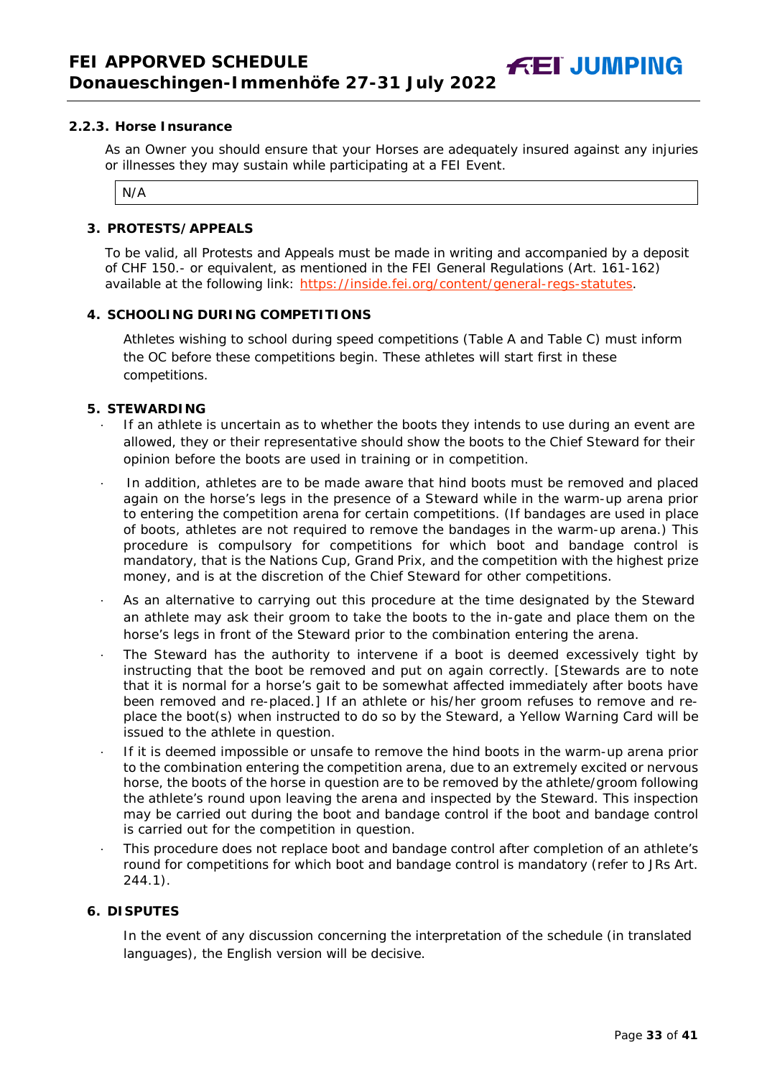As an Owner you should ensure that your Horses are adequately insured against any injuries or illnesses they may sustain while participating at a FEI Event.

N/A

#### <span id="page-32-0"></span>**3. PROTESTS/APPEALS**

To be valid, all Protests and Appeals must be made in writing and accompanied by a deposit of CHF 150.- or equivalent, as mentioned in the FEI General Regulations (Art. 161-162) available at the following link: [https://inside.fei.org/content/general-regs-statutes.](https://inside.fei.org/content/general-regs-statutes)

#### <span id="page-32-1"></span>**4. SCHOOLING DURING COMPETITIONS**

Athletes wishing to school during speed competitions (Table A and Table C) must inform the OC before these competitions begin. These athletes will start first in these competitions.

#### <span id="page-32-2"></span>**5. STEWARDING**

- If an athlete is uncertain as to whether the boots they intends to use during an event are allowed, they or their representative should show the boots to the Chief Steward for their opinion before the boots are used in training or in competition.
- In addition, athletes are to be made aware that hind boots must be removed and placed again on the horse's legs in the presence of a Steward while in the warm-up arena prior to entering the competition arena for certain competitions. (If bandages are used in place of boots, athletes are not required to remove the bandages in the warm-up arena.) This procedure is compulsory for competitions for which boot and bandage control is mandatory, that is the Nations Cup, Grand Prix, and the competition with the highest prize money, and is at the discretion of the Chief Steward for other competitions.
- As an alternative to carrying out this procedure at the time designated by the Steward an athlete may ask their groom to take the boots to the in-gate and place them on the horse's legs in front of the Steward prior to the combination entering the arena.
- The Steward has the authority to intervene if a boot is deemed excessively tight by instructing that the boot be removed and put on again correctly. *[Stewards are to note that it is normal for a horse's gait to be somewhat affected immediately after boots have been removed and re-placed.]* If an athlete or his/her groom refuses to remove and replace the boot(s) when instructed to do so by the Steward, a Yellow Warning Card will be issued to the athlete in question.
- · If it is deemed impossible or unsafe to remove the hind boots in the warm-up arena prior to the combination entering the competition arena, due to an extremely excited or nervous horse, the boots of the horse in question are to be removed by the athlete/groom following the athlete's round upon leaving the arena and inspected by the Steward. This inspection may be carried out during the boot and bandage control if the boot and bandage control is carried out for the competition in question.
- · This procedure does not replace boot and bandage control after completion of an athlete's round for competitions for which boot and bandage control is mandatory (refer to JRs Art. 244.1).

#### <span id="page-32-3"></span>**6. DISPUTES**

In the event of any discussion concerning the interpretation of the schedule (in translated languages), the English version will be decisive.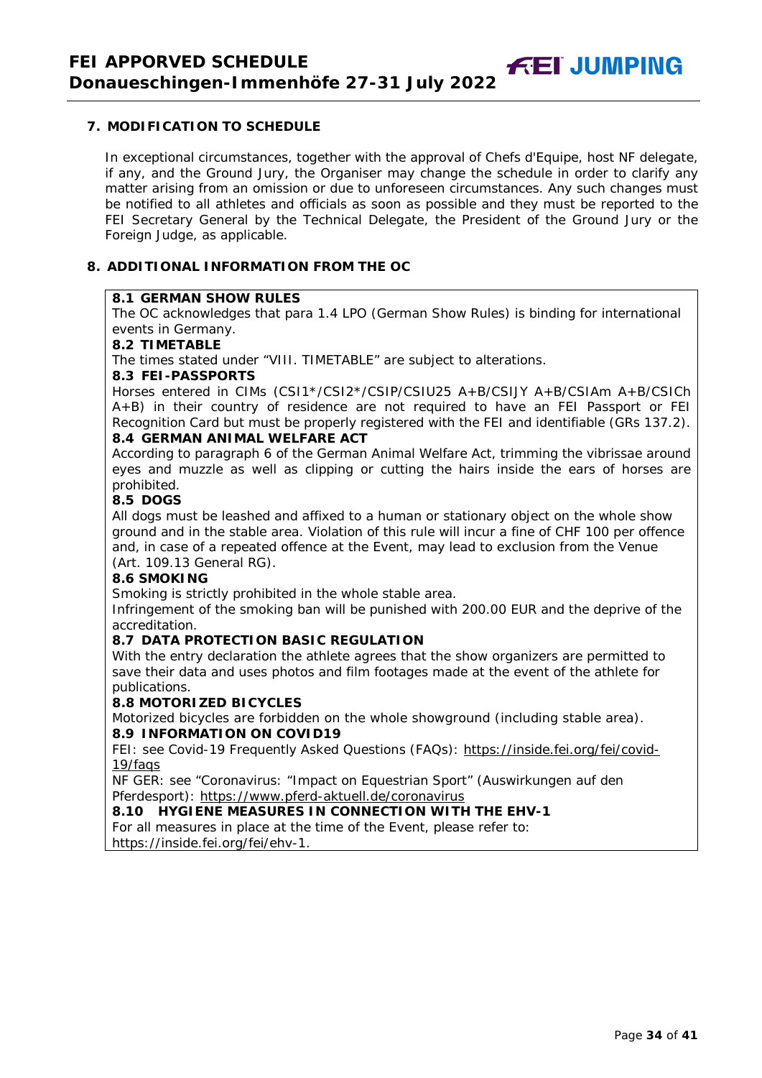<span id="page-33-0"></span>In exceptional circumstances, together with the approval of Chefs d'Equipe, host NF delegate, if any, and the Ground Jury, the Organiser may change the schedule in order to clarify any matter arising from an omission or due to unforeseen circumstances. Any such changes must be notified to all athletes and officials as soon as possible and they must be reported to the FEI Secretary General by the Technical Delegate, the President of the Ground Jury or the Foreign Judge, as applicable.

# <span id="page-33-1"></span>**8. ADDITIONAL INFORMATION FROM THE OC**

#### **8.1 GERMAN SHOW RULES**

The OC acknowledges that para 1.4 LPO (German Show Rules) is binding for international events in Germany.

#### **8.2 TIMETABLE**

The times stated under "VIII. TIMETABLE" are subject to alterations.

#### **8.3 FEI-PASSPORTS**

Horses entered in CIMs (CSI1\*/CSI2\*/CSIP/CSIU25 A+B/CSIJY A+B/CSIAm A+B/CSICh A+B) in their country of residence are not required to have an FEI Passport or FEI Recognition Card but must be properly registered with the FEI and identifiable (GRs 137.2).

#### **8.4 GERMAN ANIMAL WELFARE ACT**

According to paragraph 6 of the German Animal Welfare Act, trimming the vibrissae around eyes and muzzle as well as clipping or cutting the hairs inside the ears of horses are prohibited.

# **8.5 DOGS**

All dogs must be leashed and affixed to a human or stationary object on the whole show ground and in the stable area. Violation of this rule will incur a fine of CHF 100 per offence and, in case of a repeated offence at the Event, may lead to exclusion from the Venue (Art. 109.13 General RG).

#### **8.6 SMOKING**

Smoking is strictly prohibited in the whole stable area.

Infringement of the smoking ban will be punished with 200.00 EUR and the deprive of the accreditation.

#### **8.7 DATA PROTECTION BASIC REGULATION**

With the entry declaration the athlete agrees that the show organizers are permitted to save their data and uses photos and film footages made at the event of the athlete for publications.

#### **8.8 MOTORIZED BICYCLES**

Motorized bicycles are forbidden on the whole showground (including stable area). **8.9 INFORMATION ON COVID19**

FEI: see Covid-19 Frequently Asked Questions (FAQs): https://inside.fei.org/fei/covid-19/faqs

NF GER: see "Coronavirus: "Impact on Equestrian Sport" (Auswirkungen auf den Pferdesport): https://www.pferd-aktuell.de/coronavirus

#### **8.10 HYGIENE MEASURES IN CONNECTION WITH THE EHV-1**

For all measures in place at the time of the Event, please refer to: https://inside.fei.org/fei/ehv-1.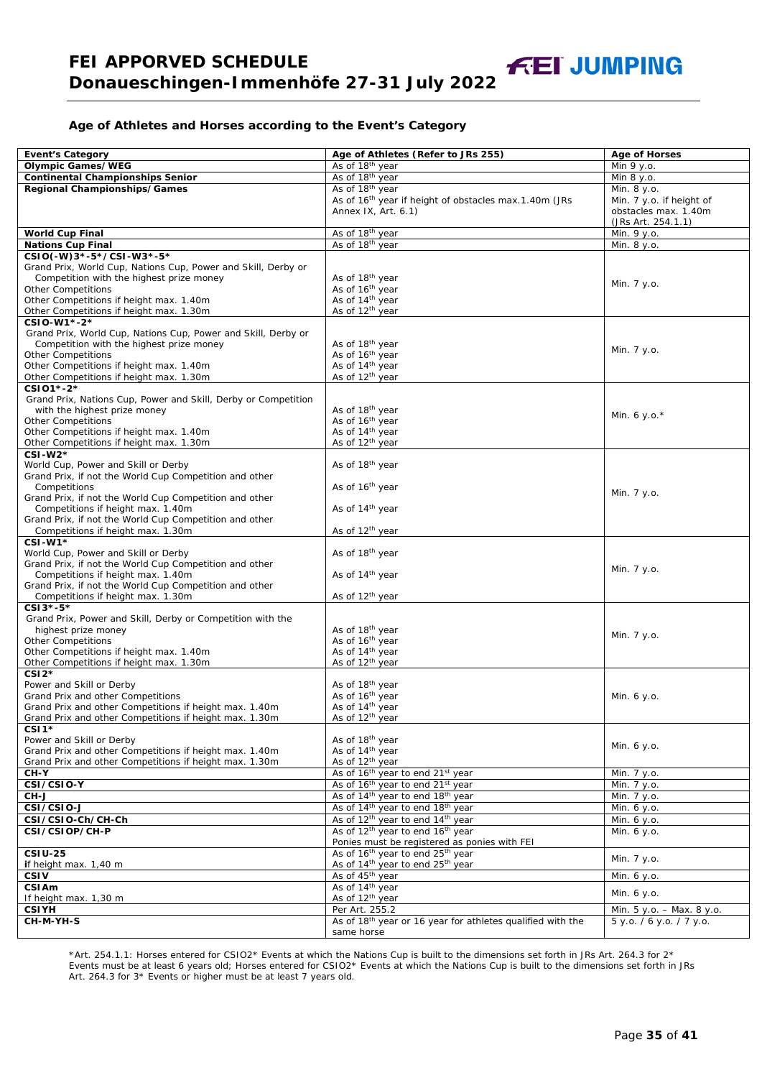#### **Age of Athletes and Horses according to the Event's Category**

| <b>Event's Category</b>                                                            | Age of Athletes (Refer to JRs 255)                                     | <b>Age of Horses</b>      |
|------------------------------------------------------------------------------------|------------------------------------------------------------------------|---------------------------|
| <b>Olympic Games/WEG</b>                                                           | As of 18 <sup>th</sup> year                                            | Min 9 y.o.                |
| <b>Continental Championships Senior</b>                                            | As of 18 <sup>th</sup> year                                            | Min 8 y.o.                |
| <b>Regional Championships/Games</b>                                                | As of 18 <sup>th</sup> year                                            | Min. 8 y.o.               |
|                                                                                    | As of 16 <sup>th</sup> year if height of obstacles max.1.40m (JRs      | Min. 7 y.o. if height of  |
|                                                                                    | Annex IX, Art. 6.1)                                                    | obstacles max. 1.40m      |
|                                                                                    |                                                                        | (JRs Art. 254.1.1)        |
| <b>World Cup Final</b>                                                             | As of 18th year                                                        | Min. 9 y.o.               |
| <b>Nations Cup Final</b>                                                           | As of 18th year                                                        | Min. 8 y.o.               |
| CSIO(-W)3*-5*/CSI-W3*-5*                                                           |                                                                        |                           |
| Grand Prix, World Cup, Nations Cup, Power and Skill, Derby or                      |                                                                        |                           |
| Competition with the highest prize money                                           | As of 18 <sup>th</sup> year                                            | Min. 7 y.o.               |
| <b>Other Competitions</b>                                                          | As of 16th year                                                        |                           |
| Other Competitions if height max. 1.40m<br>Other Competitions if height max. 1.30m | As of 14 <sup>th</sup> year<br>As of 12 <sup>th</sup> year             |                           |
| CSIO-W1*-2*                                                                        |                                                                        |                           |
| Grand Prix, World Cup, Nations Cup, Power and Skill, Derby or                      |                                                                        |                           |
| Competition with the highest prize money                                           | As of 18 <sup>th</sup> year                                            |                           |
| <b>Other Competitions</b>                                                          | As of 16 <sup>th</sup> year                                            | Min. 7 y.o.               |
| Other Competitions if height max. 1.40m                                            | As of 14 <sup>th</sup> year                                            |                           |
| Other Competitions if height max. 1.30m                                            | As of 12 <sup>th</sup> year                                            |                           |
| CSI01*-2*                                                                          |                                                                        |                           |
| Grand Prix, Nations Cup, Power and Skill, Derby or Competition                     |                                                                        |                           |
| with the highest prize money                                                       | As of 18 <sup>th</sup> year                                            | Min. 6 y.o. $*$           |
| <b>Other Competitions</b>                                                          | As of 16 <sup>th</sup> year                                            |                           |
| Other Competitions if height max. 1.40m                                            | As of 14 <sup>th</sup> year                                            |                           |
| Other Competitions if height max. 1.30m                                            | As of 12 <sup>th</sup> year                                            |                           |
| $CSI-W2*$                                                                          |                                                                        |                           |
| World Cup, Power and Skill or Derby                                                | As of 18th year                                                        |                           |
| Grand Prix, if not the World Cup Competition and other                             |                                                                        |                           |
| Competitions<br>Grand Prix, if not the World Cup Competition and other             | As of 16 <sup>th</sup> year                                            | Min. 7 y.o.               |
| Competitions if height max. 1.40m                                                  | As of 14 <sup>th</sup> year                                            |                           |
| Grand Prix, if not the World Cup Competition and other                             |                                                                        |                           |
| Competitions if height max. 1.30m                                                  | As of 12 <sup>th</sup> year                                            |                           |
| $CSI-W1*$                                                                          |                                                                        |                           |
| World Cup, Power and Skill or Derby                                                | As of 18 <sup>th</sup> year                                            |                           |
| Grand Prix, if not the World Cup Competition and other                             |                                                                        |                           |
| Competitions if height max. 1.40m                                                  | As of 14 <sup>th</sup> year                                            | Min. 7 y.o.               |
| Grand Prix, if not the World Cup Competition and other                             |                                                                        |                           |
| Competitions if height max. 1.30m                                                  | As of 12 <sup>th</sup> year                                            |                           |
| CSI3*-5*                                                                           |                                                                        |                           |
| Grand Prix, Power and Skill, Derby or Competition with the                         |                                                                        |                           |
| highest prize money                                                                | As of 18th year                                                        | Min. 7 y.o.               |
| <b>Other Competitions</b>                                                          | As of 16 <sup>th</sup> year                                            |                           |
| Other Competitions if height max. 1.40m                                            | As of 14 <sup>th</sup> year                                            |                           |
| Other Competitions if height max. 1.30m                                            | As of 12 <sup>th</sup> year                                            |                           |
| $CSI2*$                                                                            |                                                                        |                           |
| Power and Skill or Derby<br>Grand Prix and other Competitions                      | As of 18 <sup>th</sup> year<br>As of 16 <sup>th</sup> year             | Min. 6 y.o.               |
| Grand Prix and other Competitions if height max. 1.40m                             | As of 14 <sup>th</sup> year                                            |                           |
| Grand Prix and other Competitions if height max. 1.30m                             | As of 12 <sup>th</sup> vear                                            |                           |
| $CSI1*$                                                                            |                                                                        |                           |
| Power and Skill or Derby                                                           | As of 18 <sup>th</sup> year                                            |                           |
| Grand Prix and other Competitions if height max. 1.40m                             | As of 14 <sup>th</sup> year                                            | Min. 6 y.o.               |
| Grand Prix and other Competitions if height max. 1.30m                             | As of 12 <sup>th</sup> year                                            |                           |
| CH-Y                                                                               | As of 16 <sup>th</sup> year to end 21 <sup>st</sup> year               | Min. 7 y.o.               |
| CSI/CSIO-Y                                                                         | As of 16 <sup>th</sup> year to end 21 <sup>st</sup> year               | Min. 7 y.o.               |
| CH-J                                                                               | As of 14 <sup>th</sup> year to end 18 <sup>th</sup> year               | Min. 7 y.o.               |
| CSI/CSIO-J                                                                         | As of 14 <sup>th</sup> year to end 18 <sup>th</sup> year               | Min. 6 y.o.               |
| CSI/CSIO-Ch/CH-Ch                                                                  | As of 12 <sup>th</sup> year to end 14 <sup>th</sup> year               | Min. 6 y.o.               |
| CSI/CSIOP/CH-P                                                                     | As of 12 <sup>th</sup> year to end 16 <sup>th</sup> year               | Min. 6 y.o.               |
|                                                                                    | Ponies must be registered as ponies with FEI                           |                           |
| <b>CSIU-25</b>                                                                     | As of 16 <sup>th</sup> year to end 25 <sup>th</sup> year               | Min. 7 y.o.               |
| if height max. 1,40 m                                                              | As of 14 <sup>th</sup> year to end 25 <sup>th</sup> year               |                           |
| <b>CSIV</b>                                                                        | As of 45 <sup>th</sup> year                                            | Min. 6 y.o.               |
| CSIAm                                                                              | As of 14 <sup>th</sup> year                                            | Min. 6 y.o.               |
| If height max. 1,30 m                                                              | As of 12 <sup>th</sup> year                                            |                           |
| <b>CSIYH</b>                                                                       | Per Art. 255.2                                                         | Min. 5 y.o. - Max. 8 y.o. |
| CH-M-YH-S                                                                          | As of 18 <sup>th</sup> year or 16 year for athletes qualified with the | 5 y.o. / 6 y.o. / 7 y.o.  |
|                                                                                    | same horse                                                             |                           |

\*Art. 254.1.1: Horses entered for CSIO2\* Events at which the Nations Cup is built to the dimensions set forth in JRs Art. 264.3 for 2\* Events must be at least 6 years old; Horses entered for CSIO2\* Events at which the Nations Cup is built to the dimensions set forth in JRs Art. 264.3 for 3\* Events or higher must be at least 7 years old.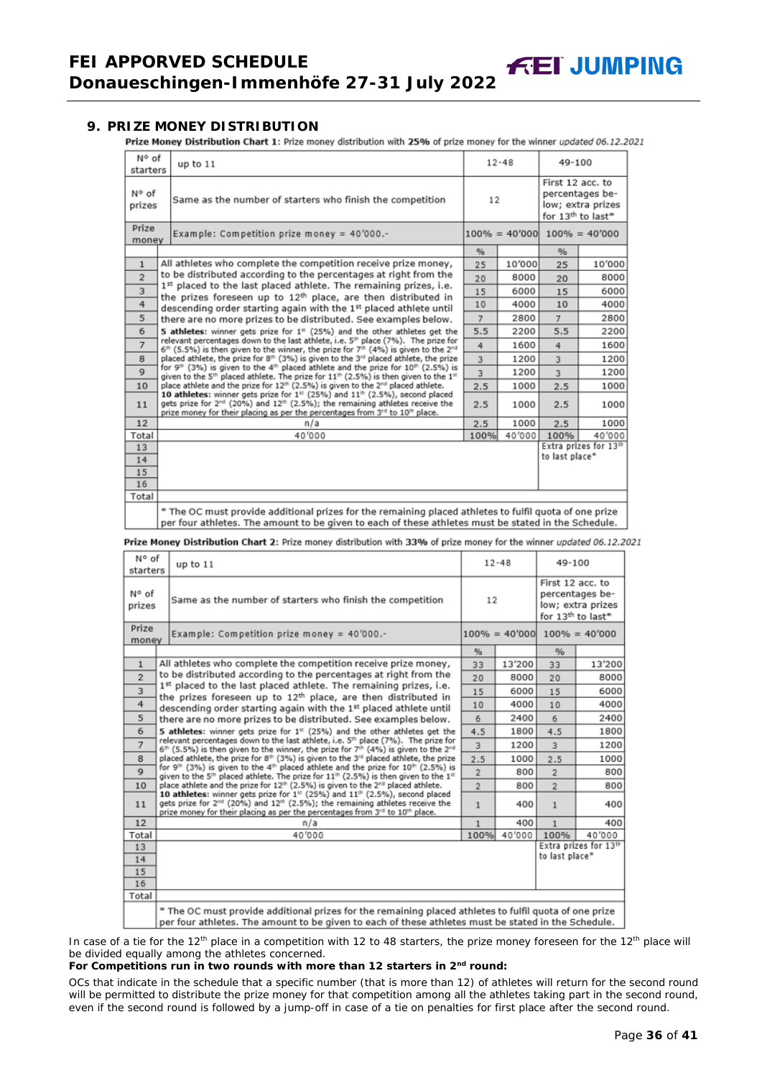#### <span id="page-35-0"></span>**9. PRIZE MONEY DISTRIBUTION**

Prize Money Distribution Chart 1: Prize money distribution with 25% of prize money for the winner updated 06.12.2021

| N° of<br>starters | up to 11                                                                                                                                                                                                                                                                        |                | $12 - 48$ | 49-100           |                                                                       |
|-------------------|---------------------------------------------------------------------------------------------------------------------------------------------------------------------------------------------------------------------------------------------------------------------------------|----------------|-----------|------------------|-----------------------------------------------------------------------|
| N° of<br>prizes   | Same as the number of starters who finish the competition                                                                                                                                                                                                                       | 12             |           | First 12 acc. to | percentages be-<br>low; extra prizes<br>for 13 <sup>th</sup> to last* |
| Prize<br>money    | Example: Competition prize money = $40'000$ .-                                                                                                                                                                                                                                  |                |           |                  | $100\% = 40'000$ $100\% = 40'000$                                     |
|                   |                                                                                                                                                                                                                                                                                 | %              |           | %                |                                                                       |
| $\mathbf{1}$      | All athletes who complete the competition receive prize money,                                                                                                                                                                                                                  | 25             | 10'000    | 25               | 10'000                                                                |
| $\overline{2}$    | to be distributed according to the percentages at right from the                                                                                                                                                                                                                | 20             | 8000      | 20               | 8000                                                                  |
| 3                 | 1st placed to the last placed athlete. The remaining prizes, i.e.<br>the prizes foreseen up to 12 <sup>th</sup> place, are then distributed in                                                                                                                                  | 15             | 6000      | 15               | 6000                                                                  |
| 4                 | descending order starting again with the 1st placed athlete until                                                                                                                                                                                                               | 10             | 4000      | 10               | 4000                                                                  |
| 5                 | there are no more prizes to be distributed. See examples below.                                                                                                                                                                                                                 | $\overline{7}$ | 2800      | $\overline{7}$   | 2800                                                                  |
| 6                 | 5 athletes: winner gets prize for 1 <sup>s:</sup> (25%) and the other athletes get the                                                                                                                                                                                          | 5.5            | 2200      | 5.5              | 2200                                                                  |
| $\overline{7}$    | relevant percentages down to the last athlete, i.e. 5th place (7%). The prize for<br>$6^{th}$ (5.5%) is then given to the winner, the prize for $7^{th}$ (4%) is given to the $2^{nd}$                                                                                          | 4              | 1600      | $\frac{4}{3}$    | 1600                                                                  |
| 8                 | placed athlete, the prize for 8th (3%) is given to the 3rd placed athlete, the prize                                                                                                                                                                                            | 3              | 1200      | $\overline{3}$   | 1200                                                                  |
| 9                 | for 9 <sup>th</sup> (3%) is given to the 4 <sup>th</sup> placed athlete and the prize for 10 <sup>th</sup> (2.5%) is<br>given to the 5 <sup>th</sup> placed athlete. The prize for 11 <sup>th</sup> (2.5%) is then given to the 1 <sup>th</sup>                                 | 3              | 1200      | 3                | 1200                                                                  |
| 10                | place athlete and the prize for 12 <sup>th</sup> (2.5%) is given to the 2 <sup>nd</sup> placed athlete.                                                                                                                                                                         | 2.5            | 1000      | 2.5              | 1000                                                                  |
| 11                | 10 athletes: winner gets prize for 1st (25%) and 11th (2.5%), second placed<br>gets prize for 2 <sup>nd</sup> (20%) and 12 <sup>th</sup> (2.5%); the remaining athletes receive the<br>prize money for their placing as per the percentages from 3rd to 10 <sup>th</sup> place. |                | 1000      | 2.5              | 1000                                                                  |
| 12                | n/a                                                                                                                                                                                                                                                                             | 2.5            | 1000      | 2.5              | 1000                                                                  |
| Total             | 40'000                                                                                                                                                                                                                                                                          | 100%           | 40'000    | 100%             | 40'000                                                                |
| 13                |                                                                                                                                                                                                                                                                                 |                |           |                  | Extra prizes for 13th                                                 |
| 14                |                                                                                                                                                                                                                                                                                 |                |           | to last place*   |                                                                       |
| 15                |                                                                                                                                                                                                                                                                                 |                |           |                  |                                                                       |
| 16                |                                                                                                                                                                                                                                                                                 |                |           |                  |                                                                       |
| Total             |                                                                                                                                                                                                                                                                                 |                |           |                  |                                                                       |
|                   | * The OC must provide additional prizes for the remaining placed athletes to fulfil quota of one prize<br>per four athletes. The amount to be given to each of these athletes must be stated in the Schedule.                                                                   |                |           |                  |                                                                       |

Prize Money Distribution Chart 2: Prize money distribution with 33% of prize money for the winner updated 06.12.2021

| N° of<br>starters | up to $11$                                                                                                                                                                                                                                                                                  |                | $12 - 48$        | 49-100           |                                                                       |
|-------------------|---------------------------------------------------------------------------------------------------------------------------------------------------------------------------------------------------------------------------------------------------------------------------------------------|----------------|------------------|------------------|-----------------------------------------------------------------------|
| N° of<br>prizes   | Same as the number of starters who finish the competition                                                                                                                                                                                                                                   | 12             |                  | First 12 acc. to | percentages be-<br>low; extra prizes<br>for 13 <sup>th</sup> to last* |
| Prize<br>money    | Example: Competition prize money = 40'000.-                                                                                                                                                                                                                                                 |                | $100\% = 40'000$ |                  | $100\% = 40'000$                                                      |
|                   |                                                                                                                                                                                                                                                                                             | $\frac{9}{6}$  |                  | $\%$             |                                                                       |
| $\mathbf{1}$      | All athletes who complete the competition receive prize money,                                                                                                                                                                                                                              | 33             | 13'200           | 33               | 13'200                                                                |
| $\overline{2}$    | to be distributed according to the percentages at right from the                                                                                                                                                                                                                            | 20             | 8000             | 20               | 8000                                                                  |
| 3                 | 1st placed to the last placed athlete. The remaining prizes, i.e.<br>the prizes foreseen up to 12 <sup>th</sup> place, are then distributed in                                                                                                                                              | 15             | 6000             | 15               | 6000                                                                  |
| $\overline{4}$    | descending order starting again with the 1st placed athlete until                                                                                                                                                                                                                           | 10             | 4000             | 10               | 4000                                                                  |
| 5                 | there are no more prizes to be distributed. See examples below.                                                                                                                                                                                                                             | 6              | 2400             | 6                | 2400                                                                  |
| 6                 | 5 athletes: winner gets prize for $1st$ (25%) and the other athletes get the                                                                                                                                                                                                                | 4.5            | 1800             | 4.5              | 1800                                                                  |
| $\overline{7}$    | relevant percentages down to the last athlete, i.e. 5 <sup>th</sup> place (7%). The prize for<br>6 <sup>th</sup> (5.5%) is then given to the winner, the prize for 7 <sup>th</sup> (4%) is given to the 2 <sup>nd</sup>                                                                     | 3              | 1200             | 3                | 1200                                                                  |
| 8                 | placed athlete, the prize for 8th (3%) is given to the 3 <sup>rd</sup> placed athlete, the prize                                                                                                                                                                                            | 2.5            | 1000             | 2.5              | 1000                                                                  |
| $\mathbf Q$       | for 9 <sup>th</sup> (3%) is given to the 4 <sup>th</sup> placed athlete and the prize for 10 <sup>th</sup> (2.5%) is<br>given to the 5 <sup>th</sup> placed athlete. The prize for $11^{th}$ (2.5%) is then given to the $1^{st}$                                                           | $\overline{2}$ | 800              | $\overline{2}$   | 800                                                                   |
| 10                | place athlete and the prize for 12 <sup>th</sup> (2.5%) is given to the 2 <sup>nd</sup> placed athlete.                                                                                                                                                                                     | $\overline{2}$ | 800              | $\overline{2}$   | 800                                                                   |
| 11                | 10 athletes: winner gets prize for 1 <sup>st</sup> (25%) and 11 <sup>th</sup> (2.5%), second placed<br>gets prize for 2 <sup>nd</sup> (20%) and 12 <sup>th</sup> (2.5%); the remaining athletes receive the<br>prize money for their placing as per the percentages from 3rd to 10th place. | $\mathbf{1}$   | 400              | $\mathbf{1}$     | 400                                                                   |
| 12                | n/a                                                                                                                                                                                                                                                                                         | $\mathbf{1}$   | 400              | $\mathbf{1}$     | 400                                                                   |
| Total             | 40'000                                                                                                                                                                                                                                                                                      | 100%           | 40'000           | 100%             | 40'000                                                                |
| 13                |                                                                                                                                                                                                                                                                                             |                |                  |                  | Extra prizes for 13th                                                 |
| 14                |                                                                                                                                                                                                                                                                                             |                |                  | to last place*   |                                                                       |
| 15                |                                                                                                                                                                                                                                                                                             |                |                  |                  |                                                                       |
| 16                |                                                                                                                                                                                                                                                                                             |                |                  |                  |                                                                       |
| Total             |                                                                                                                                                                                                                                                                                             |                |                  |                  |                                                                       |
|                   | * The OC must provide additional prizes for the remaining placed athletes to fulfil quota of one prize<br>per four athletes. The amount to be given to each of these athletes must be stated in the Schedule.                                                                               |                |                  |                  |                                                                       |

In case of a tie for the 12<sup>th</sup> place in a competition with 12 to 48 starters, the prize money foreseen for the 12<sup>th</sup> place will be divided equally among the athletes concerned.

#### **For Competitions run in two rounds with more than 12 starters in 2nd round:**

*OCs that indicate in the schedule that a specific number (that is more than 12) of athletes will return for the second round will be permitted to distribute the prize money for that competition among all the athletes taking part in the second round, even if the second round is followed by a jump-off in case of a tie on penalties for first place after the second round.*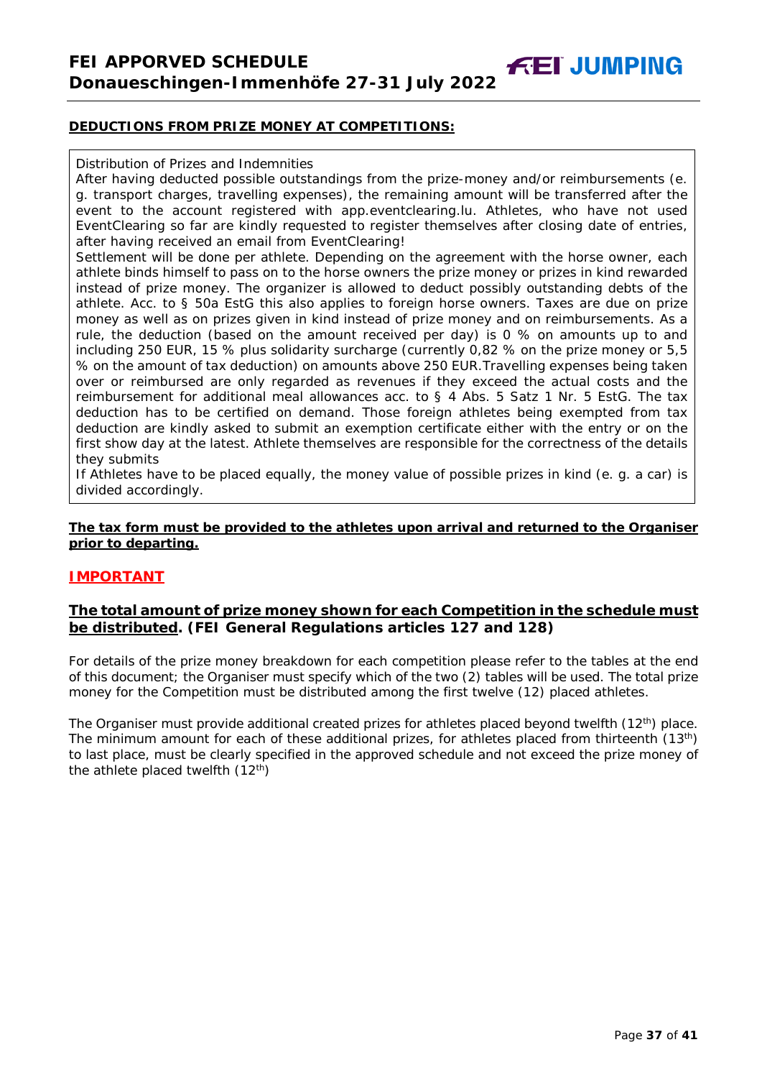**FEI JUMPING** 

#### **DEDUCTIONS FROM PRIZE MONEY AT COMPETITIONS:**

#### Distribution of Prizes and Indemnities

After having deducted possible outstandings from the prize-money and/or reimbursements (e. g. transport charges, travelling expenses), the remaining amount will be transferred after the event to the account registered with app.eventclearing.lu. Athletes, who have not used EventClearing so far are kindly requested to register themselves after closing date of entries, after having received an email from EventClearing!

Settlement will be done per athlete. Depending on the agreement with the horse owner, each athlete binds himself to pass on to the horse owners the prize money or prizes in kind rewarded instead of prize money. The organizer is allowed to deduct possibly outstanding debts of the athlete. Acc. to § 50a EstG this also applies to foreign horse owners. Taxes are due on prize money as well as on prizes given in kind instead of prize money and on reimbursements. As a rule, the deduction (based on the amount received per day) is 0 % on amounts up to and including 250 EUR, 15 % plus solidarity surcharge (currently 0,82 % on the prize money or 5,5 % on the amount of tax deduction) on amounts above 250 EUR.Travelling expenses being taken over or reimbursed are only regarded as revenues if they exceed the actual costs and the reimbursement for additional meal allowances acc. to § 4 Abs. 5 Satz 1 Nr. 5 EstG. The tax deduction has to be certified on demand. Those foreign athletes being exempted from tax deduction are kindly asked to submit an exemption certificate either with the entry or on the first show day at the latest. Athlete themselves are responsible for the correctness of the details they submits

If Athletes have to be placed equally, the money value of possible prizes in kind (e. g. a car) is divided accordingly.

#### **The tax form must be provided to the athletes upon arrival and returned to the Organiser prior to departing.**

#### **IMPORTANT**

# **The total amount of prize money shown for each Competition in the schedule must be distributed. (FEI General Regulations articles 127 and 128)**

For details of the prize money breakdown for each competition please refer to the tables at the end of this document; the Organiser must specify which of the two (2) tables will be used. The total prize money for the Competition must be distributed among the first twelve (12) placed athletes.

<span id="page-36-0"></span>The Organiser must provide additional created prizes for athletes placed beyond twelfth  $(12<sup>th</sup>)$  place. The minimum amount for each of these additional prizes, for athletes placed from thirteenth (13<sup>th</sup>) to last place, must be clearly specified in the approved schedule and not exceed the prize money of the athlete placed twelfth  $(12<sup>th</sup>)$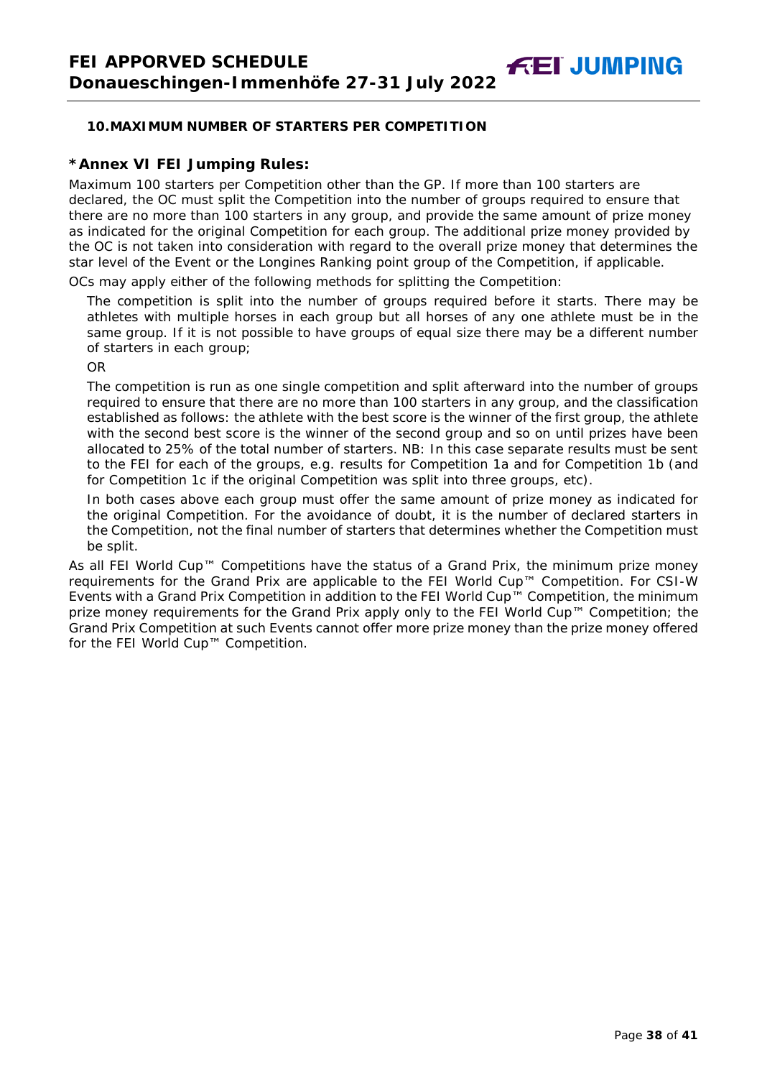# **10.MAXIMUM NUMBER OF STARTERS PER COMPETITION**

# **\*Annex VI FEI Jumping Rules:**

Maximum 100 starters per Competition other than the GP. If more than 100 starters are declared, the OC must split the Competition into the number of groups required to ensure that there are no more than 100 starters in any group, and provide the same amount of prize money as indicated for the original Competition for each group. The additional prize money provided by the OC is not taken into consideration with regard to the overall prize money that determines the star level of the Event or the Longines Ranking point group of the Competition, if applicable.

OCs may apply either of the following methods for splitting the Competition:

The competition is split into the number of groups required before it starts. There may be athletes with multiple horses in each group but all horses of any one athlete must be in the same group. If it is not possible to have groups of equal size there may be a different number of starters in each group;

OR

The competition is run as one single competition and split afterward into the number of groups required to ensure that there are no more than 100 starters in any group, and the classification established as follows: the athlete with the best score is the winner of the first group, the athlete with the second best score is the winner of the second group and so on until prizes have been allocated to 25% of the total number of starters. *NB: In this case separate results must be sent to the FEI for each of the groups, e.g. results for Competition 1a and for Competition 1b (and for Competition 1c if the original Competition was split into three groups, etc).*

In both cases above each group must offer the same amount of prize money as indicated for the original Competition. For the avoidance of doubt, it is the number of declared starters in the Competition, not the final number of starters that determines whether the Competition must be split.

<span id="page-37-0"></span>As all FEI World Cup™ Competitions have the status of a Grand Prix, the minimum prize money requirements for the Grand Prix are applicable to the FEI World Cup™ Competition. For CSI-W Events with a Grand Prix Competition in addition to the FEI World Cup™ Competition, the minimum prize money requirements for the Grand Prix apply only to the FEI World Cup™ Competition; the Grand Prix Competition at such Events cannot offer more prize money than the prize money offered for the FEI World Cup™ Competition.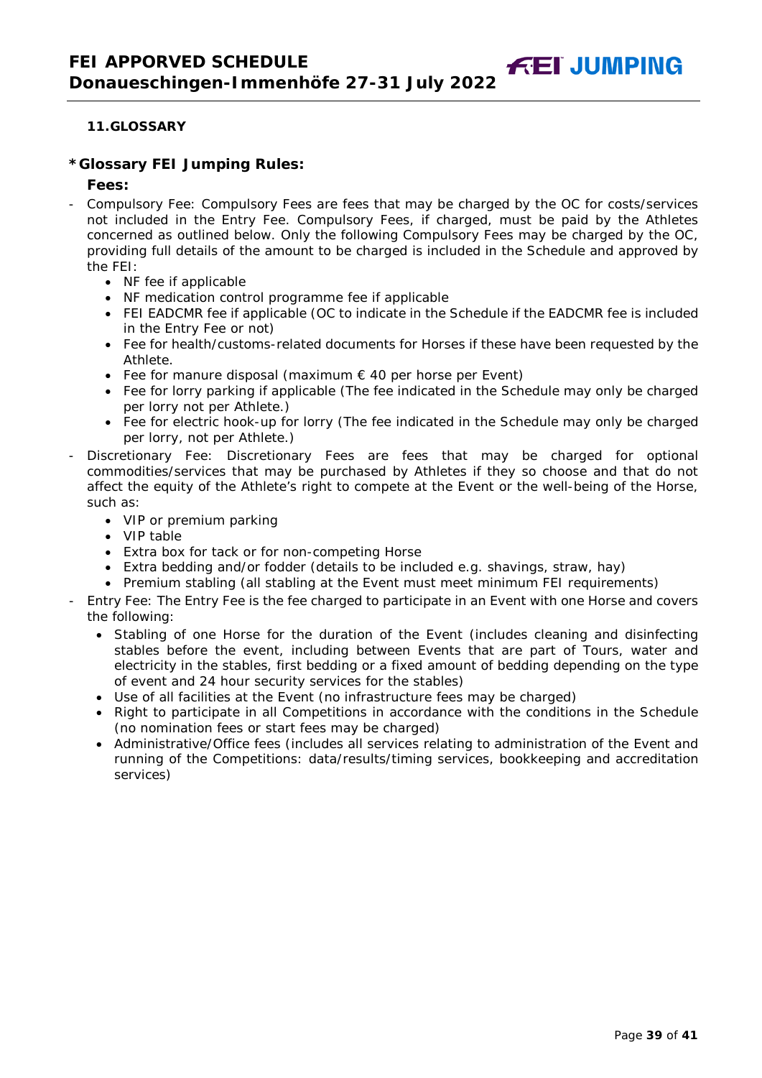# **11.GLOSSARY**

#### **\*Glossary FEI Jumping Rules:**

#### **Fees:**

- Compulsory Fee: Compulsory Fees are fees that may be charged by the OC for costs/services not included in the Entry Fee. Compulsory Fees, if charged, must be paid by the Athletes concerned as outlined below. Only the following Compulsory Fees may be charged by the OC, providing full details of the amount to be charged is included in the Schedule and approved by the FEI:
	- NF fee if applicable
	- NF medication control programme fee if applicable
	- FEI EADCMR fee if applicable (OC to indicate in the Schedule if the EADCMR fee is included in the Entry Fee or not)
	- Fee for health/customs-related documents for Horses if these have been requested by the Athlete.
	- Fee for manure disposal (maximum  $\epsilon$  40 per horse per Event)
	- Fee for lorry parking if applicable (The fee indicated in the Schedule may only be charged per lorry not per Athlete.)
	- Fee for electric hook-up for lorry (The fee indicated in the Schedule may only be charged per lorry, not per Athlete.)
- Discretionary Fee: Discretionary Fees are fees that may be charged for optional commodities/services that may be purchased by Athletes if they so choose and that do not affect the equity of the Athlete's right to compete at the Event or the well-being of the Horse, such as:
	- VIP or premium parking
	- VIP table
	- Extra box for tack or for non-competing Horse
	- Extra bedding and/or fodder (details to be included e.g. shavings, straw, hay)
	- Premium stabling (all stabling at the Event must meet minimum FEI requirements)
- Entry Fee: The Entry Fee is the fee charged to participate in an Event with one Horse and covers the following:
	- Stabling of one Horse for the duration of the Event (includes cleaning and disinfecting stables before the event, including between Events that are part of Tours, water and electricity in the stables, first bedding or a fixed amount of bedding depending on the type of event and 24 hour security services for the stables)
	- Use of all facilities at the Event (no infrastructure fees may be charged)
	- Right to participate in all Competitions in accordance with the conditions in the Schedule (no nomination fees or start fees may be charged)
	- Administrative/Office fees (includes all services relating to administration of the Event and running of the Competitions: data/results/timing services, bookkeeping and accreditation services)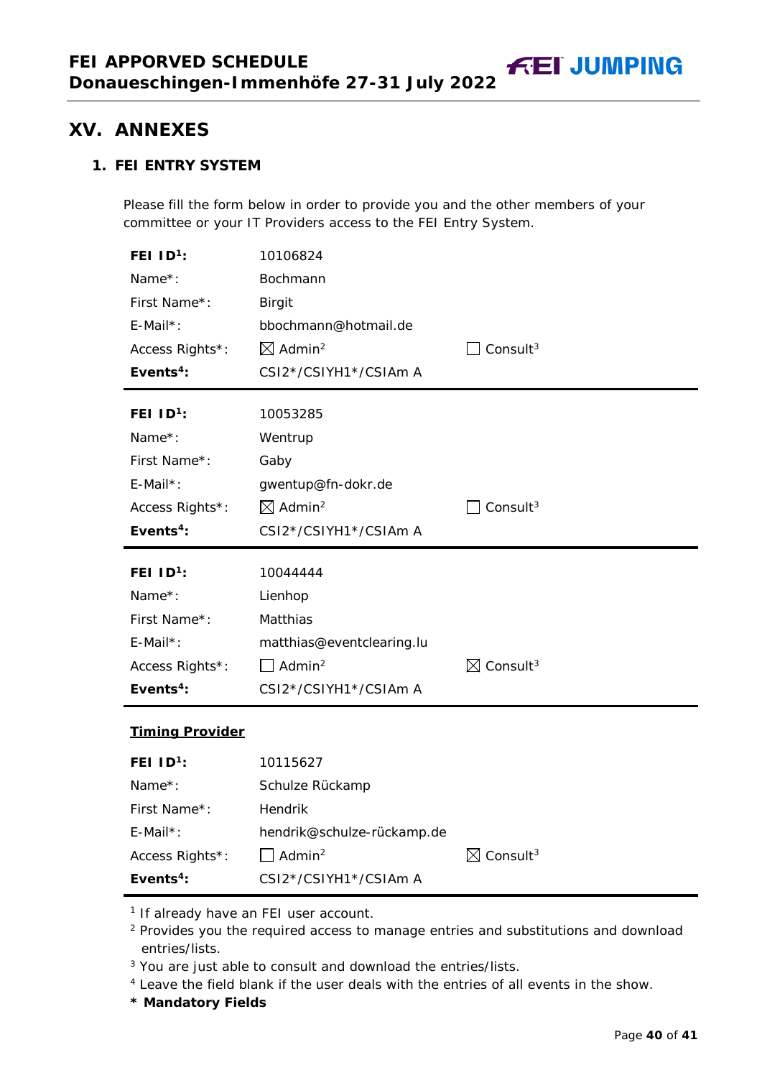# <span id="page-39-0"></span>**1. FEI ENTRY SYSTEM**

Please fill the form below in order to provide you and the other members of your committee or your IT Providers access to the FEI Entry System.

| FEI $ID^1$ :                   | 10106824                                                |                                  |
|--------------------------------|---------------------------------------------------------|----------------------------------|
| Name*:                         | Bochmann                                                |                                  |
| First Name*:                   | <b>Birgit</b>                                           |                                  |
| $E$ -Mail*:                    | bbochmann@hotmail.de                                    |                                  |
| Access Rights*:                | $\boxtimes$ Admin <sup>2</sup>                          | Consult <sup>3</sup>             |
| Events <sup>4</sup> :          | CSI2*/CSIYH1*/CSIAm A                                   |                                  |
| FEI $ID^1$ :                   | 10053285                                                |                                  |
| Name*:                         | Wentrup                                                 |                                  |
| First Name*:                   | Gaby                                                    |                                  |
| $E$ -Mail*:                    | gwentup@fn-dokr.de                                      |                                  |
| Access Rights*:                | $\boxtimes$ Admin <sup>2</sup>                          | Consult <sup>3</sup>             |
| Events <sup>4</sup> :          | CSI2*/CSIYH1*/CSIAm A                                   |                                  |
|                                |                                                         |                                  |
|                                |                                                         |                                  |
| FEI $1D^1$ :                   | 10044444                                                |                                  |
| Name*:<br>First Name*:         | Lienhop<br>Matthias                                     |                                  |
| $E$ -Mail*:                    | matthias@eventclearing.lu                               |                                  |
| Access Rights*:                | $\Box$ Admin <sup>2</sup>                               | $\boxtimes$ Consult <sup>3</sup> |
| Events <sup>4</sup> :          | CSI2*/CSIYH1*/CSIAm A                                   |                                  |
|                                |                                                         |                                  |
| <b>Timing Provider</b>         |                                                         |                                  |
| FEI $1D^1$ :                   | 10115627                                                |                                  |
| Name*:                         | Schulze Rückamp                                         |                                  |
| First Name*:                   | <b>Hendrik</b>                                          |                                  |
| $E$ -Mail*:<br>Access Rights*: | hendrik@schulze-rückamp.de<br>$\Box$ Admin <sup>2</sup> | $\boxtimes$ Consult <sup>3</sup> |

<sup>1</sup> If already have an FEI user account.

<sup>2</sup> Provides you the required access to manage entries and substitutions and download entries/lists.

<sup>3</sup> You are just able to consult and download the entries/lists.

<sup>4</sup> Leave the field blank if the user deals with the entries of all events in the show.

**\* Mandatory Fields**